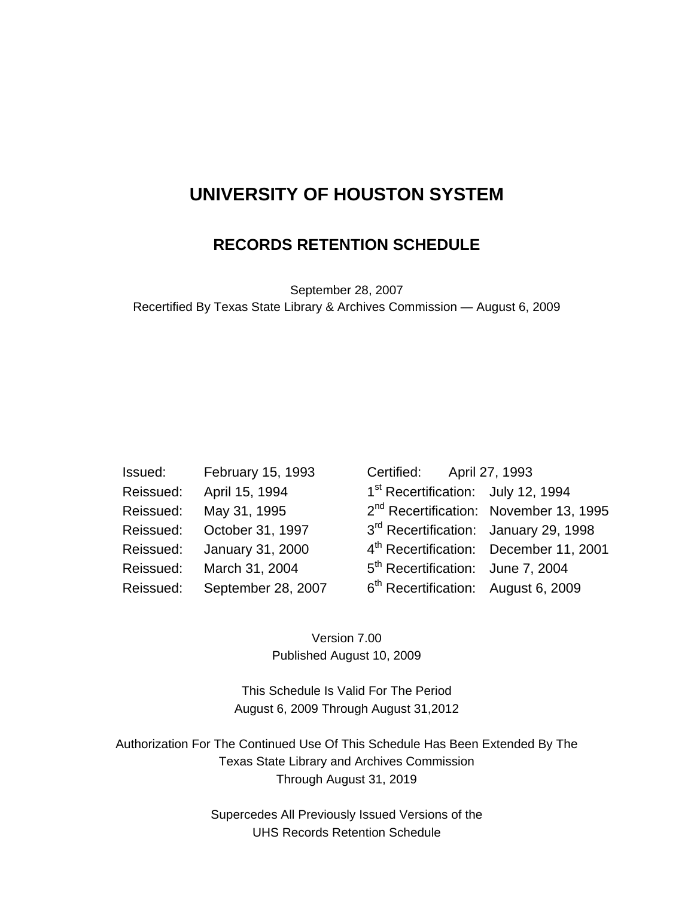## **UNIVERSITY OF HOUSTON SYSTEM**

### **RECORDS RETENTION SCHEDULE**

September 28, 2007 Recertified By Texas State Library & Archives Commission — August 6, 2009

| Issued: | February 15, 1993            | Certified: April 27, 1993                 |  |
|---------|------------------------------|-------------------------------------------|--|
|         | Reissued: April 15, 1994     | 1 <sup>st</sup> Recertification: July 12, |  |
|         | Reissued: May 31, 1995       | 2 <sup>nd</sup> Recertification: Novemb   |  |
|         | Reissued: October 31, 1997   | 3 <sup>rd</sup> Recertification: January  |  |
|         | Reissued: January 31, 2000   | 4 <sup>th</sup> Recertification: Decemb   |  |
|         | Reissued: March 31, 2004     | 5 <sup>th</sup> Recertification: June 7,  |  |
|         | Reissued: September 28, 2007 | 6 <sup>th</sup> Recertification: August   |  |

| Issued:   | February 15, 1993          | Certified: April 27, 1993                         |                                                    |
|-----------|----------------------------|---------------------------------------------------|----------------------------------------------------|
|           | Reissued: April 15, 1994   | 1 <sup>st</sup> Recertification: July 12, 1994    |                                                    |
| Reissued: | May 31, 1995               |                                                   | 2 <sup>nd</sup> Recertification: November 13, 1995 |
|           | Reissued: October 31, 1997 | 3 <sup>rd</sup> Recertification: January 29, 1998 |                                                    |
|           | Reissued: January 31, 2000 |                                                   | 4 <sup>th</sup> Recertification: December 11, 2001 |
|           | Reissued: March 31, 2004   | 5 <sup>th</sup> Recertification: June 7, 2004     |                                                    |
| Reissued: | September 28, 2007         | 6 <sup>th</sup> Recertification: August 6, 2009   |                                                    |
|           |                            |                                                   |                                                    |

Version 7.00 Published August 10, 2009

This Schedule Is Valid For The Period August 6, 2009 Through August 31,2012

Authorization For The Continued Use Of This Schedule Has Been Extended By The Texas State Library and Archives Commission Through August 31, 2019

> Supercedes All Previously Issued Versions of the UHS Records Retention Schedule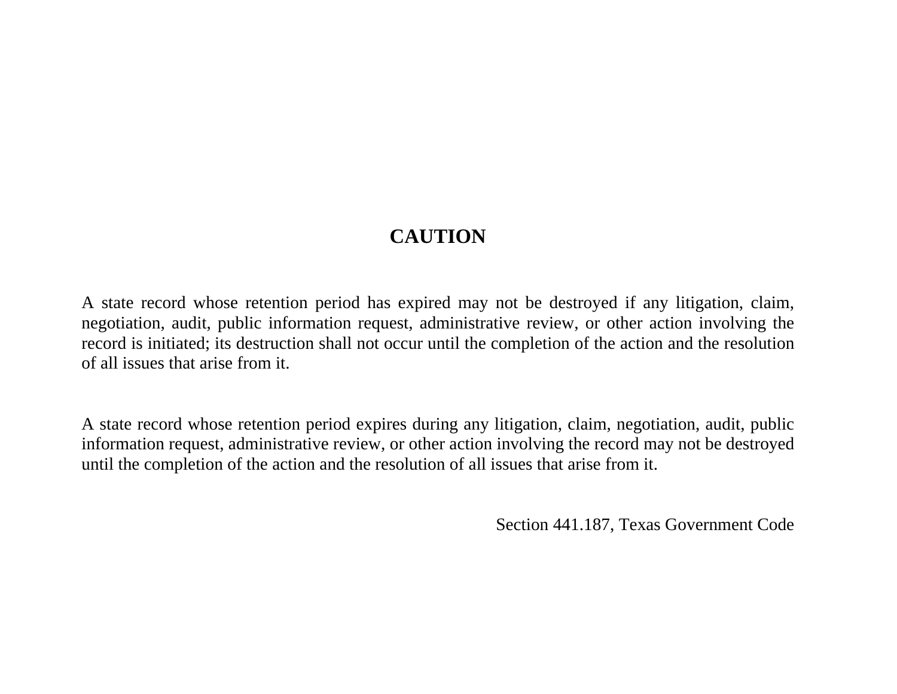# **CAUTION**

A state record whose retention period has expired may not be destroyed if any litigation, claim, negotiation, audit, public information request, administrative review, or other action involving the record is initiated; its destruction shall not occur until the completion of the action and the resolution of all issues that arise from it.

A state record whose retention period expires during any litigation, claim, negotiation, audit, public information request, administrative review, or other action involving the record may not be destroyed until the completion of the action and the resolution of all issues that arise from it.

Section 441.187, Texas Government Code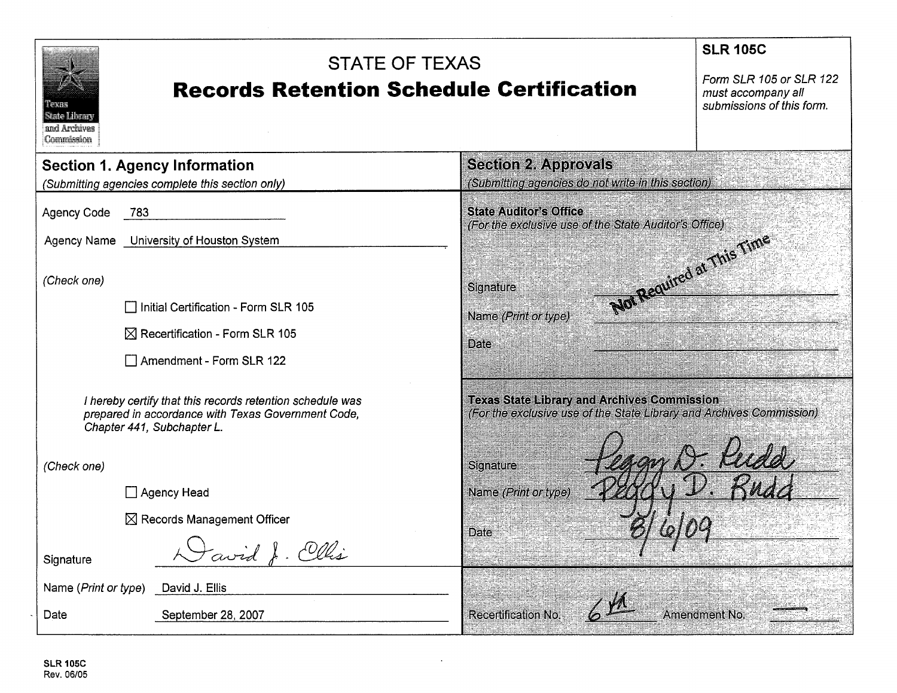| <b>STATE OF TEXAS</b><br><b>Records Retention Schedule Certification</b><br><b>TEX SER</b><br>Sato Ubrary<br>and Archives<br>Commission       | <b>SLR 105C</b><br>Form SLR 105 or SLR 122<br>must accompany all<br>submissions of this form.                              |                           |
|-----------------------------------------------------------------------------------------------------------------------------------------------|----------------------------------------------------------------------------------------------------------------------------|---------------------------|
| <b>Section 1. Agency Information</b>                                                                                                          | <b>Section 2. Approvals</b>                                                                                                |                           |
| (Submitting agencies complete this section only)                                                                                              | (Submitting agencies do not write in this section)                                                                         |                           |
| <b>Agency Code</b><br>783                                                                                                                     | <b>State Auditor's Office</b><br>(For the exclusive use of the State Auditor's Office)                                     |                           |
| Agency Name University of Houston System                                                                                                      |                                                                                                                            |                           |
| (Check one)<br>Initial Certification - Form SLR 105                                                                                           | Signature                                                                                                                  | Not Required at This Time |
| $\boxtimes$ Recertification - Form SLR 105                                                                                                    | Name <i>(Print or type)</i>                                                                                                |                           |
|                                                                                                                                               | <b>Date</b>                                                                                                                |                           |
| Amendment - Form SLR 122                                                                                                                      |                                                                                                                            |                           |
| I hereby certify that this records retention schedule was<br>prepared in accordance with Texas Government Code,<br>Chapter 441, Subchapter L. | <b>Texas State Library and Archives Commission</b><br>(For the exclusive use of the State Library and Archives Commission) |                           |
| (Check one)                                                                                                                                   | <b>Signature</b>                                                                                                           |                           |
| Agency Head                                                                                                                                   | Name (Print or type)                                                                                                       |                           |
| $\boxtimes$ Records Management Officer                                                                                                        |                                                                                                                            |                           |
| avid J. Cllis<br>Signature                                                                                                                    | <b>Date</b>                                                                                                                |                           |
| Name (Print or type)<br>David J. Ellis                                                                                                        |                                                                                                                            |                           |
| September 28, 2007<br>Date                                                                                                                    | <b>Recertification No.</b>                                                                                                 | <b>Amendment No.</b>      |

 $\mathcal{A}^{\pm}$ 

 $\sim$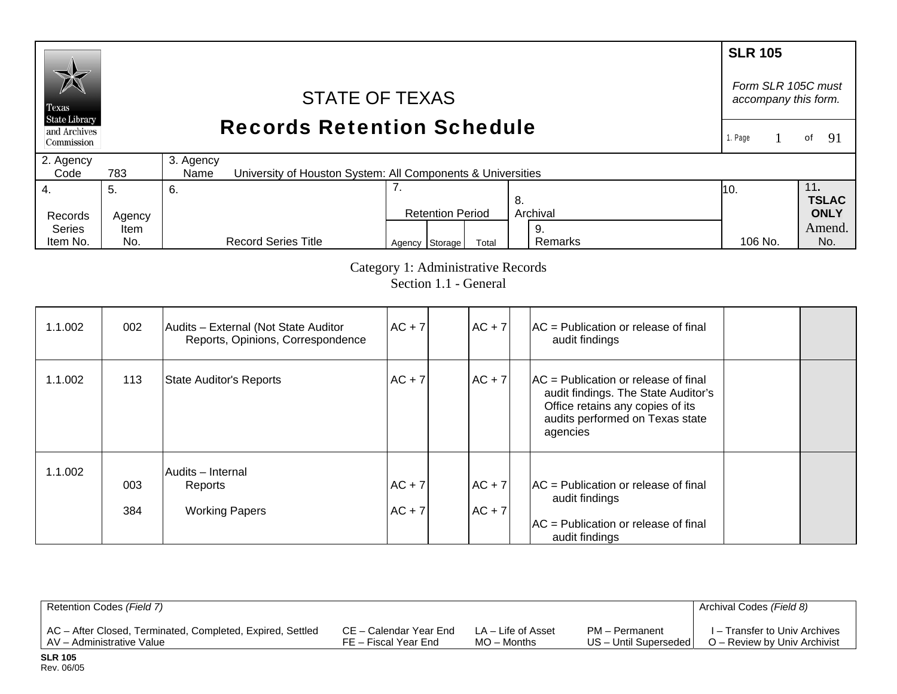#### **SLR 105**  *Form SLR 105C must* STATE OF TEXAS *accompany this form.*  Texas **State Library** Records Retention Schedule and Archives of  $91$ 1. Page 1 Commission 2. Agency 3. Agency  $Code$ 783 University of Houston System: All Components & Universities 4. 7. 11**.**  5. 6. 10. **TSLAC** 8. Records Agency Retention Period Archival **ONLY**  Series Amend. Item 9. Remarks Agency Storage Total Remarks 106 No. No. Item No. No. Record Series Title 106 No.

Category 1: Administrative Records

Section 1.1 - General

| 1.1.002 | 002        | Audits - External (Not State Auditor<br>Reports, Opinions, Correspondence | $AC + 7$             | $AC + 7$                 | $AC =$ Publication or release of final<br>audit findings                                                                                                         |  |
|---------|------------|---------------------------------------------------------------------------|----------------------|--------------------------|------------------------------------------------------------------------------------------------------------------------------------------------------------------|--|
| 1.1.002 | 113        | <b>State Auditor's Reports</b>                                            | $AC + 7$             | $AC + 7$                 | $AC =$ Publication or release of final<br>audit findings. The State Auditor's<br>Office retains any copies of its<br>audits performed on Texas state<br>agencies |  |
| 1.1.002 | 003<br>384 | Audits - Internal<br>Reports<br><b>Working Papers</b>                     | $AC + 7$<br>$AC + 7$ | $ AC + 7 $<br>$ AC + 7 $ | $AC =$ Publication or release of final<br>audit findings<br>$AC =$ Publication or release of final<br>audit findings                                             |  |

| Retention Codes (Field 7)                                  |                        |                    |                       | Archival Codes (Field 8)      |
|------------------------------------------------------------|------------------------|--------------------|-----------------------|-------------------------------|
| AC - After Closed, Terminated, Completed, Expired, Settled | CE – Calendar Year End | LA – Life of Asset | PM - Permanent        | I – Transfer to Univ Archives |
| LAV – Administrative Value                                 | FE – Fiscal Year End   | $MO -$ Months      | US - Until Superseded | O – Review by Univ Archivist  |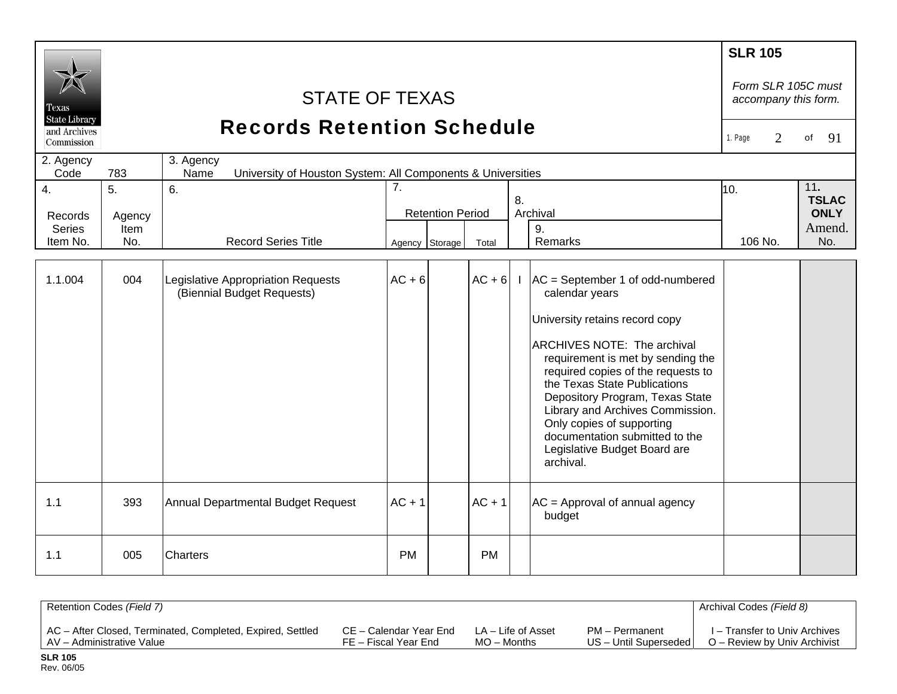| Texas<br><b>State Library</b><br>and Archives<br>Commission<br>2. Agency<br>Code | <b>STATE OF TEXAS</b><br><b>Records Retention Schedule</b><br>3. Agency<br>783<br>University of Houston System: All Components & Universities<br>Name<br>7.<br>5.<br>6. |                                                                  |                |                         |           |              |                                                                                                                                                                                                                                                                                                                                                                                                                     |                | Form SLR 105C must<br>accompany this form.<br>91<br>of |
|----------------------------------------------------------------------------------|-------------------------------------------------------------------------------------------------------------------------------------------------------------------------|------------------------------------------------------------------|----------------|-------------------------|-----------|--------------|---------------------------------------------------------------------------------------------------------------------------------------------------------------------------------------------------------------------------------------------------------------------------------------------------------------------------------------------------------------------------------------------------------------------|----------------|--------------------------------------------------------|
| 4.<br>Records<br><b>Series</b><br>Item No.                                       | Agency<br>Item<br>No.                                                                                                                                                   | <b>Record Series Title</b>                                       | Agency Storage | <b>Retention Period</b> | Total     | 8.           | Archival<br>9.<br>Remarks                                                                                                                                                                                                                                                                                                                                                                                           | 10.<br>106 No. | 11.<br><b>TSLAC</b><br><b>ONLY</b><br>Amend.<br>No.    |
| 1.1.004                                                                          | 004                                                                                                                                                                     | Legislative Appropriation Requests<br>(Biennial Budget Requests) | $AC + 6$       |                         | $AC + 6$  | $\mathbf{L}$ | $AC = September 1$ of odd-numbered<br>calendar years<br>University retains record copy<br>ARCHIVES NOTE: The archival<br>requirement is met by sending the<br>required copies of the requests to<br>the Texas State Publications<br>Depository Program, Texas State<br>Library and Archives Commission.<br>Only copies of supporting<br>documentation submitted to the<br>Legislative Budget Board are<br>archival. |                |                                                        |
| 1.1                                                                              | 393                                                                                                                                                                     | Annual Departmental Budget Request                               | $AC + 1$       |                         | $AC + 1$  |              | $AC =$ Approval of annual agency<br>budget                                                                                                                                                                                                                                                                                                                                                                          |                |                                                        |
| 1.1                                                                              | 005                                                                                                                                                                     | Charters                                                         | <b>PM</b>      |                         | <b>PM</b> |              |                                                                                                                                                                                                                                                                                                                                                                                                                     |                |                                                        |

| Retention Codes (Field 7)                                  |                        |                    |                         | Archival Codes (Field 8)      |
|------------------------------------------------------------|------------------------|--------------------|-------------------------|-------------------------------|
| AC - After Closed, Terminated, Completed, Expired, Settled | CE – Calendar Year End | LA – Life of Asset | PM - Permanent          | I – Transfer to Univ Archives |
| AV – Administrative Value                                  | FE – Fiscal Year End   | $MO -$ Months      | US - Until Superseded I | O – Review by Univ Archivist  |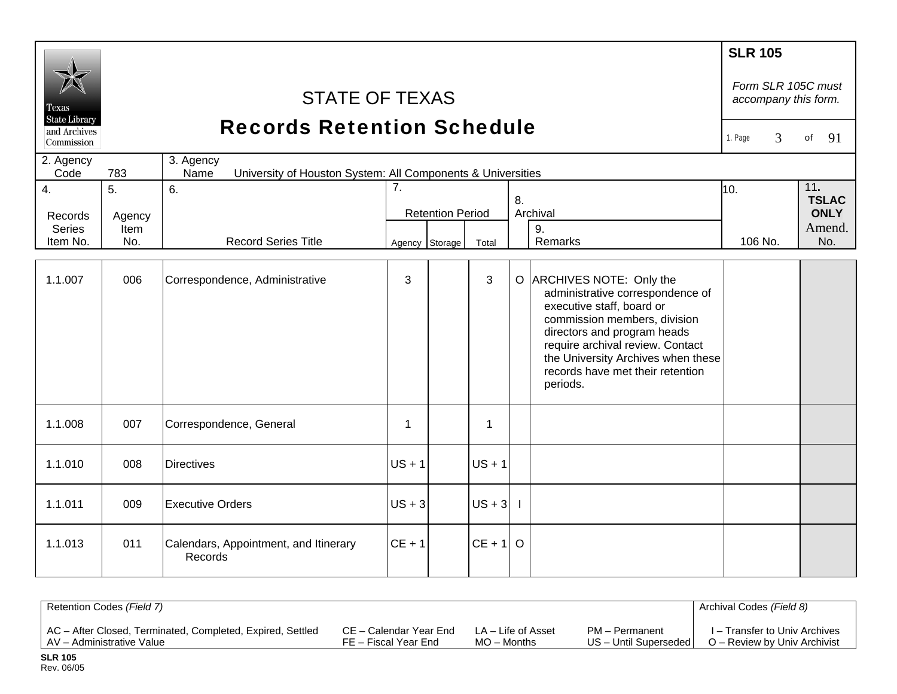| Texas<br><b>State Library</b><br>and Archives<br>Commission | <b>STATE OF TEXAS</b><br><b>Records Retention Schedule</b><br>3. Agency    |                                                  |                                                 |                |             |              |                                                                                                                                                                                                                                                                                     |         |               |
|-------------------------------------------------------------|----------------------------------------------------------------------------|--------------------------------------------------|-------------------------------------------------|----------------|-------------|--------------|-------------------------------------------------------------------------------------------------------------------------------------------------------------------------------------------------------------------------------------------------------------------------------------|---------|---------------|
| 2. Agency<br>Code                                           | 783<br>University of Houston System: All Components & Universities<br>Name |                                                  |                                                 |                |             |              |                                                                                                                                                                                                                                                                                     |         |               |
| 4.<br>Records                                               | 5.<br>Agency                                                               | 6.                                               | 7.<br>8.<br>Archival<br><b>Retention Period</b> |                |             | 10.          | 11.<br><b>TSLAC</b><br><b>ONLY</b>                                                                                                                                                                                                                                                  |         |               |
| <b>Series</b><br>Item No.                                   | Item<br>No.                                                                | <b>Record Series Title</b>                       |                                                 | Agency Storage | Total       |              | 9.<br>Remarks                                                                                                                                                                                                                                                                       | 106 No. | Amend.<br>No. |
| 1.1.007                                                     | 006                                                                        | Correspondence, Administrative                   | 3                                               |                | 3           |              | O ARCHIVES NOTE: Only the<br>administrative correspondence of<br>executive staff, board or<br>commission members, division<br>directors and program heads<br>require archival review. Contact<br>the University Archives when these<br>records have met their retention<br>periods. |         |               |
| 1.1.008                                                     | 007                                                                        | Correspondence, General                          | $\mathbf{1}$                                    |                | $\mathbf 1$ |              |                                                                                                                                                                                                                                                                                     |         |               |
| 1.1.010                                                     | 008                                                                        | <b>Directives</b>                                | $US + 1$                                        |                | $US + 1$    |              |                                                                                                                                                                                                                                                                                     |         |               |
| 1.1.011                                                     | 009                                                                        | <b>Executive Orders</b>                          | $US + 3$                                        |                | $US + 3$    | $\mathbf{I}$ |                                                                                                                                                                                                                                                                                     |         |               |
| 1.1.013                                                     | 011                                                                        | Calendars, Appointment, and Itinerary<br>Records | $CE + 1$                                        |                | $CE + 1$ O  |              |                                                                                                                                                                                                                                                                                     |         |               |

| Retention Codes (Field 7)                                  |                        |                    |                       | Archival Codes (Field 8)      |
|------------------------------------------------------------|------------------------|--------------------|-----------------------|-------------------------------|
| AC - After Closed, Terminated, Completed, Expired, Settled | CE – Calendar Year End | LA – Life of Asset | PM - Permanent        | I – Transfer to Univ Archives |
| AV – Administrative Value                                  | FE – Fiscal Year End   | MO – Months        | US - Until Superseded | O – Review by Univ Archivist  |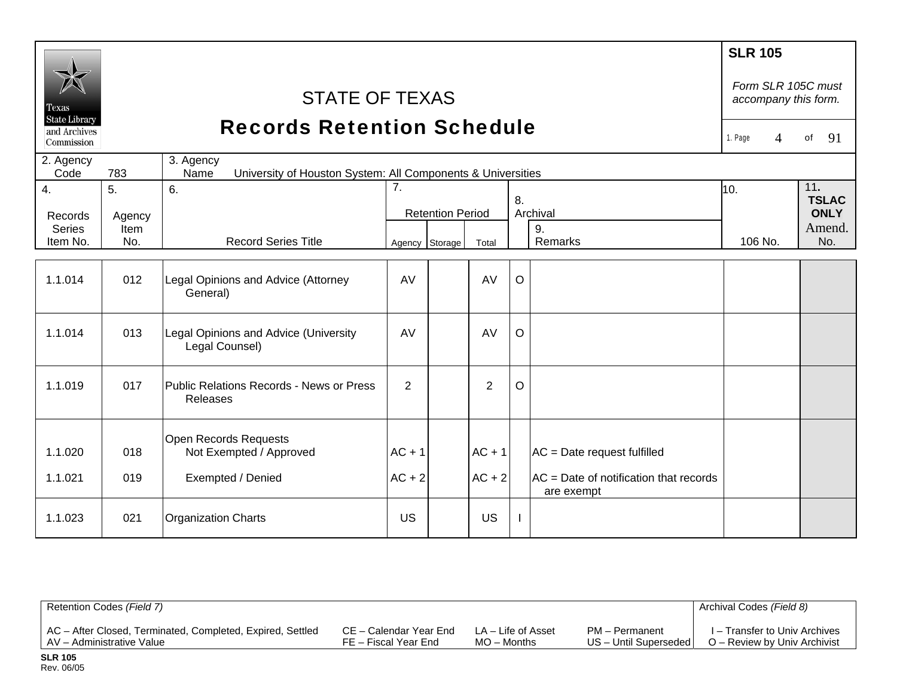| Texas<br><b>State Library</b> |                                   | <b>STATE OF TEXAS</b>                                                            |                      |                         |                      |         |                                                                                       | <b>SLR 105</b><br>Form SLR 105C must<br>accompany this form. |                                    |
|-------------------------------|-----------------------------------|----------------------------------------------------------------------------------|----------------------|-------------------------|----------------------|---------|---------------------------------------------------------------------------------------|--------------------------------------------------------------|------------------------------------|
| and Archives<br>Commission    | <b>Records Retention Schedule</b> |                                                                                  |                      |                         |                      |         |                                                                                       | 1. Page<br>$\Delta$                                          | 91<br>of                           |
| 2. Agency<br>Code             | 783                               | 3. Agency<br>University of Houston System: All Components & Universities<br>Name |                      |                         |                      |         |                                                                                       |                                                              |                                    |
| 4.<br>Records                 | 5.<br>Agency                      | 6.                                                                               | 7.                   | <b>Retention Period</b> |                      | 8.      | Archival                                                                              | 10.                                                          | 11.<br><b>TSLAC</b><br><b>ONLY</b> |
| <b>Series</b><br>Item No.     | Item<br>No.                       | <b>Record Series Title</b>                                                       | Agency Storage       |                         | Total                |         | 9.<br>Remarks                                                                         | 106 No.                                                      | Amend.<br>No.                      |
| 1.1.014                       | 012                               | Legal Opinions and Advice (Attorney<br>General)                                  | AV                   |                         | AV                   | $\circ$ |                                                                                       |                                                              |                                    |
| 1.1.014                       | 013                               | Legal Opinions and Advice (University<br>Legal Counsel)                          | AV                   |                         | AV                   | $\circ$ |                                                                                       |                                                              |                                    |
| 1.1.019                       | 017                               | Public Relations Records - News or Press<br>Releases                             | $\overline{2}$       |                         | $\overline{2}$       | $\circ$ |                                                                                       |                                                              |                                    |
| 1.1.020<br>1.1.021            | 018<br>019                        | Open Records Requests<br>Not Exempted / Approved<br>Exempted / Denied            | $AC + 1$<br>$AC + 2$ |                         | $AC + 1$<br>$AC + 2$ |         | $AC = Date request fulfilled$<br>AC = Date of notification that records<br>are exempt |                                                              |                                    |
| 1.1.023                       | 021                               | <b>Organization Charts</b>                                                       | <b>US</b>            |                         | US                   |         |                                                                                       |                                                              |                                    |

| Retention Codes (Field 7)                                  |                        |                    |                         | Archival Codes (Field 8)      |
|------------------------------------------------------------|------------------------|--------------------|-------------------------|-------------------------------|
| AC - After Closed, Terminated, Completed, Expired, Settled | CE – Calendar Year End | LA – Life of Asset | PM - Permanent          | I – Transfer to Univ Archives |
| AV - Administrative Value                                  | FE – Fiscal Year End   | $MO -$ Months      | US - Until Superseded I | O – Review by Univ Archivist  |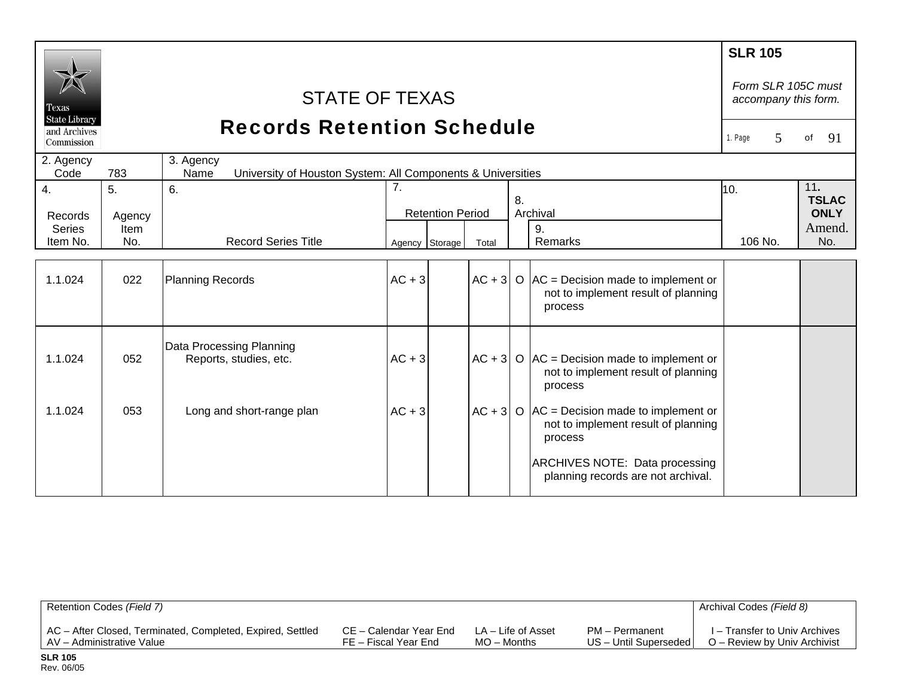| Texas                                                           | <b>SLR 105</b><br>Form SLR 105C must<br><b>STATE OF TEXAS</b><br>accompany this form.<br><b>State Library</b> |                                                    |          |                         |       |    |                                                                                                    |              |                     |
|-----------------------------------------------------------------|---------------------------------------------------------------------------------------------------------------|----------------------------------------------------|----------|-------------------------|-------|----|----------------------------------------------------------------------------------------------------|--------------|---------------------|
| <b>Records Retention Schedule</b><br>and Archives<br>Commission |                                                                                                               |                                                    |          |                         |       |    |                                                                                                    | 1. Page<br>5 | 91<br>of            |
| 2. Agency<br>Code                                               | 3. Agency<br>University of Houston System: All Components & Universities<br>783<br>Name                       |                                                    |          |                         |       |    |                                                                                                    |              |                     |
| 4.                                                              | 5.                                                                                                            | 6.                                                 | 7.       |                         |       |    |                                                                                                    | 10.          | 11.<br><b>TSLAC</b> |
| Records                                                         | Agency                                                                                                        |                                                    |          | <b>Retention Period</b> |       | 8. | Archival                                                                                           |              | <b>ONLY</b>         |
| <b>Series</b>                                                   | Item                                                                                                          |                                                    |          |                         |       |    | 9.                                                                                                 |              | Amend.              |
| Item No.                                                        | No.                                                                                                           | <b>Record Series Title</b>                         |          | Agency Storage          | Total |    | Remarks                                                                                            | 106 No.      | No.                 |
| 1.1.024                                                         | 022                                                                                                           | Planning Records                                   | $AC + 3$ |                         |       |    | $AC + 3 O AC = Decision$ made to implement or<br>not to implement result of planning<br>process    |              |                     |
| 1.1.024                                                         | 052                                                                                                           | Data Processing Planning<br>Reports, studies, etc. | $AC + 3$ |                         |       |    | $ AC + 3  O  AC = Decision$ made to implement or<br>not to implement result of planning<br>process |              |                     |
| 1.1.024                                                         | 053                                                                                                           | Long and short-range plan                          | $AC + 3$ |                         |       |    | $AC + 3$ O $AC = Decision$ made to implement or<br>not to implement result of planning<br>process  |              |                     |
|                                                                 |                                                                                                               |                                                    |          |                         |       |    | ARCHIVES NOTE: Data processing<br>planning records are not archival.                               |              |                     |

| Retention Codes (Field 7)                                  |                        |                    |                         | Archival Codes (Field 8)      |
|------------------------------------------------------------|------------------------|--------------------|-------------------------|-------------------------------|
| AC - After Closed, Terminated, Completed, Expired, Settled | CE – Calendar Year End | LA – Life of Asset | PM - Permanent          | I – Transfer to Univ Archives |
| AV - Administrative Value                                  | FE – Fiscal Year End   | $MO -$ Months      | US - Until Superseded I | O – Review by Univ Archivist  |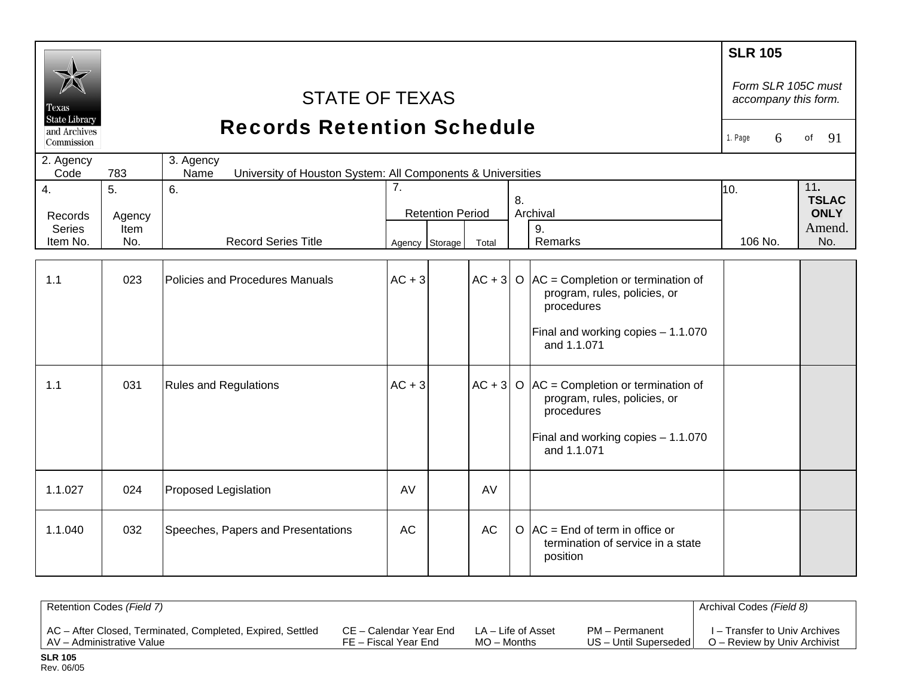| l'exas<br><b>State Library</b> |             | <b>STATE OF TEXAS</b><br><b>Records Retention Schedule</b>                       |                |                         |           |    |                                                                                               | <b>SLR 105</b><br>Form SLR 105C must<br>accompany this form. |                     |
|--------------------------------|-------------|----------------------------------------------------------------------------------|----------------|-------------------------|-----------|----|-----------------------------------------------------------------------------------------------|--------------------------------------------------------------|---------------------|
| and Archives<br>Commission     |             |                                                                                  |                |                         |           |    |                                                                                               | 6<br>1. Page                                                 | 91<br>of            |
| 2. Agency<br>Code              | 783         | 3. Agency<br>University of Houston System: All Components & Universities<br>Name |                |                         |           |    |                                                                                               |                                                              |                     |
| $\overline{4}$ .               | 5.          | 6.                                                                               | 7 <sub>1</sub> |                         |           | 8. |                                                                                               | 10.                                                          | 11.<br><b>TSLAC</b> |
| Records                        | Agency      |                                                                                  |                | <b>Retention Period</b> |           |    | Archival                                                                                      |                                                              | <b>ONLY</b>         |
| <b>Series</b><br>Item No.      | Item<br>No. | <b>Record Series Title</b>                                                       | Agency Storage |                         | Total     |    | 9.<br>Remarks                                                                                 | 106 No.                                                      | Amend.<br>No.       |
|                                |             |                                                                                  |                |                         |           |    |                                                                                               |                                                              |                     |
| 1.1                            | 023         | Policies and Procedures Manuals                                                  | $AC + 3$       |                         |           |    | $AC + 3 O AC =$ Completion or termination of<br>program, rules, policies, or<br>procedures    |                                                              |                     |
|                                |             |                                                                                  |                |                         |           |    | Final and working copies - 1.1.070<br>and 1.1.071                                             |                                                              |                     |
| 1.1                            | 031         | <b>Rules and Regulations</b>                                                     | $AC + 3$       |                         |           |    | $ AC + 3  O  AC =$ Completion or termination of<br>program, rules, policies, or<br>procedures |                                                              |                     |
|                                |             |                                                                                  |                |                         |           |    | Final and working copies - 1.1.070<br>and 1.1.071                                             |                                                              |                     |
| 1.1.027                        | 024         | Proposed Legislation                                                             | AV             |                         | AV        |    |                                                                                               |                                                              |                     |
| 1.1.040                        | 032         | Speeches, Papers and Presentations                                               | <b>AC</b>      |                         | <b>AC</b> |    | $\overline{O}$ AC = End of term in office or<br>termination of service in a state<br>position |                                                              |                     |

| Retention Codes (Field 7)                                  |                        |                    |                         | Archival Codes (Field 8)      |
|------------------------------------------------------------|------------------------|--------------------|-------------------------|-------------------------------|
| AC - After Closed, Terminated, Completed, Expired, Settled | CE – Calendar Year End | LA – Life of Asset | PM - Permanent          | I – Transfer to Univ Archives |
| AV - Administrative Value                                  | FE – Fiscal Year End   | $MO -$ Months      | US – Until Superseded I | O – Review by Univ Archivist  |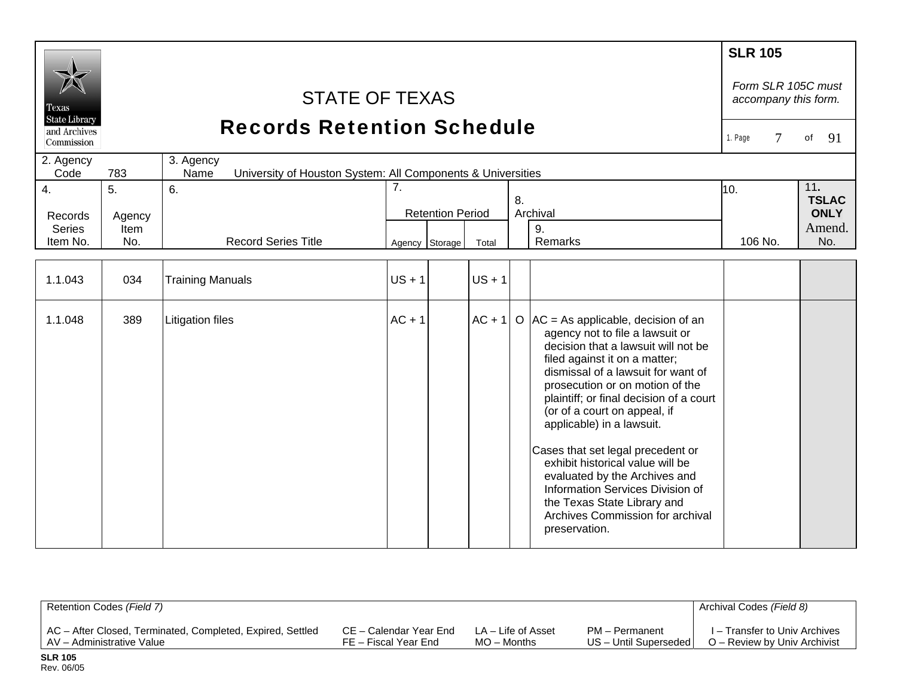| Fexas<br><b>State Library</b><br>and Archives<br>Commission |                             | <b>STATE OF TEXAS</b><br><b>Records Retention Schedule</b>                       |          |                                           |          |    |                                                                                                                                                                                                                                                                                                                                                                                                                                                                                                                                                                       | <b>SLR 105</b><br>Form SLR 105C must<br>accompany this form.<br>$\tau$<br>1. Page | 91<br>of                                            |
|-------------------------------------------------------------|-----------------------------|----------------------------------------------------------------------------------|----------|-------------------------------------------|----------|----|-----------------------------------------------------------------------------------------------------------------------------------------------------------------------------------------------------------------------------------------------------------------------------------------------------------------------------------------------------------------------------------------------------------------------------------------------------------------------------------------------------------------------------------------------------------------------|-----------------------------------------------------------------------------------|-----------------------------------------------------|
| 2. Agency<br>Code                                           | 783                         | 3. Agency<br>Name<br>University of Houston System: All Components & Universities |          |                                           |          |    |                                                                                                                                                                                                                                                                                                                                                                                                                                                                                                                                                                       |                                                                                   |                                                     |
| $\overline{4}$ .<br>Records<br><b>Series</b><br>Item No.    | 5.<br>Agency<br>Item<br>No. | 6.<br><b>Record Series Title</b>                                                 | 7.       | <b>Retention Period</b><br>Agency Storage | Total    | 8. | Archival<br>9.<br>Remarks                                                                                                                                                                                                                                                                                                                                                                                                                                                                                                                                             | 10.<br>106 No.                                                                    | 11.<br><b>TSLAC</b><br><b>ONLY</b><br>Amend.<br>No. |
|                                                             |                             |                                                                                  |          |                                           |          |    |                                                                                                                                                                                                                                                                                                                                                                                                                                                                                                                                                                       |                                                                                   |                                                     |
| 1.1.043                                                     | 034                         | <b>Training Manuals</b>                                                          | $US + 1$ |                                           | $US + 1$ |    |                                                                                                                                                                                                                                                                                                                                                                                                                                                                                                                                                                       |                                                                                   |                                                     |
| 1.1.048                                                     | 389                         | <b>Litigation files</b>                                                          | $AC + 1$ |                                           | $AC + 1$ |    | O $ AC = As$ applicable, decision of an<br>agency not to file a lawsuit or<br>decision that a lawsuit will not be<br>filed against it on a matter;<br>dismissal of a lawsuit for want of<br>prosecution or on motion of the<br>plaintiff; or final decision of a court<br>(or of a court on appeal, if<br>applicable) in a lawsuit.<br>Cases that set legal precedent or<br>exhibit historical value will be<br>evaluated by the Archives and<br>Information Services Division of<br>the Texas State Library and<br>Archives Commission for archival<br>preservation. |                                                                                   |                                                     |

| Retention Codes (Field 7)                                  |                        |                    |                         | Archival Codes (Field 8)      |
|------------------------------------------------------------|------------------------|--------------------|-------------------------|-------------------------------|
| AC - After Closed, Terminated, Completed, Expired, Settled | CE – Calendar Year End | LA – Life of Asset | PM - Permanent          | I – Transfer to Univ Archives |
| AV - Administrative Value                                  | FE – Fiscal Year End   | $MO -$ Months      | US - Until Superseded I | O – Review by Univ Archivist  |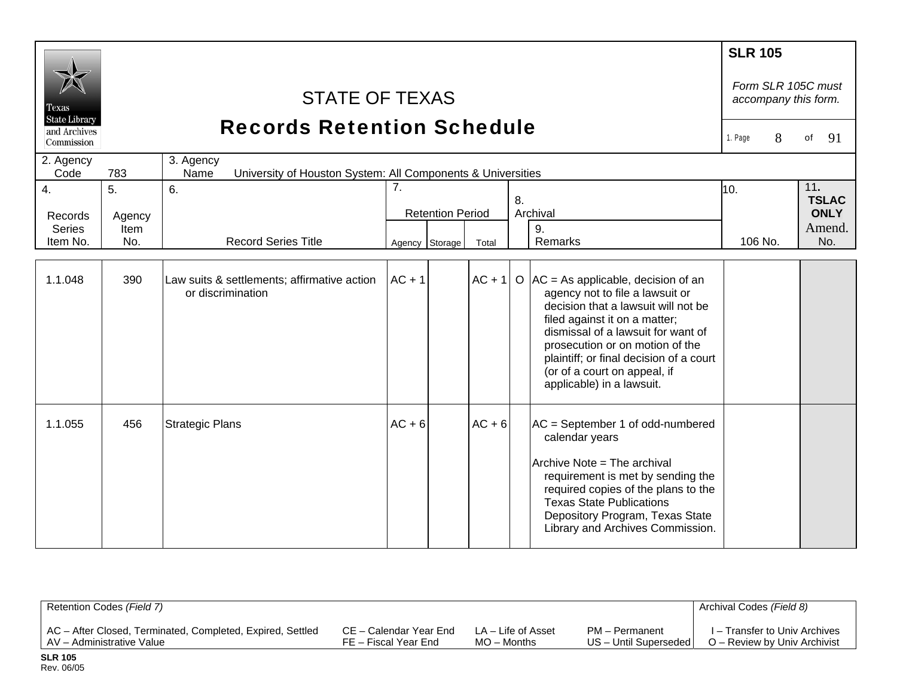| Texas<br><b>State Library</b><br>and Archives<br>Commission |                      | <b>STATE OF TEXAS</b><br><b>Records Retention Schedule</b>                       |          |                         |          |    |                                                                                                                                                                                                                                                                                                                                     | <b>SLR 105</b><br>Form SLR 105C must<br>accompany this form.<br>8<br>1. Page | 91<br>of                                     |
|-------------------------------------------------------------|----------------------|----------------------------------------------------------------------------------|----------|-------------------------|----------|----|-------------------------------------------------------------------------------------------------------------------------------------------------------------------------------------------------------------------------------------------------------------------------------------------------------------------------------------|------------------------------------------------------------------------------|----------------------------------------------|
| 2. Agency<br>Code                                           | 783                  | 3. Agency<br>University of Houston System: All Components & Universities<br>Name |          |                         |          |    |                                                                                                                                                                                                                                                                                                                                     |                                                                              |                                              |
| 4.<br>Records<br><b>Series</b>                              | 5.<br>Agency<br>Item | 6.                                                                               | 7.       | <b>Retention Period</b> |          | 8. | Archival<br>9.                                                                                                                                                                                                                                                                                                                      | 10.                                                                          | 11.<br><b>TSLAC</b><br><b>ONLY</b><br>Amend. |
| Item No.                                                    | No.                  | <b>Record Series Title</b>                                                       |          | Agency Storage          | Total    |    | Remarks                                                                                                                                                                                                                                                                                                                             | 106 No.                                                                      | No.                                          |
| 1.1.048                                                     | 390                  | Law suits & settlements; affirmative action<br>or discrimination                 | $AC + 1$ |                         | $AC + 1$ |    | O $ AC = As$ applicable, decision of an<br>agency not to file a lawsuit or<br>decision that a lawsuit will not be<br>filed against it on a matter;<br>dismissal of a lawsuit for want of<br>prosecution or on motion of the<br>plaintiff; or final decision of a court<br>(or of a court on appeal, if<br>applicable) in a lawsuit. |                                                                              |                                              |
| 1.1.055                                                     | 456                  | <b>Strategic Plans</b>                                                           | $AC + 6$ |                         | $AC + 6$ |    | AC = September 1 of odd-numbered<br>calendar years<br>Archive Note = The archival<br>requirement is met by sending the<br>required copies of the plans to the<br><b>Texas State Publications</b><br>Depository Program, Texas State<br>Library and Archives Commission.                                                             |                                                                              |                                              |

| Retention Codes (Field 7)                                  |                        |                    |                       | Archival Codes (Field 8)      |
|------------------------------------------------------------|------------------------|--------------------|-----------------------|-------------------------------|
| AC – After Closed, Terminated, Completed, Expired, Settled | CE – Calendar Year End | LA – Life of Asset | PM - Permanent        | I – Transfer to Univ Archives |
| AV - Administrative Value                                  | FE – Fiscal Year End   | $MO -$ Months      | US - Until Superseded | O – Review by Univ Archivist  |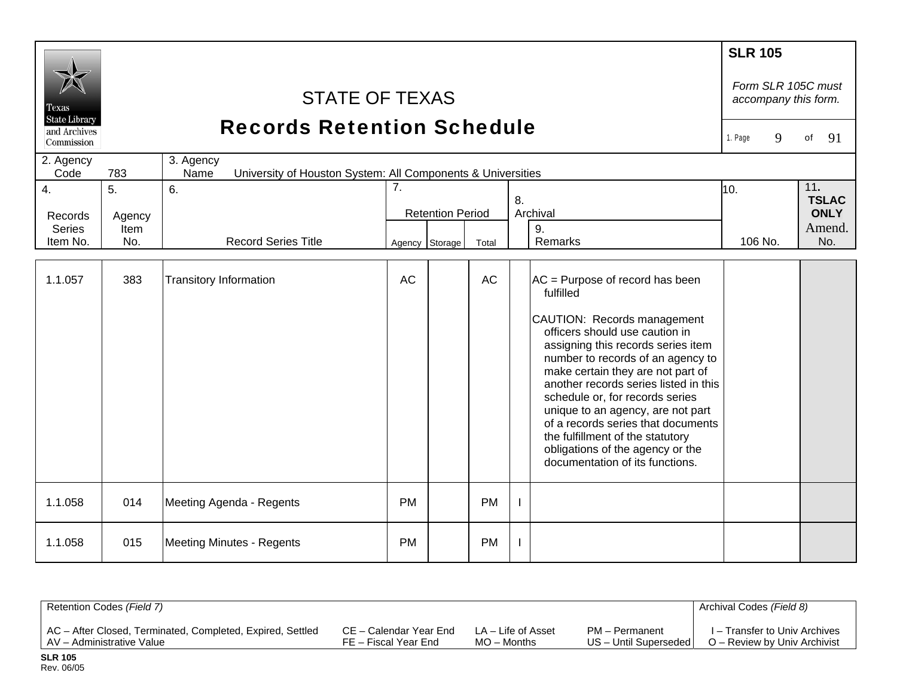| Texas<br><b>State Library</b><br>and Archives<br>Commission<br>2. Agency<br>Code | 783                                     | <b>STATE OF TEXAS</b><br><b>Records Retention Schedule</b><br>3. Agency<br>Name<br>University of Houston System: All Components & Universities |           |                                           |           |    |                                                                                                                                                                                                                                                                                                                                                                                                                                                                                                 | <b>SLR 105</b><br>Form SLR 105C must<br>accompany this form.<br>9<br>1. Page | 91<br>of                                            |
|----------------------------------------------------------------------------------|-----------------------------------------|------------------------------------------------------------------------------------------------------------------------------------------------|-----------|-------------------------------------------|-----------|----|-------------------------------------------------------------------------------------------------------------------------------------------------------------------------------------------------------------------------------------------------------------------------------------------------------------------------------------------------------------------------------------------------------------------------------------------------------------------------------------------------|------------------------------------------------------------------------------|-----------------------------------------------------|
| 4.<br>Records<br><b>Series</b><br>Item No.                                       | 5 <sub>1</sub><br>Agency<br>Item<br>No. | 6.<br><b>Record Series Title</b>                                                                                                               | 7.        | <b>Retention Period</b><br>Agency Storage | Total     | 8. | Archival<br>9.<br>Remarks                                                                                                                                                                                                                                                                                                                                                                                                                                                                       | 10.<br>106 No.                                                               | 11.<br><b>TSLAC</b><br><b>ONLY</b><br>Amend.<br>No. |
| 1.1.057                                                                          | 383                                     | <b>Transitory Information</b>                                                                                                                  | <b>AC</b> |                                           | AC        |    | AC = Purpose of record has been<br>fulfilled<br>CAUTION: Records management<br>officers should use caution in<br>assigning this records series item<br>number to records of an agency to<br>make certain they are not part of<br>another records series listed in this<br>schedule or, for records series<br>unique to an agency, are not part<br>of a records series that documents<br>the fulfillment of the statutory<br>obligations of the agency or the<br>documentation of its functions. |                                                                              |                                                     |
| 1.1.058                                                                          | 014                                     | Meeting Agenda - Regents                                                                                                                       | <b>PM</b> |                                           | <b>PM</b> |    |                                                                                                                                                                                                                                                                                                                                                                                                                                                                                                 |                                                                              |                                                     |
| 1.1.058                                                                          | 015                                     | Meeting Minutes - Regents                                                                                                                      | <b>PM</b> |                                           | <b>PM</b> |    |                                                                                                                                                                                                                                                                                                                                                                                                                                                                                                 |                                                                              |                                                     |

| Retention Codes (Field 7)                                  |                        |                    |                         | Archival Codes (Field 8)      |
|------------------------------------------------------------|------------------------|--------------------|-------------------------|-------------------------------|
| AC – After Closed, Terminated, Completed, Expired, Settled | CE – Calendar Year End | LA – Life of Asset | PM - Permanent          | I – Transfer to Univ Archives |
| AV – Administrative Value                                  | FE – Fiscal Year End   | $MO -$ Months      | US - Until Superseded I | O – Review by Univ Archivist  |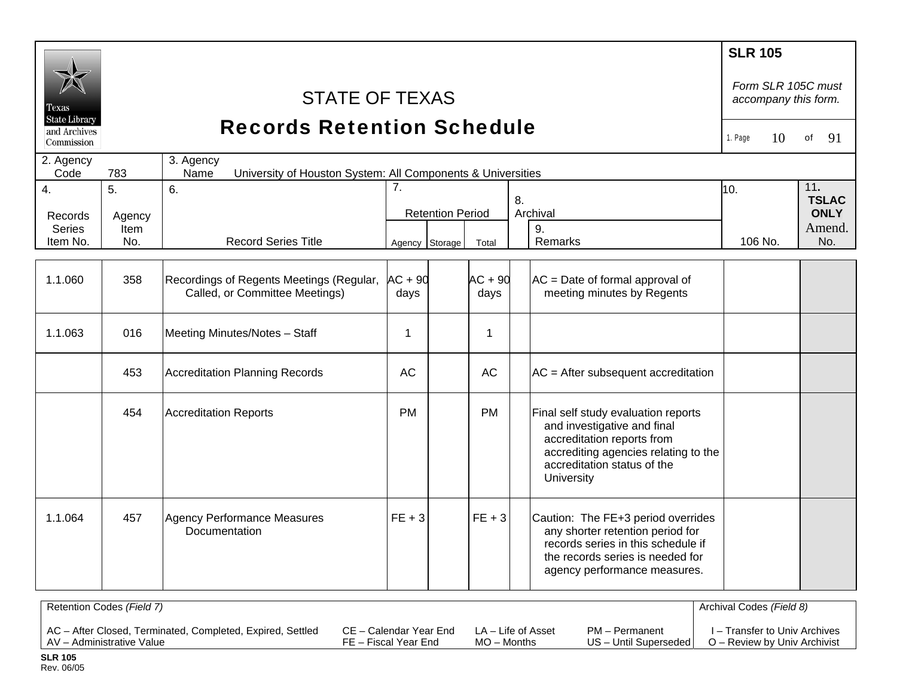|                                                    |                           |                                                                                  |                |                         |              |                                                                                                                                                                                       | <b>SLR 105</b>                             |                     |
|----------------------------------------------------|---------------------------|----------------------------------------------------------------------------------|----------------|-------------------------|--------------|---------------------------------------------------------------------------------------------------------------------------------------------------------------------------------------|--------------------------------------------|---------------------|
| Texas                                              |                           | <b>STATE OF TEXAS</b>                                                            |                |                         |              |                                                                                                                                                                                       | Form SLR 105C must<br>accompany this form. |                     |
| <b>State Library</b><br>and Archives<br>Commission |                           | <b>Records Retention Schedule</b>                                                |                |                         |              |                                                                                                                                                                                       | 10<br>1. Page                              | 91<br>of            |
| 2. Agency<br>Code                                  | 783                       | 3. Agency<br>University of Houston System: All Components & Universities<br>Name |                |                         |              |                                                                                                                                                                                       |                                            |                     |
| 4.                                                 | 5.                        | 6.                                                                               | 7 <sub>1</sub> |                         |              | 8.                                                                                                                                                                                    | 10.                                        | 11.<br><b>TSLAC</b> |
| Records                                            | Agency                    |                                                                                  |                | <b>Retention Period</b> |              | Archival                                                                                                                                                                              |                                            | <b>ONLY</b>         |
| <b>Series</b>                                      | <b>Item</b>               |                                                                                  |                |                         |              | 9.                                                                                                                                                                                    |                                            | Amend.              |
| Item No.                                           | No.                       | <b>Record Series Title</b>                                                       |                | Agency Storage          | Total        | Remarks                                                                                                                                                                               | 106 No.                                    | No.                 |
|                                                    |                           |                                                                                  |                |                         |              |                                                                                                                                                                                       |                                            |                     |
| 1.1.060                                            | 358                       | Recordings of Regents Meetings (Regular, AC + 90                                 |                |                         | $AC + 90$    | $AC = Date of formal approval of$                                                                                                                                                     |                                            |                     |
|                                                    |                           | Called, or Committee Meetings)                                                   | days           |                         | days         | meeting minutes by Regents                                                                                                                                                            |                                            |                     |
|                                                    |                           |                                                                                  |                |                         |              |                                                                                                                                                                                       |                                            |                     |
| 1.1.063                                            | 016                       | Meeting Minutes/Notes - Staff                                                    | 1              |                         | $\mathbf{1}$ |                                                                                                                                                                                       |                                            |                     |
|                                                    | 453                       | <b>Accreditation Planning Records</b>                                            | <b>AC</b>      |                         | <b>AC</b>    | $AC = After subsequent accreditation$                                                                                                                                                 |                                            |                     |
|                                                    | 454                       | <b>Accreditation Reports</b>                                                     | <b>PM</b>      |                         | <b>PM</b>    | Final self study evaluation reports<br>and investigative and final<br>accreditation reports from<br>accrediting agencies relating to the<br>accreditation status of the<br>University |                                            |                     |
| 1.1.064                                            | 457                       | <b>Agency Performance Measures</b><br>Documentation                              | $FE + 3$       |                         | $FE + 3$     | Caution: The FE+3 period overrides<br>any shorter retention period for<br>records series in this schedule if<br>the records series is needed for<br>agency performance measures.      |                                            |                     |
|                                                    | Retention Codes (Field 7) |                                                                                  |                |                         |              |                                                                                                                                                                                       | Archival Codes (Field 8)                   |                     |
|                                                    |                           |                                                                                  |                |                         |              |                                                                                                                                                                                       |                                            |                     |

| LAV – Administrative Value<br>FE – Fiscal Year End | $MO -$ Months | US – Until Superseded l | O – Review by Univ Archivist |
|----------------------------------------------------|---------------|-------------------------|------------------------------|
|----------------------------------------------------|---------------|-------------------------|------------------------------|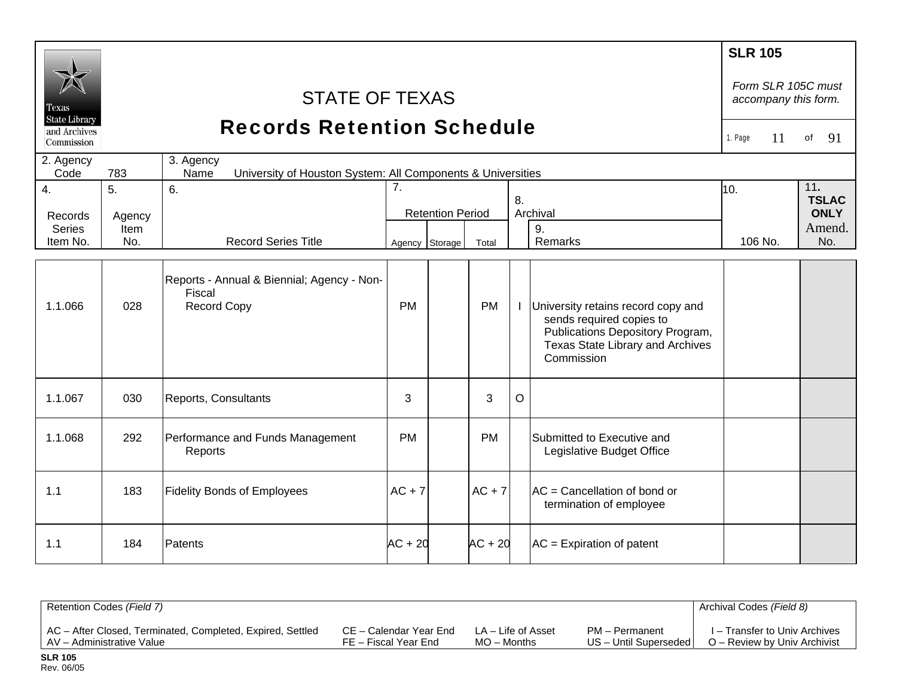| Texas<br><b>State Library</b><br>and Archives<br>Commission<br>2. Agency<br>Code | 783                         | <b>STATE OF TEXAS</b><br><b>Records Retention Schedule</b><br>3. Agency<br>University of Houston System: All Components & Universities<br>Name |                      |                         |           |    |                                                                                                                                                      | <b>SLR 105</b><br>Form SLR 105C must<br>accompany this form.<br>1. Page<br>11 | of<br>91                                            |
|----------------------------------------------------------------------------------|-----------------------------|------------------------------------------------------------------------------------------------------------------------------------------------|----------------------|-------------------------|-----------|----|------------------------------------------------------------------------------------------------------------------------------------------------------|-------------------------------------------------------------------------------|-----------------------------------------------------|
| $\overline{4}$ .<br>Records<br><b>Series</b><br>Item No.                         | 5.<br>Agency<br>Item<br>No. | 6.<br><b>Record Series Title</b>                                                                                                               | 7.<br>Agency Storage | <b>Retention Period</b> | Total     | 8. | Archival<br>9.<br>Remarks                                                                                                                            | 10.<br>106 No.                                                                | 11.<br><b>TSLAC</b><br><b>ONLY</b><br>Amend.<br>No. |
| 1.1.066                                                                          | 028                         | Reports - Annual & Biennial; Agency - Non-<br>Fiscal<br><b>Record Copy</b>                                                                     | <b>PM</b>            |                         | <b>PM</b> |    | University retains record copy and<br>sends required copies to<br>Publications Depository Program,<br>Texas State Library and Archives<br>Commission |                                                                               |                                                     |
| 1.1.067                                                                          | 030                         | Reports, Consultants                                                                                                                           | 3                    |                         | 3         | O  |                                                                                                                                                      |                                                                               |                                                     |
| 1.1.068                                                                          | 292                         | Performance and Funds Management<br>Reports                                                                                                    | <b>PM</b>            |                         | <b>PM</b> |    | Submitted to Executive and<br>Legislative Budget Office                                                                                              |                                                                               |                                                     |
| 1.1                                                                              | 183                         | <b>Fidelity Bonds of Employees</b>                                                                                                             | $AC + 7$             |                         | $AC + 7$  |    | $AC = C$ ancellation of bond or<br>termination of employee                                                                                           |                                                                               |                                                     |
| 1.1                                                                              | 184                         | Patents                                                                                                                                        | $AC + 20$            |                         | $AC + 20$ |    | $AC =$ Expiration of patent                                                                                                                          |                                                                               |                                                     |

| Retention Codes (Field 7)                                  |                        |                    |                       | Archival Codes (Field 8)      |
|------------------------------------------------------------|------------------------|--------------------|-----------------------|-------------------------------|
| AC - After Closed, Terminated, Completed, Expired, Settled | CE – Calendar Year End | LA – Life of Asset | PM - Permanent        | I – Transfer to Univ Archives |
| AV – Administrative Value                                  | FE – Fiscal Year End   | $MO -$ Months      | US - Until Superseded | O – Review by Univ Archivist  |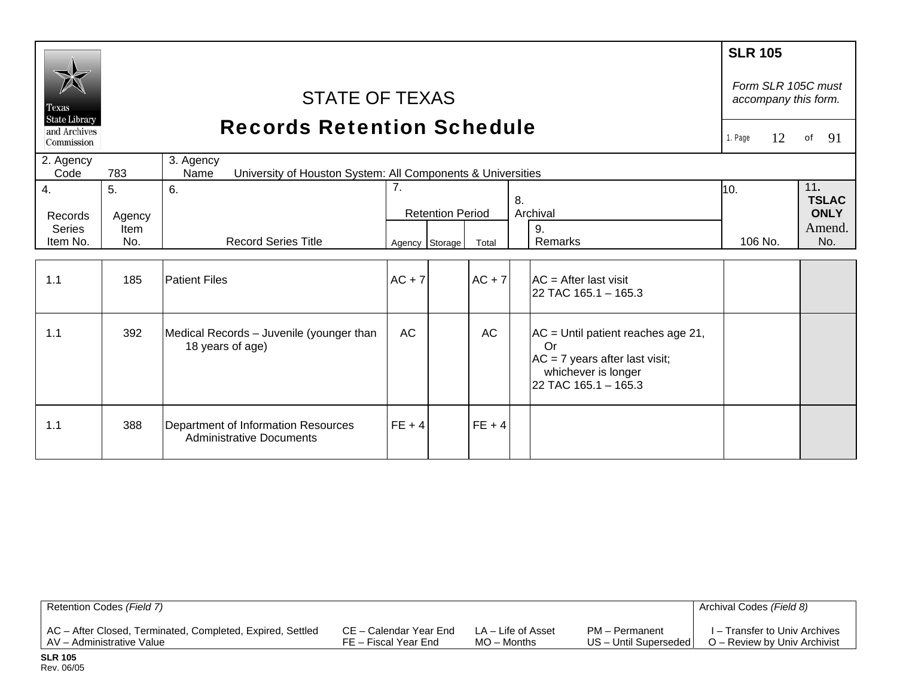|                                      |                |                                                                                  |           |                         |           |    |                                                                                                                               | <b>SLR 105</b>                             |    |                             |
|--------------------------------------|----------------|----------------------------------------------------------------------------------|-----------|-------------------------|-----------|----|-------------------------------------------------------------------------------------------------------------------------------|--------------------------------------------|----|-----------------------------|
| <b>Texas</b><br><b>State Library</b> |                | <b>STATE OF TEXAS</b>                                                            |           |                         |           |    |                                                                                                                               | Form SLR 105C must<br>accompany this form. |    |                             |
| and Archives<br>Commission           |                | <b>Records Retention Schedule</b>                                                |           |                         |           |    |                                                                                                                               | 1. Page                                    | 12 | 91<br>of                    |
| 2. Agency<br>Code                    | 783            | 3. Agency<br>University of Houston System: All Components & Universities<br>Name |           |                         |           |    |                                                                                                                               |                                            |    |                             |
| 4.                                   | 5.             | 6.                                                                               | 7.        |                         |           |    |                                                                                                                               | 10.                                        |    | 11.                         |
| Records                              |                |                                                                                  |           | <b>Retention Period</b> |           | 8. | Archival                                                                                                                      |                                            |    | <b>TSLAC</b><br><b>ONLY</b> |
| <b>Series</b>                        | Agency<br>Item |                                                                                  |           |                         |           |    | 9.                                                                                                                            |                                            |    | Amend.                      |
| Item No.                             | No.            | <b>Record Series Title</b>                                                       |           | Agency Storage          | Total     |    | Remarks                                                                                                                       | 106 No.                                    |    | No.                         |
|                                      |                |                                                                                  |           |                         |           |    |                                                                                                                               |                                            |    |                             |
| 1.1                                  | 185            | <b>Patient Files</b>                                                             | $AC + 7$  |                         | $AC + 7$  |    | $AC = After last visit$<br>22 TAC 165.1 - 165.3                                                                               |                                            |    |                             |
|                                      |                |                                                                                  |           |                         |           |    |                                                                                                                               |                                            |    |                             |
| 1.1                                  | 392            | Medical Records - Juvenile (younger than<br>18 years of age)                     | <b>AC</b> |                         | <b>AC</b> |    | $AC =$ Until patient reaches age 21,<br>Or<br>$AC = 7$ years after last visit;<br>whichever is longer<br>22 TAC 165.1 - 165.3 |                                            |    |                             |
| 1.1                                  | 388            | Department of Information Resources<br><b>Administrative Documents</b>           | $FE + 4$  |                         | $FE + 4$  |    |                                                                                                                               |                                            |    |                             |

| Retention Codes (Field 7)                                  |                        |                    |                         | Archival Codes (Field 8)      |
|------------------------------------------------------------|------------------------|--------------------|-------------------------|-------------------------------|
| AC – After Closed, Terminated, Completed, Expired, Settled | CE – Calendar Year End | LA – Life of Asset | PM - Permanent          | I – Transfer to Univ Archives |
| AV – Administrative Value                                  | FE – Fiscal Year End   | $MO -$ Months      | US - Until Superseded I | O – Review by Univ Archivist  |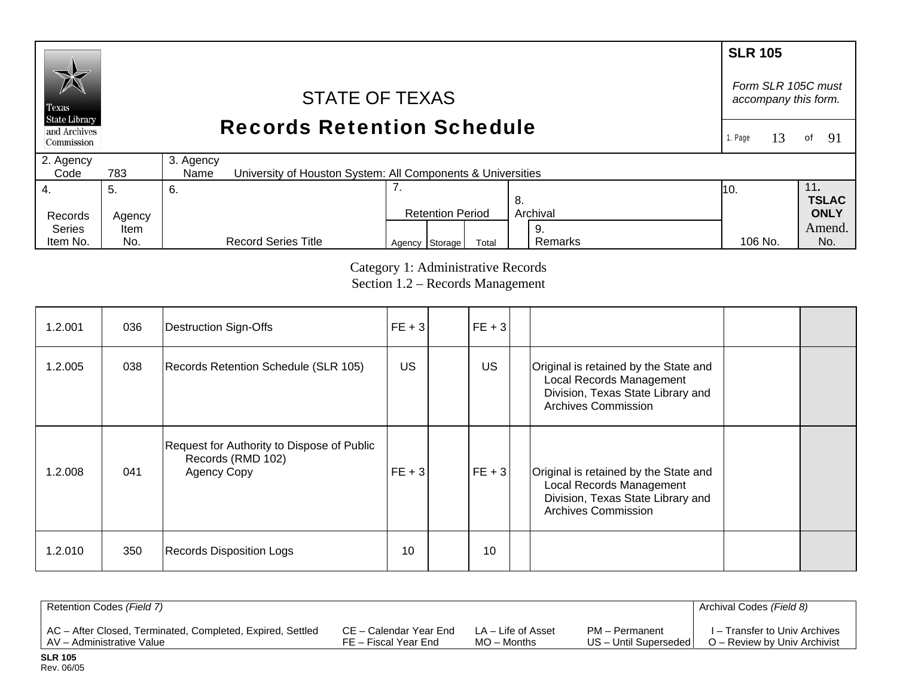#### **SLR 105** *Form SLR 105C must* STATE OF TEXAS *accompany this form.*  Texas **State Library** Records Retention Schedule and Archives 1. Page 13of  $91$ Commission 2. Agency 3. Agency  $Code$ 783 University of Houston System: All Components & Universities 4. 7. 11**.**  5. 6. 10. **TSLAC** 8. Records Agency Retention Period Archival **ONLY**  Series Amend. Item 9. Remarks Agency Storage Total Remarks 106 No. No.

Category 1: Administrative Records Section 1.2 – Records Management

106 No.

| 1.2.001 | 036 | Destruction Sign-Offs                                                                 | $FE + 3$  | $FE + 3$  |                                                                                                                                      |  |
|---------|-----|---------------------------------------------------------------------------------------|-----------|-----------|--------------------------------------------------------------------------------------------------------------------------------------|--|
| 1.2.005 | 038 | Records Retention Schedule (SLR 105)                                                  | <b>US</b> | <b>US</b> | Original is retained by the State and<br>Local Records Management<br>Division, Texas State Library and<br><b>Archives Commission</b> |  |
| 1.2.008 | 041 | Request for Authority to Dispose of Public<br>Records (RMD 102)<br><b>Agency Copy</b> | $FE + 3$  | $FE + 3$  | Original is retained by the State and<br>Local Records Management<br>Division, Texas State Library and<br><b>Archives Commission</b> |  |
| 1.2.010 | 350 | <b>Records Disposition Logs</b>                                                       | 10        | 10        |                                                                                                                                      |  |

| Retention Codes (Field 7)                                  |                        |                    |                         | Archival Codes (Field 8)      |
|------------------------------------------------------------|------------------------|--------------------|-------------------------|-------------------------------|
| AC - After Closed, Terminated, Completed, Expired, Settled | CE – Calendar Year End | LA – Life of Asset | PM - Permanent          | I – Transfer to Univ Archives |
| I AV – Administrative Value                                | FE – Fiscal Year End   | MO – Months        | US - Until Superseded I | O – Review by Univ Archivist  |

Item No.

No.

Record Series Title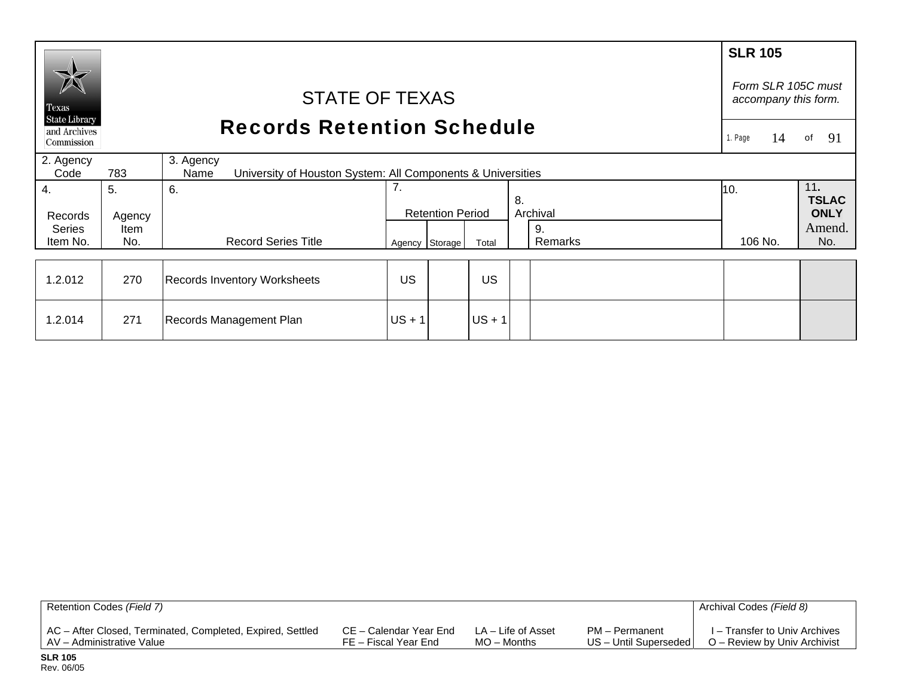|                                                    |                                                                                         |                                     |          |                         |          |    |               | <b>SLR 105</b>                             |                     |
|----------------------------------------------------|-----------------------------------------------------------------------------------------|-------------------------------------|----------|-------------------------|----------|----|---------------|--------------------------------------------|---------------------|
| Texas                                              |                                                                                         | <b>STATE OF TEXAS</b>               |          |                         |          |    |               | Form SLR 105C must<br>accompany this form. |                     |
| <b>State Library</b><br>and Archives<br>Commission |                                                                                         | <b>Records Retention Schedule</b>   |          |                         |          |    |               |                                            | 91<br>of            |
| 2. Agency<br>Code                                  | 3. Agency<br>783<br>University of Houston System: All Components & Universities<br>Name |                                     |          |                         |          |    |               |                                            |                     |
| 4.                                                 | 5.                                                                                      | 6.                                  | 7.       |                         |          | 8. |               | 10.                                        | 11.<br><b>TSLAC</b> |
| Records                                            | Agency                                                                                  |                                     |          | <b>Retention Period</b> |          |    | Archival      |                                            | <b>ONLY</b>         |
| <b>Series</b><br>Item No.                          | Item<br>No.                                                                             | <b>Record Series Title</b>          |          | Agency Storage          | Total    |    | 9.<br>Remarks | 106 No.                                    | Amend.<br>No.       |
|                                                    |                                                                                         |                                     |          |                         |          |    |               |                                            |                     |
| 1.2.012                                            | 270                                                                                     | <b>Records Inventory Worksheets</b> | US       |                         | US       |    |               |                                            |                     |
| 1.2.014                                            | 271                                                                                     | Records Management Plan             | $US + 1$ |                         | $US + 1$ |    |               |                                            |                     |

| Retention Codes (Field 7)                                  |                        |                    |                         | Archival Codes (Field 8)      |
|------------------------------------------------------------|------------------------|--------------------|-------------------------|-------------------------------|
| AC - After Closed, Terminated, Completed, Expired, Settled | CE – Calendar Year End | LA – Life of Asset | PM - Permanent          | I – Transfer to Univ Archives |
| AV – Administrative Value                                  | FE – Fiscal Year End   | MO – Months        | US - Until Superseded I | O – Review by Univ Archivist  |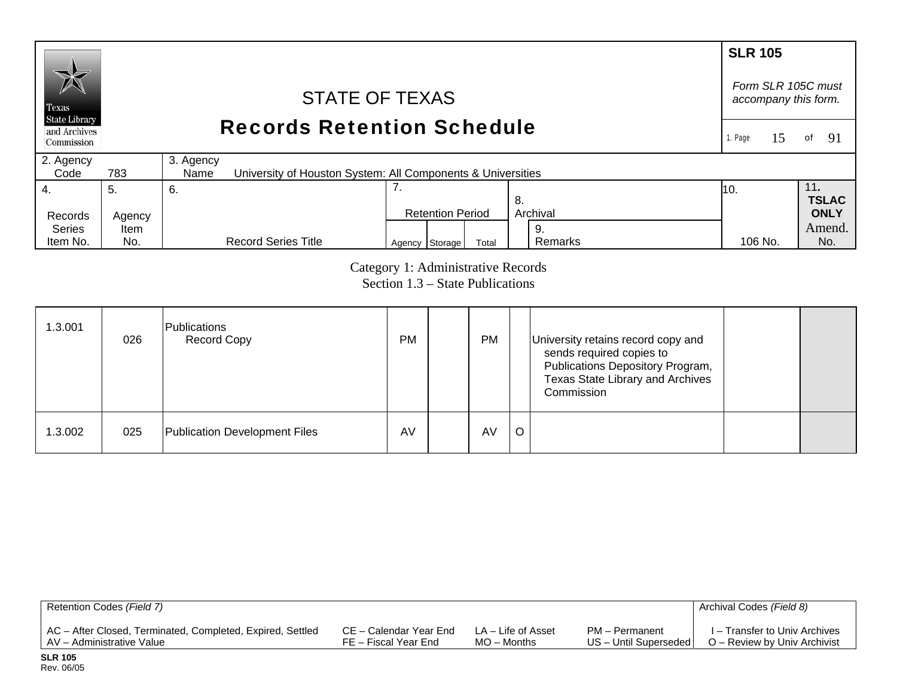#### **SLR 105** *Form SLR 105C must* STATE OF TEXAS *accompany this form.*  Texas **State Library** Records Retention Schedule and Archives 1. Page 15of 91 Commission 2. Agency 3. Agency  $Code$ 783 University of Houston System: All Components & Universities 4. 7. 11**.**  5. 6. 10. **TSLAC** 8. Records Agency Retention Period Archival **ONLY**  Series Amend. Item 9. Remarks Agency Storage Total Remarks 106 No. No. Item No. No. Record Series Title 106 No.

Category 1: Administrative Records Section 1.3 – State Publications

| 1.3.001 | 026 | Publications<br><b>Record Copy</b> | <b>PM</b> | <b>PM</b> |   | University retains record copy and<br>sends required copies to<br>Publications Depository Program,<br>Texas State Library and Archives<br>Commission |  |
|---------|-----|------------------------------------|-----------|-----------|---|------------------------------------------------------------------------------------------------------------------------------------------------------|--|
| 1.3.002 | 025 | Publication Development Files      | AV        | AV        | O |                                                                                                                                                      |  |

| Retention Codes (Field 7)                                  |                        |                    |                         | Archival Codes (Field 8)      |
|------------------------------------------------------------|------------------------|--------------------|-------------------------|-------------------------------|
| AC - After Closed, Terminated, Completed, Expired, Settled | CE – Calendar Year End | LA – Life of Asset | PM - Permanent          | I – Transfer to Univ Archives |
| LAV – Administrative Value                                 | FE – Fiscal Year End   | $MO -$ Months      | US - Until Superseded I | O – Review by Univ Archivist  |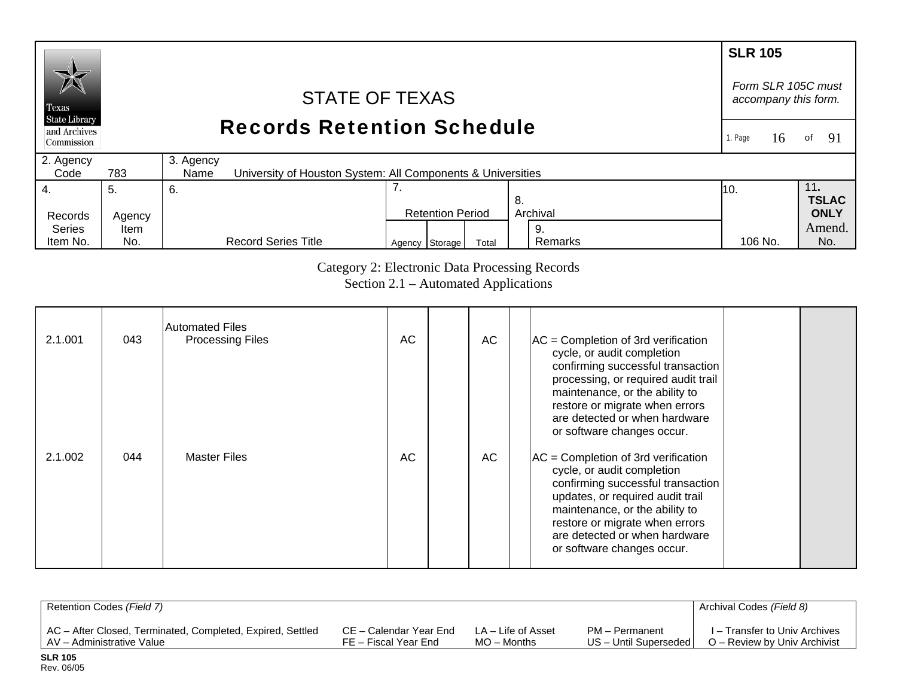#### **SLR 105** *Form SLR 105C must* STATE OF TEXAS *accompany this form.*  Texas **State Library** Records Retention Schedule and Archives 1. Page 16of 91 Commission 2. Agency 3. Agency  $Code$ 783 University of Houston System: All Components & Universities 7. 4. 11**.**  5. 6. 10. **TSLAC** 8. **ONLY** Records Agency Retention Period Archival Amend.Series Item 9. Record Series Title Item No. No. Agency Storage Total Remarks 106 No. No. Remarks 106 No.

Category 2: Electronic Data Processing Records

Section 2.1 – Automated Applications

| 2.1.001 | 043 | <b>Automated Files</b><br><b>Processing Files</b> | AC | AC | $AC =$ Completion of 3rd verification<br>cycle, or audit completion<br>confirming successful transaction<br>processing, or required audit trail<br>maintenance, or the ability to<br>restore or migrate when errors<br>are detected or when hardware                                                          |
|---------|-----|---------------------------------------------------|----|----|---------------------------------------------------------------------------------------------------------------------------------------------------------------------------------------------------------------------------------------------------------------------------------------------------------------|
| 2.1.002 | 044 | <b>Master Files</b>                               | AC | AC | or software changes occur.<br>$AC =$ Completion of 3rd verification<br>cycle, or audit completion<br>confirming successful transaction<br>updates, or required audit trail<br>maintenance, or the ability to<br>restore or migrate when errors<br>are detected or when hardware<br>or software changes occur. |

| Retention Codes (Field 7)                                  |                        |                    |                       | Archival Codes (Field 8)      |
|------------------------------------------------------------|------------------------|--------------------|-----------------------|-------------------------------|
| AC - After Closed, Terminated, Completed, Expired, Settled | CE – Calendar Year End | LA – Life of Asset | PM – Permanent        | I – Transfer to Univ Archives |
| AV – Administrative Value                                  | FE – Fiscal Year End   | MO – Months        | US - Until Superseded | O – Review by Univ Archivist  |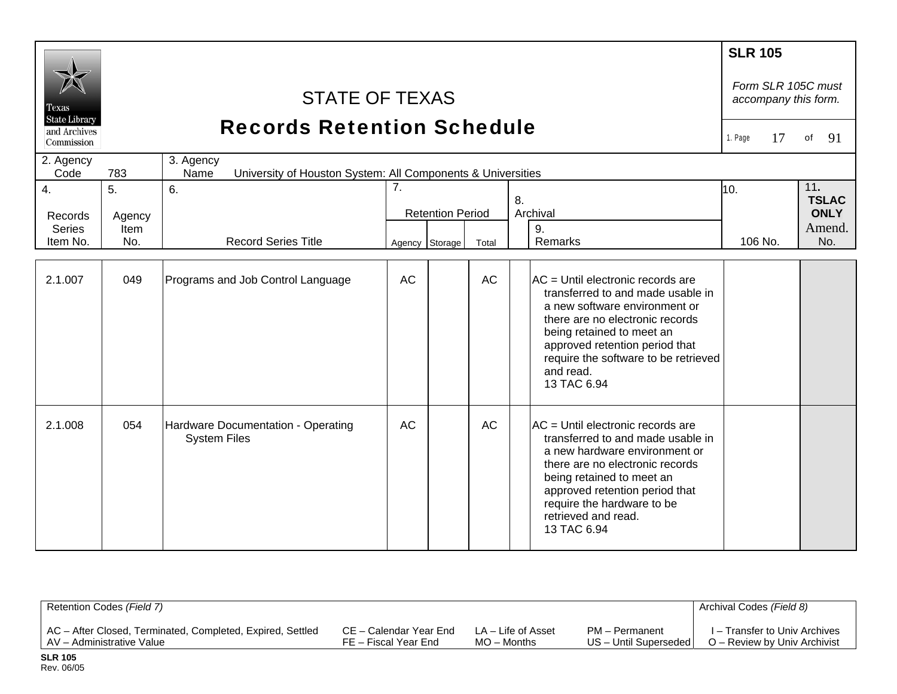| Texas<br><b>State Library</b><br>and Archives<br>Commission<br>2. Agency |                             | <b>STATE OF TEXAS</b><br><b>Records Retention Schedule</b><br>3. Agency |           |                         |           |                                                                                                                                                                                                                                                                               | <b>SLR 105</b><br>Form SLR 105C must<br>accompany this form.<br>17<br>1. Page | 91<br>of                                            |
|--------------------------------------------------------------------------|-----------------------------|-------------------------------------------------------------------------|-----------|-------------------------|-----------|-------------------------------------------------------------------------------------------------------------------------------------------------------------------------------------------------------------------------------------------------------------------------------|-------------------------------------------------------------------------------|-----------------------------------------------------|
| Code                                                                     | 783                         | University of Houston System: All Components & Universities<br>Name     |           |                         |           |                                                                                                                                                                                                                                                                               |                                                                               |                                                     |
| 4.<br>Records<br><b>Series</b><br>Item No.                               | 5.<br>Agency<br>Item<br>No. | 6.<br><b>Record Series Title</b>                                        | 7.        | <b>Retention Period</b> |           | 8.<br>Archival<br>9.<br><b>Remarks</b>                                                                                                                                                                                                                                        | 10.                                                                           | 11.<br><b>TSLAC</b><br><b>ONLY</b><br>Amend.<br>No. |
|                                                                          |                             |                                                                         |           | Agency Storage          | Total     |                                                                                                                                                                                                                                                                               | 106 No.                                                                       |                                                     |
| 2.1.007                                                                  | 049                         | Programs and Job Control Language                                       | <b>AC</b> |                         | <b>AC</b> | AC = Until electronic records are<br>transferred to and made usable in<br>a new software environment or<br>there are no electronic records<br>being retained to meet an<br>approved retention period that<br>require the software to be retrieved<br>and read.<br>13 TAC 6.94 |                                                                               |                                                     |
| 2.1.008                                                                  | 054                         | Hardware Documentation - Operating<br><b>System Files</b>               | AC        |                         | <b>AC</b> | AC = Until electronic records are<br>transferred to and made usable in<br>a new hardware environment or<br>there are no electronic records<br>being retained to meet an<br>approved retention period that<br>require the hardware to be<br>retrieved and read.<br>13 TAC 6.94 |                                                                               |                                                     |

| Retention Codes (Field 7)                                  |                        |                    |                         | Archival Codes (Field 8)      |
|------------------------------------------------------------|------------------------|--------------------|-------------------------|-------------------------------|
| AC - After Closed, Terminated, Completed, Expired, Settled | CE – Calendar Year End | LA – Life of Asset | PM - Permanent          | I – Transfer to Univ Archives |
| LAV – Administrative Value                                 | FE – Fiscal Year End   | $MO -$ Months      | US - Until Superseded I | O – Review by Univ Archivist  |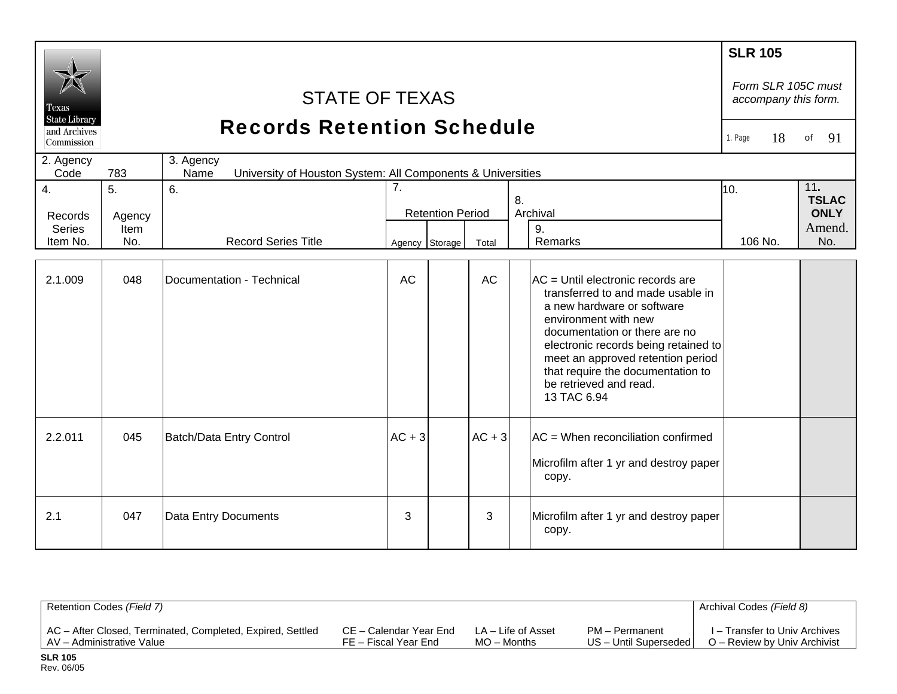| Texas<br><b>State Library</b><br>and Archives<br>Commission<br>2. Agency<br>Code | 783                         | <b>Records Retention Schedule</b>                                                                       | <b>SLR 105</b><br>Form SLR 105C must<br>accompany this form.<br>18<br>1. Page | 91<br>of                |          |                                                                                                                                                                                                                                                                                                                          |                |                                                     |
|----------------------------------------------------------------------------------|-----------------------------|---------------------------------------------------------------------------------------------------------|-------------------------------------------------------------------------------|-------------------------|----------|--------------------------------------------------------------------------------------------------------------------------------------------------------------------------------------------------------------------------------------------------------------------------------------------------------------------------|----------------|-----------------------------------------------------|
| 4.<br>Records<br><b>Series</b><br>Item No.                                       | 5.<br>Agency<br>Item<br>No. | University of Houston System: All Components & Universities<br>Name<br>6.<br><b>Record Series Title</b> | 7.<br>Agency Storage                                                          | <b>Retention Period</b> | Total    | 8.<br>Archival<br>9.<br>Remarks                                                                                                                                                                                                                                                                                          | 10.<br>106 No. | 11.<br><b>TSLAC</b><br><b>ONLY</b><br>Amend.<br>No. |
| 2.1.009                                                                          | 048                         | Documentation - Technical                                                                               | <b>AC</b>                                                                     |                         | AC       | AC = Until electronic records are<br>transferred to and made usable in<br>a new hardware or software<br>environment with new<br>documentation or there are no<br>electronic records being retained to<br>meet an approved retention period<br>that require the documentation to<br>be retrieved and read.<br>13 TAC 6.94 |                |                                                     |
| 2.2.011                                                                          | 045                         | Batch/Data Entry Control                                                                                | $AC + 3$                                                                      |                         | $AC + 3$ | $AC =$ When reconciliation confirmed<br>Microfilm after 1 yr and destroy paper<br>copy.                                                                                                                                                                                                                                  |                |                                                     |
| 2.1                                                                              | 047                         | Data Entry Documents                                                                                    | 3                                                                             |                         | 3        | Microfilm after 1 yr and destroy paper<br>copy.                                                                                                                                                                                                                                                                          |                |                                                     |

| Retention Codes (Field 7)                                  |                        |                    |                       | Archival Codes (Field 8)      |
|------------------------------------------------------------|------------------------|--------------------|-----------------------|-------------------------------|
| AC - After Closed, Terminated, Completed, Expired, Settled | CE – Calendar Year End | LA – Life of Asset | PM - Permanent        | I – Transfer to Univ Archives |
| AV - Administrative Value                                  | FE – Fiscal Year End   | $MO -$ Months      | US - Until Superseded | O – Review by Univ Archivist  |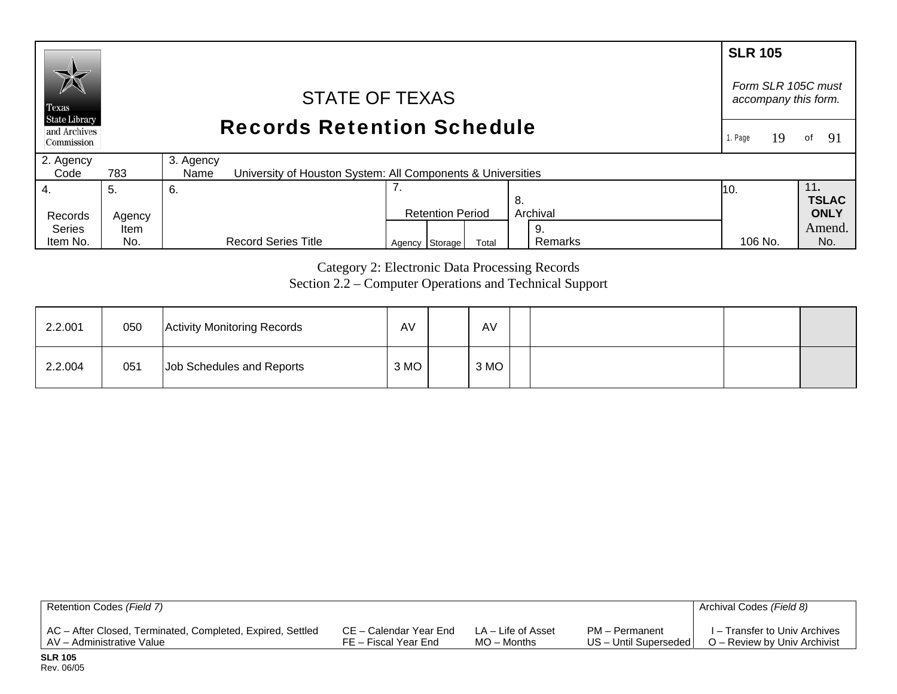#### **SLR 105** *Form SLR 105C must* STATE OF TEXAS *accompany this form.*  Texas **State Library** Records Retention Schedule and Archives 1. Page 19 of  $91$ Commission 2. Agency 3. Agency  $Code$ 783 University of Houston System: All Components & Universities 7. 4. 11**.**  5. 6. 10. **TSLAC** 8. Records Agency Retention Period Archival **ONLY**  Series Amend.Item 9. Agency Storage Total Remarks 106 No. No. Item No. No. Record Series Title Remarks 106 No.

Category 2: Electronic Data Processing Records Section 2.2 – Computer Operations and Technical Support

| 2.2.001 | 050 | <b>Activity Monitoring Records</b> | AV   | AV   |  |  |
|---------|-----|------------------------------------|------|------|--|--|
| 2.2.004 | 051 | Job Schedules and Reports          | 3 MO | 3 MO |  |  |

| Retention Codes (Field 7)                                  |                        |                    |                         | Archival Codes (Field 8)      |
|------------------------------------------------------------|------------------------|--------------------|-------------------------|-------------------------------|
| AC - After Closed, Terminated, Completed, Expired, Settled | CE – Calendar Year End | LA – Life of Asset | PM - Permanent          | I – Transfer to Univ Archives |
| AV - Administrative Value                                  | FE – Fiscal Year End   | MO – Months        | US - Until Superseded I | O – Review by Univ Archivist  |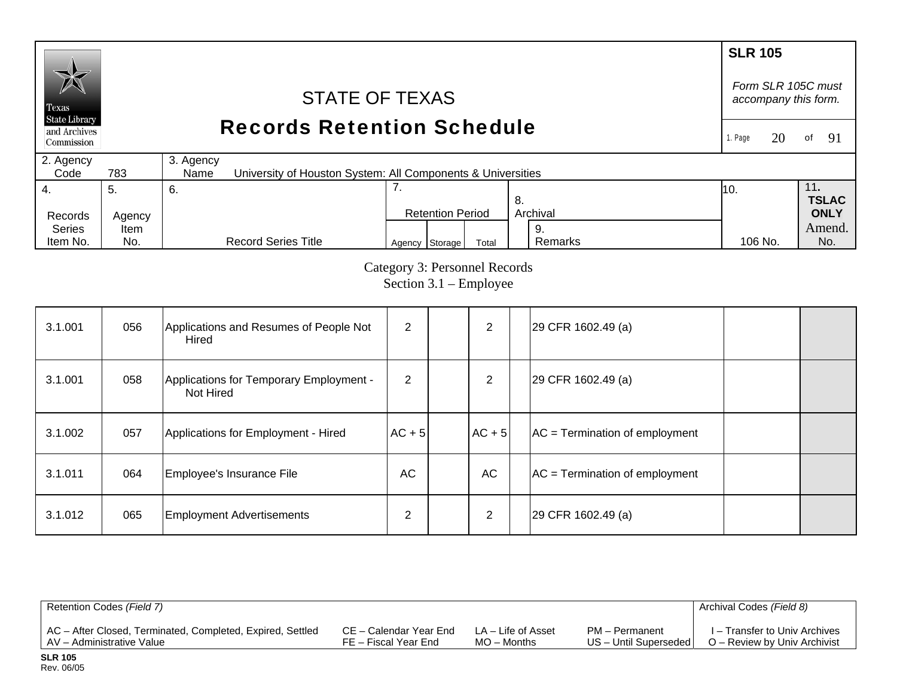#### **SLR 105** *Form SLR 105C must* STATE OF TEXAS *accompany this form.*  Texas **State Library** Records Retention Schedule and Archives 1. Page  $20$ of  $91$ Commission 2. Agency 3. Agency  $Code$ 783 University of Houston System: All Components & Universities 4. 7. 11**.**  5. 6. 10. **TSLAC** 8. Records Agency Retention Period Archival **ONLY**  Series Amend. Item 9. Agency Storage Total Remarks 106 No. No. Item No. No. Record Series Title Remarks 106 No.

Category 3: Personnel Records Section 3.1 – Employee

| 3.1.001 | 056 | Applications and Resumes of People Not<br>Hired      | 2              | 2         | 29 CFR 1602.49 (a)               |  |
|---------|-----|------------------------------------------------------|----------------|-----------|----------------------------------|--|
| 3.1.001 | 058 | Applications for Temporary Employment -<br>Not Hired | $\overline{2}$ | 2         | 29 CFR 1602.49 (a)               |  |
| 3.1.002 | 057 | Applications for Employment - Hired                  | $AC + 5$       | $AC + 5$  | $AC = Termination of employment$ |  |
| 3.1.011 | 064 | Employee's Insurance File                            | AC             | <b>AC</b> | $AC = Termination of employment$ |  |
| 3.1.012 | 065 | <b>Employment Advertisements</b>                     | 2              | 2         | 29 CFR 1602.49 (a)               |  |

| Retention Codes (Field 7)                                  |                        |                    |                       | Archival Codes (Field 8)      |
|------------------------------------------------------------|------------------------|--------------------|-----------------------|-------------------------------|
| AC - After Closed, Terminated, Completed, Expired, Settled | CE – Calendar Year End | LA – Life of Asset | PM – Permanent        | I – Transfer to Univ Archives |
| LAV - Administrative Value                                 | FE – Fiscal Year End   | $MO -$ Months      | US - Until Superseded | O – Review by Univ Archivist  |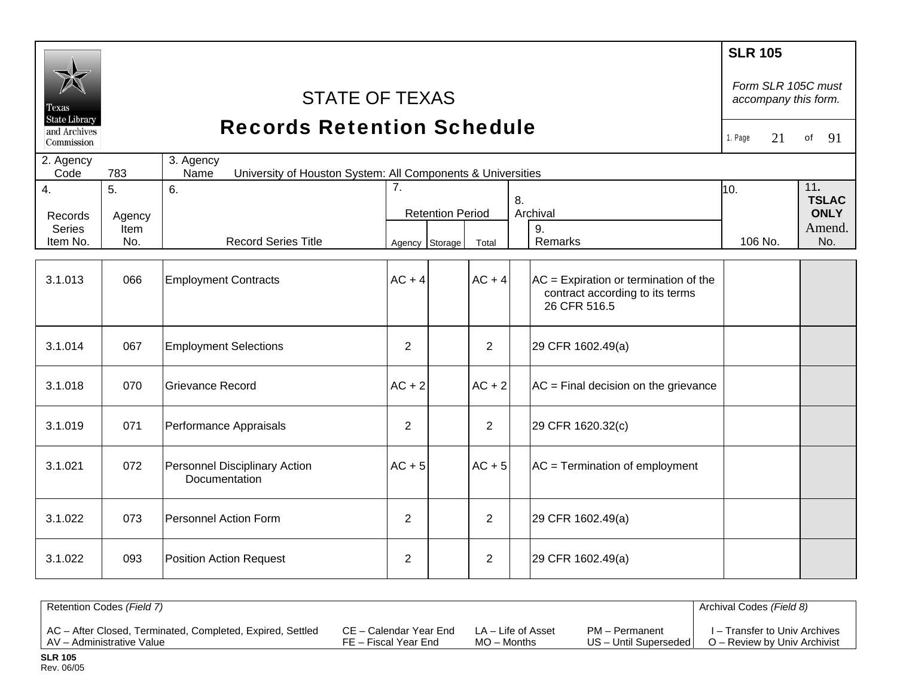| Texas<br><b>State Library</b><br>and Archives |                             | <b>STATE OF TEXAS</b><br><b>Records Retention Schedule</b>                       |                |                         |                |                                                                                            | <b>SLR 105</b><br>Form SLR 105C must<br>accompany this form.<br>21<br>1. Page<br>91<br>of |                                              |
|-----------------------------------------------|-----------------------------|----------------------------------------------------------------------------------|----------------|-------------------------|----------------|--------------------------------------------------------------------------------------------|-------------------------------------------------------------------------------------------|----------------------------------------------|
| Commission<br>2. Agency<br>Code               | 783                         | 3. Agency<br>University of Houston System: All Components & Universities<br>Name |                |                         |                |                                                                                            |                                                                                           |                                              |
| $\overline{4}$ .<br>Records<br><b>Series</b>  | 5.<br>Agency<br><b>Item</b> | 6.                                                                               | 7.             | <b>Retention Period</b> |                | 8.<br>Archival<br>9.                                                                       | 10.                                                                                       | 11.<br><b>TSLAC</b><br><b>ONLY</b><br>Amend. |
| Item No.                                      | No.                         | <b>Record Series Title</b>                                                       | Agency Storage |                         | Total          | Remarks                                                                                    | 106 No.                                                                                   | No.                                          |
| 3.1.013                                       | 066                         | <b>Employment Contracts</b>                                                      | $AC + 4$       |                         | $AC + 4$       | $AC =$ Expiration or termination of the<br>contract according to its terms<br>26 CFR 516.5 |                                                                                           |                                              |
| 3.1.014                                       | 067                         | <b>Employment Selections</b>                                                     | $\overline{2}$ |                         | $\overline{2}$ | 29 CFR 1602.49(a)                                                                          |                                                                                           |                                              |
| 3.1.018                                       | 070                         | <b>Grievance Record</b>                                                          | $AC + 2$       |                         | $AC + 2$       | $AC = Final decision on the grievance$                                                     |                                                                                           |                                              |
| 3.1.019                                       | 071                         | Performance Appraisals                                                           | $\overline{2}$ |                         | 2              | 29 CFR 1620.32(c)                                                                          |                                                                                           |                                              |
| 3.1.021                                       | 072                         | Personnel Disciplinary Action<br>Documentation                                   | $AC + 5$       |                         | $AC + 5$       | $AC = Termination of employment$                                                           |                                                                                           |                                              |
| 3.1.022                                       | 073                         | <b>Personnel Action Form</b>                                                     | 2              |                         | $\overline{2}$ | 29 CFR 1602.49(a)                                                                          |                                                                                           |                                              |
| 3.1.022                                       | 093                         | <b>Position Action Request</b>                                                   | $\overline{2}$ |                         | $\overline{2}$ | 29 CFR 1602.49(a)                                                                          |                                                                                           |                                              |

| Retention Codes (Field 7)                                  |                        |                    |                       | Archival Codes (Field 8)      |
|------------------------------------------------------------|------------------------|--------------------|-----------------------|-------------------------------|
| AC - After Closed, Terminated, Completed, Expired, Settled | CE – Calendar Year End | LA – Life of Asset | PM - Permanent        | I – Transfer to Univ Archives |
| AV - Administrative Value                                  | FE – Fiscal Year End   | $MO -$ Months      | US - Until Superseded | O – Review by Univ Archivist  |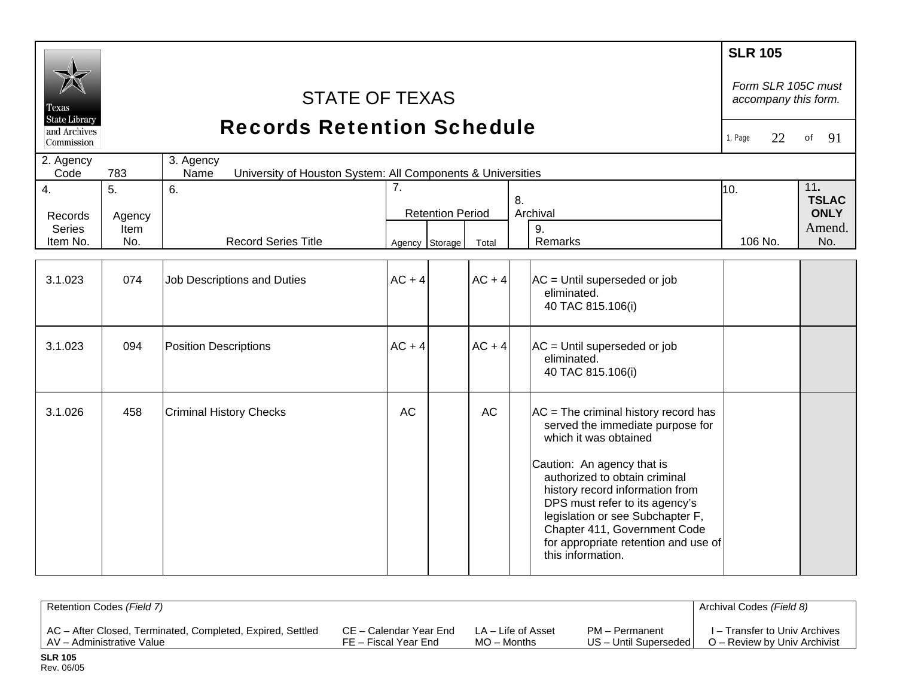|                               |             |                                                                                  |                |                         |           |    |                                                                                                                                                                                                                                                                                                                                                                          | <b>SLR 105</b>                             |                     |
|-------------------------------|-------------|----------------------------------------------------------------------------------|----------------|-------------------------|-----------|----|--------------------------------------------------------------------------------------------------------------------------------------------------------------------------------------------------------------------------------------------------------------------------------------------------------------------------------------------------------------------------|--------------------------------------------|---------------------|
| Texas<br><b>State Library</b> |             | <b>STATE OF TEXAS</b>                                                            |                |                         |           |    |                                                                                                                                                                                                                                                                                                                                                                          | Form SLR 105C must<br>accompany this form. |                     |
| and Archives<br>Commission    |             | <b>Records Retention Schedule</b>                                                |                |                         |           |    |                                                                                                                                                                                                                                                                                                                                                                          | 22<br>1. Page                              | 91<br>of            |
| 2. Agency<br>Code             | 783         | 3. Agency<br>Name<br>University of Houston System: All Components & Universities |                |                         |           |    |                                                                                                                                                                                                                                                                                                                                                                          |                                            |                     |
| 4.                            | 5.          | 6.                                                                               | 7.             |                         |           | 8. |                                                                                                                                                                                                                                                                                                                                                                          | 10.                                        | 11.<br><b>TSLAC</b> |
| Records                       | Agency      |                                                                                  |                | <b>Retention Period</b> |           |    | Archival                                                                                                                                                                                                                                                                                                                                                                 |                                            | <b>ONLY</b>         |
| <b>Series</b><br>Item No.     | Item<br>No. | <b>Record Series Title</b>                                                       | Agency Storage |                         | Total     |    | 9.<br>Remarks                                                                                                                                                                                                                                                                                                                                                            | 106 No.                                    | Amend.<br>No.       |
|                               |             |                                                                                  |                |                         |           |    |                                                                                                                                                                                                                                                                                                                                                                          |                                            |                     |
| 3.1.023                       | 074         | Job Descriptions and Duties                                                      | $AC + 4$       |                         | $AC + 4$  |    | $AC = Unitil$ superseded or job<br>eliminated.<br>40 TAC 815.106(i)                                                                                                                                                                                                                                                                                                      |                                            |                     |
| 3.1.023                       | 094         | <b>Position Descriptions</b>                                                     | $AC + 4$       |                         | $AC + 4$  |    | AC = Until superseded or job<br>eliminated.<br>40 TAC 815.106(i)                                                                                                                                                                                                                                                                                                         |                                            |                     |
| 3.1.026                       | 458         | <b>Criminal History Checks</b>                                                   | AC             |                         | <b>AC</b> |    | $AC = The criminal history record has$<br>served the immediate purpose for<br>which it was obtained<br>Caution: An agency that is<br>authorized to obtain criminal<br>history record information from<br>DPS must refer to its agency's<br>legislation or see Subchapter F,<br>Chapter 411, Government Code<br>for appropriate retention and use of<br>this information. |                                            |                     |

| Retention Codes (Field 7)                                  |                        |                    |                       | Archival Codes (Field 8)      |
|------------------------------------------------------------|------------------------|--------------------|-----------------------|-------------------------------|
| AC - After Closed, Terminated, Completed, Expired, Settled | CE – Calendar Year End | LA – Life of Asset | PM - Permanent        | I – Transfer to Univ Archives |
| AV - Administrative Value                                  | FE – Fiscal Year End   | $MO -$ Months      | US - Until Superseded | O – Review by Univ Archivist  |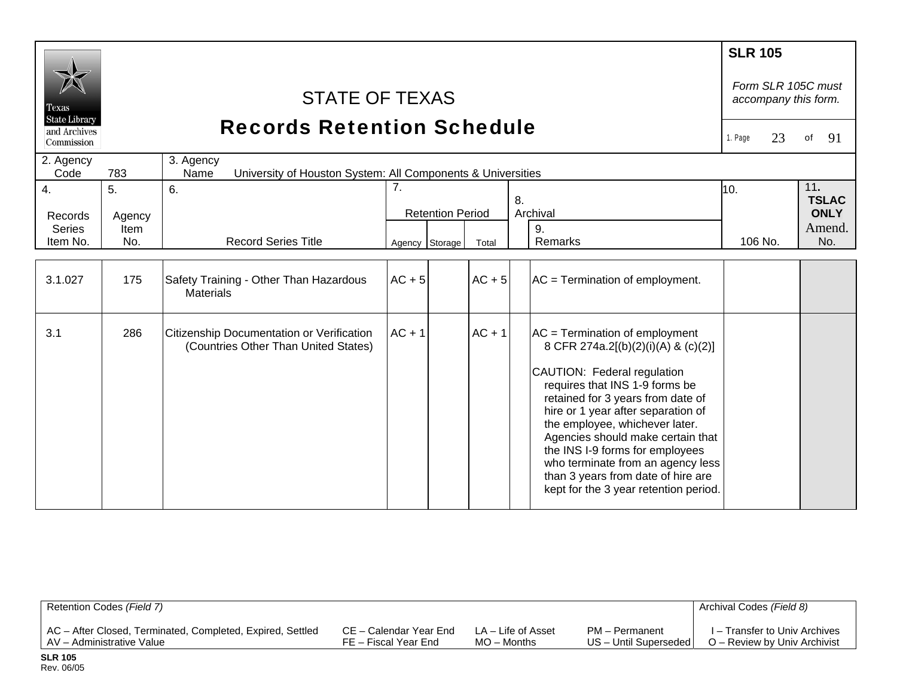| Texas                          | <b>STATE OF TEXAS</b><br><b>State Library</b><br><b>Records Retention Schedule</b> |                                                                                   |          |                         |          |                                                                                                                                                                                                                                                                                                                                                                                                                                                   |               |                                              |
|--------------------------------|------------------------------------------------------------------------------------|-----------------------------------------------------------------------------------|----------|-------------------------|----------|---------------------------------------------------------------------------------------------------------------------------------------------------------------------------------------------------------------------------------------------------------------------------------------------------------------------------------------------------------------------------------------------------------------------------------------------------|---------------|----------------------------------------------|
| and Archives<br>Commission     |                                                                                    |                                                                                   |          |                         |          |                                                                                                                                                                                                                                                                                                                                                                                                                                                   | 23<br>1. Page | 91<br>of                                     |
| 2. Agency<br>Code              | 783                                                                                |                                                                                   |          |                         |          |                                                                                                                                                                                                                                                                                                                                                                                                                                                   |               |                                              |
| 4.<br>Records<br><b>Series</b> | 5.<br>Agency<br>Item                                                               | 6.                                                                                | 7.       | <b>Retention Period</b> |          | 8.<br>Archival<br>9.                                                                                                                                                                                                                                                                                                                                                                                                                              | 10.           | 11.<br><b>TSLAC</b><br><b>ONLY</b><br>Amend. |
| Item No.                       | No.                                                                                | <b>Record Series Title</b>                                                        |          | Agency Storage          | Total    | Remarks                                                                                                                                                                                                                                                                                                                                                                                                                                           | 106 No.       | No.                                          |
| 3.1.027                        | 175                                                                                | Safety Training - Other Than Hazardous<br><b>Materials</b>                        | $AC + 5$ |                         | $AC + 5$ | $AC = Termination of employment.$                                                                                                                                                                                                                                                                                                                                                                                                                 |               |                                              |
| 3.1                            | 286                                                                                | Citizenship Documentation or Verification<br>(Countries Other Than United States) | $AC + 1$ |                         | $AC + 1$ | $AC = Termination of employment$<br>8 CFR 274a.2[(b)(2)(i)(A) & (c)(2)]<br>CAUTION: Federal regulation<br>requires that INS 1-9 forms be<br>retained for 3 years from date of<br>hire or 1 year after separation of<br>the employee, whichever later.<br>Agencies should make certain that<br>the INS I-9 forms for employees<br>who terminate from an agency less<br>than 3 years from date of hire are<br>kept for the 3 year retention period. |               |                                              |

| Retention Codes (Field 7)                                  |                        |                    |                         | Archival Codes (Field 8)      |
|------------------------------------------------------------|------------------------|--------------------|-------------------------|-------------------------------|
| AC - After Closed, Terminated, Completed, Expired, Settled | CE – Calendar Year End | LA – Life of Asset | PM - Permanent          | I – Transfer to Univ Archives |
| AV - Administrative Value                                  | FE – Fiscal Year End   | $MO -$ Months      | US - Until Superseded I | O – Review by Univ Archivist  |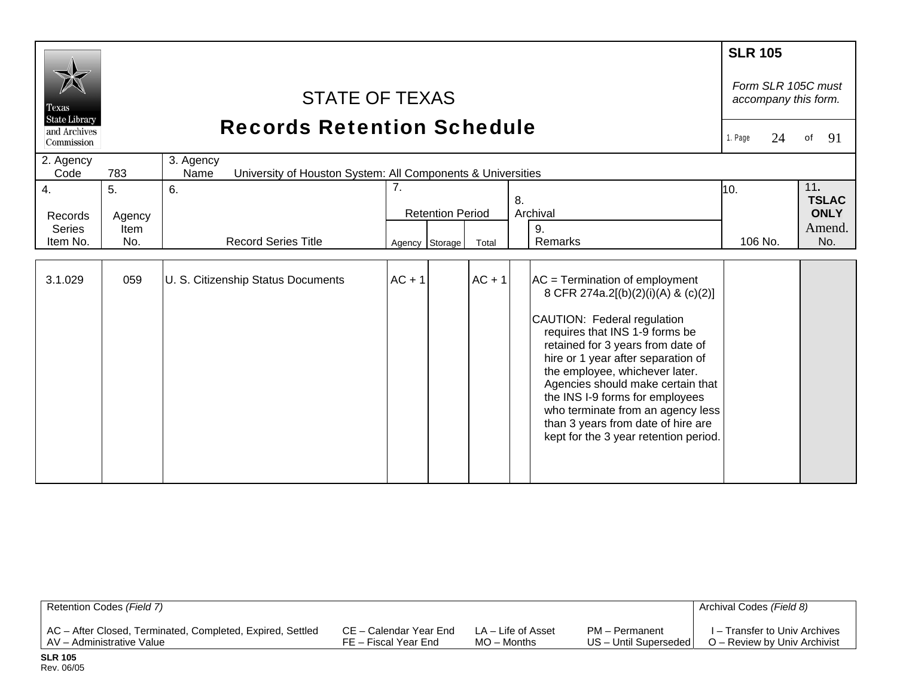| Texas                      | <b>STATE OF TEXAS</b><br><b>State Library</b><br><b>Records Retention Schedule</b> |                                                                                  |                                     |                |          |                                                                                                                                                                                                                                                                                                                                                                                                                                                   | <b>SLR 105</b><br>Form SLR 105C must<br>accompany this form. |                                    |
|----------------------------|------------------------------------------------------------------------------------|----------------------------------------------------------------------------------|-------------------------------------|----------------|----------|---------------------------------------------------------------------------------------------------------------------------------------------------------------------------------------------------------------------------------------------------------------------------------------------------------------------------------------------------------------------------------------------------------------------------------------------------|--------------------------------------------------------------|------------------------------------|
| and Archives<br>Commission |                                                                                    |                                                                                  |                                     |                |          |                                                                                                                                                                                                                                                                                                                                                                                                                                                   | 24<br>1. Page                                                | 91<br>of                           |
| 2. Agency<br>Code          | 783                                                                                | 3. Agency<br>University of Houston System: All Components & Universities<br>Name |                                     |                |          |                                                                                                                                                                                                                                                                                                                                                                                                                                                   |                                                              |                                    |
| 4.<br>Records              | 5.<br>Agency                                                                       | 6.                                                                               | 7.<br>8.<br><b>Retention Period</b> |                |          | Archival                                                                                                                                                                                                                                                                                                                                                                                                                                          | 10.                                                          | 11.<br><b>TSLAC</b><br><b>ONLY</b> |
| <b>Series</b><br>Item No.  | Item<br>No.                                                                        | <b>Record Series Title</b>                                                       |                                     | Agency Storage | Total    | 9.<br>Remarks                                                                                                                                                                                                                                                                                                                                                                                                                                     | 106 No.                                                      | Amend.<br>No.                      |
| 3.1.029                    | 059                                                                                | U. S. Citizenship Status Documents                                               | $AC + 1$                            |                | $AC + 1$ | $AC = Termination of employment$<br>8 CFR 274a.2[(b)(2)(i)(A) & (c)(2)]<br>CAUTION: Federal regulation<br>requires that INS 1-9 forms be<br>retained for 3 years from date of<br>hire or 1 year after separation of<br>the employee, whichever later.<br>Agencies should make certain that<br>the INS I-9 forms for employees<br>who terminate from an agency less<br>than 3 years from date of hire are<br>kept for the 3 year retention period. |                                                              |                                    |

| Retention Codes (Field 7)                                  |                        |                    |                       | Archival Codes (Field 8)      |
|------------------------------------------------------------|------------------------|--------------------|-----------------------|-------------------------------|
| AC - After Closed, Terminated, Completed, Expired, Settled | CE – Calendar Year End | LA – Life of Asset | PM – Permanent        | I – Transfer to Univ Archives |
| AV - Administrative Value                                  | FE – Fiscal Year End   | MO – Months        | US - Until Superseded | O – Review by Univ Archivist  |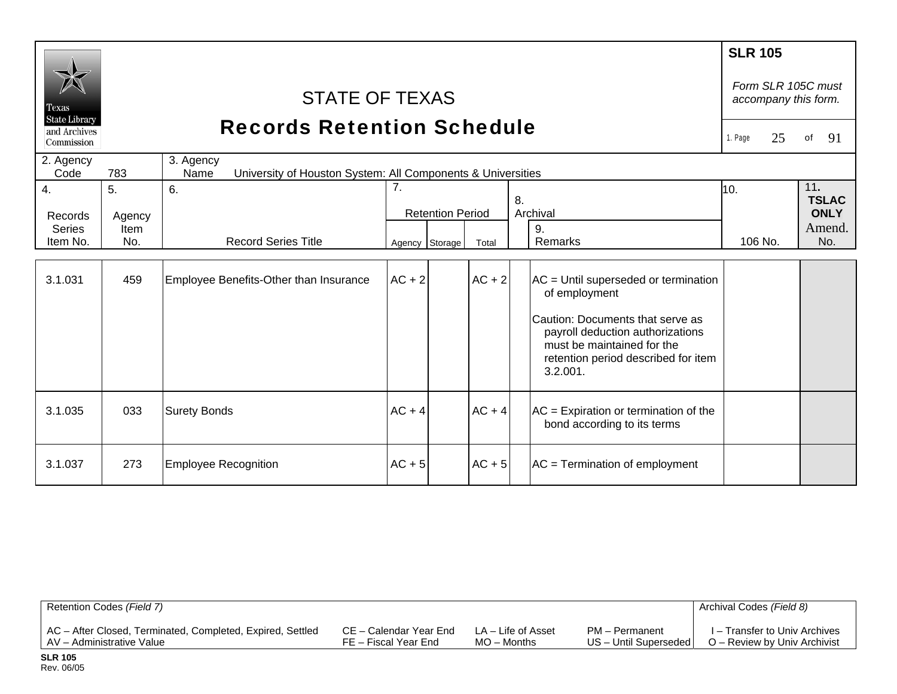| Texas<br><b>State Library</b><br>and Archives<br>Commission | <b>STATE OF TEXAS</b><br><b>Records Retention Schedule</b><br>2. Agency<br>3. Agency<br>783<br>Code<br>Name |                                                                            |                                  |                         |                   |                                                                                                                                                                                                                                                     |                            | Form SLR 105C must<br>accompany this form.<br>91<br>of |
|-------------------------------------------------------------|-------------------------------------------------------------------------------------------------------------|----------------------------------------------------------------------------|----------------------------------|-------------------------|-------------------|-----------------------------------------------------------------------------------------------------------------------------------------------------------------------------------------------------------------------------------------------------|----------------------------|--------------------------------------------------------|
|                                                             | University of Houston System: All Components & Universities                                                 |                                                                            |                                  |                         |                   |                                                                                                                                                                                                                                                     |                            |                                                        |
| 4.<br>Records<br><b>Series</b><br>Item No.<br>3.1.031       | 5.<br>Agency<br>Item<br>No.<br>459                                                                          | 6.<br><b>Record Series Title</b><br>Employee Benefits-Other than Insurance | 7.<br>Agency Storage<br>$AC + 2$ | <b>Retention Period</b> | Total<br>$AC + 2$ | 8.<br>Archival<br>9.<br>Remarks<br>$AC =$ Until superseded or termination<br>of employment<br>Caution: Documents that serve as<br>payroll deduction authorizations<br>must be maintained for the<br>retention period described for item<br>3.2.001. | 10 <sub>1</sub><br>106 No. | 11.<br><b>TSLAC</b><br><b>ONLY</b><br>Amend.<br>No.    |
| 3.1.035                                                     | 033                                                                                                         | <b>Surety Bonds</b>                                                        | $AC + 4$                         |                         | $AC + 4$          | $AC =$ Expiration or termination of the<br>bond according to its terms                                                                                                                                                                              |                            |                                                        |
| 3.1.037                                                     | 273                                                                                                         | <b>Employee Recognition</b>                                                | $AC + 5$                         |                         | $AC + 5$          | $AC = Termination of employment$                                                                                                                                                                                                                    |                            |                                                        |

| Retention Codes (Field 7)                                  |                        |                    |                         | Archival Codes (Field 8)      |
|------------------------------------------------------------|------------------------|--------------------|-------------------------|-------------------------------|
| AC - After Closed, Terminated, Completed, Expired, Settled | CE – Calendar Year End | LA – Life of Asset | PM – Permanent          | I – Transfer to Univ Archives |
| AV - Administrative Value                                  | FE – Fiscal Year End   | MO – Months        | US - Until Superseded I | O – Review by Univ Archivist  |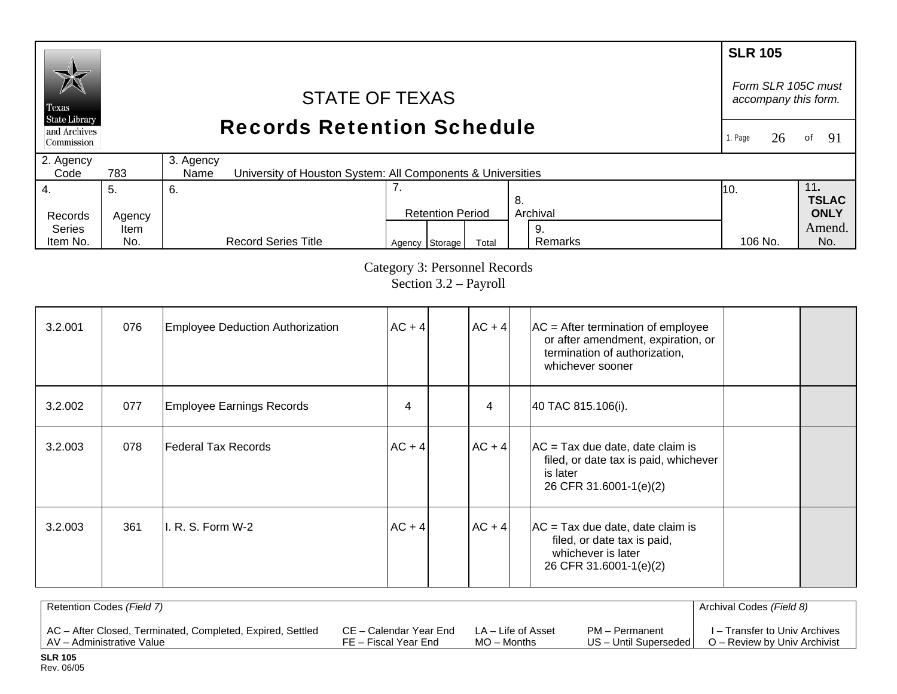#### **SLR 105**  *Form SLR 105C must* STATE OF TEXAS *accompany this form.*  Texas **State Library** Records Retention Schedule and Archives 1. Page 26of  $91$ Commission 2. Agency 3. Agency  $Code$ 783 University of Houston System: All Components & Universities 4. 7. 11**.**  5. 6. 10. **TSLAC** 8. Records Agency Retention Period Archival **ONLY**  Series Amend. Item 9. Agency Storage Total Remarks 106 No. No. Item No. No. Record Series Title Remarks 106 No.

Category 3: Personnel Records Section 3.2 – Payroll

| 3.2.001 | 076 | Employee Deduction Authorization | $AC + 4$ | $AC + 4$ | $AC =$ After termination of employee<br>or after amendment, expiration, or<br>termination of authorization,<br>whichever sooner |  |
|---------|-----|----------------------------------|----------|----------|---------------------------------------------------------------------------------------------------------------------------------|--|
| 3.2.002 | 077 | Employee Earnings Records        | 4        | 4        | 40 TAC 815.106(i).                                                                                                              |  |
| 3.2.003 | 078 | Federal Tax Records              | $AC + 4$ | $AC + 4$ | $AC = Tax due date, date claim is$<br>filed, or date tax is paid, whichever<br>is later<br>26 CFR 31.6001-1(e)(2)               |  |
| 3.2.003 | 361 | II. R. S. Form W-2               | $AC + 4$ | $AC + 4$ | $AC = Tax$ due date, date claim is<br>filed, or date tax is paid,<br>whichever is later<br>26 CFR 31.6001-1(e)(2)               |  |

| Retention Codes (Field 7)                                  |                        |                    |                         | Archival Codes (Field 8)      |
|------------------------------------------------------------|------------------------|--------------------|-------------------------|-------------------------------|
| AC - After Closed, Terminated, Completed, Expired, Settled | CE – Calendar Year End | LA – Life of Asset | PM - Permanent          | I – Transfer to Univ Archives |
| LAV – Administrative Value                                 | FE – Fiscal Year End   | $MO -$ Months      | US - Until Superseded I | O – Review by Univ Archivist  |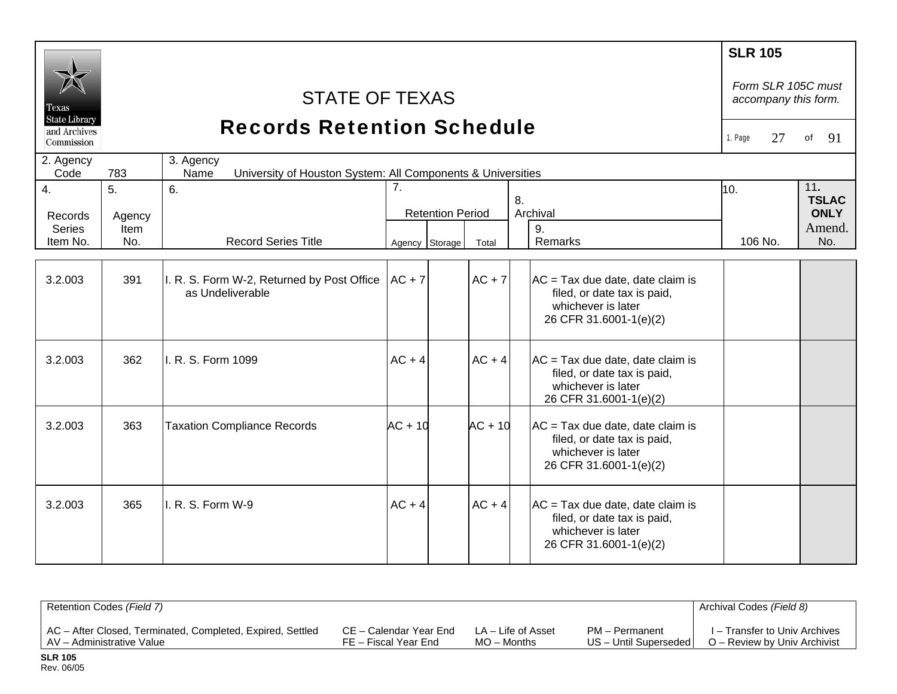|                               |        |                                                                                  |                |                         |                                                                                                                   | <b>SLR 105</b><br>Form SLR 105C must |                     |
|-------------------------------|--------|----------------------------------------------------------------------------------|----------------|-------------------------|-------------------------------------------------------------------------------------------------------------------|--------------------------------------|---------------------|
| Texas<br><b>State Library</b> |        | <b>STATE OF TEXAS</b>                                                            |                |                         |                                                                                                                   | accompany this form.                 |                     |
| and Archives<br>Commission    |        | <b>Records Retention Schedule</b>                                                |                |                         |                                                                                                                   | 1. Page<br>27                        | of<br>91            |
| 2. Agency<br>Code             | 783    | 3. Agency<br>University of Houston System: All Components & Universities<br>Name |                |                         |                                                                                                                   |                                      |                     |
| 4.                            | 5.     | 6.                                                                               | 7.             |                         | 8.                                                                                                                | 10.                                  | 11.<br><b>TSLAC</b> |
| Records                       | Agency |                                                                                  |                | <b>Retention Period</b> | Archival                                                                                                          |                                      | <b>ONLY</b>         |
| <b>Series</b>                 | Item   |                                                                                  |                |                         | 9.                                                                                                                |                                      | Amend.              |
| Item No.                      | No.    | <b>Record Series Title</b>                                                       | Agency Storage | Total                   | Remarks                                                                                                           | 106 No.                              | No.                 |
|                               |        |                                                                                  |                |                         |                                                                                                                   |                                      |                     |
| 3.2.003                       | 391    | I. R. S. Form W-2, Returned by Post Office<br>as Undeliverable                   | $AC + 7$       | $AC + 7$                | $AC = Tax due date, date claim is$<br>filed, or date tax is paid,<br>whichever is later                           |                                      |                     |
|                               |        |                                                                                  |                |                         | 26 CFR 31.6001-1(e)(2)                                                                                            |                                      |                     |
| 3.2.003                       | 362    | I. R. S. Form 1099                                                               | $AC + 4$       | $AC + 4$                | $AC = Tax due date, date claim is$<br>filed, or date tax is paid,<br>whichever is later<br>26 CFR 31.6001-1(e)(2) |                                      |                     |
| 3.2.003                       | 363    | <b>Taxation Compliance Records</b>                                               | $AC + 10$      | $AC + 10$               | $AC = Tax due date, date claim is$<br>filed, or date tax is paid,<br>whichever is later<br>26 CFR 31.6001-1(e)(2) |                                      |                     |
| 3.2.003                       | 365    | I. R. S. Form W-9                                                                | $AC + 4$       | $AC + 4$                | $AC = Tax due date, date claim is$<br>filed, or date tax is paid,<br>whichever is later<br>26 CFR 31.6001-1(e)(2) |                                      |                     |

| Retention Codes (Field 7)                                  |                        |                    |                       | Archival Codes (Field 8)      |
|------------------------------------------------------------|------------------------|--------------------|-----------------------|-------------------------------|
| AC - After Closed, Terminated, Completed, Expired, Settled | CE – Calendar Year End | LA – Life of Asset | PM - Permanent        | I – Transfer to Univ Archives |
| AV - Administrative Value                                  | FE – Fiscal Year End   | MO – Months        | US - Until Superseded | O – Review by Univ Archivist  |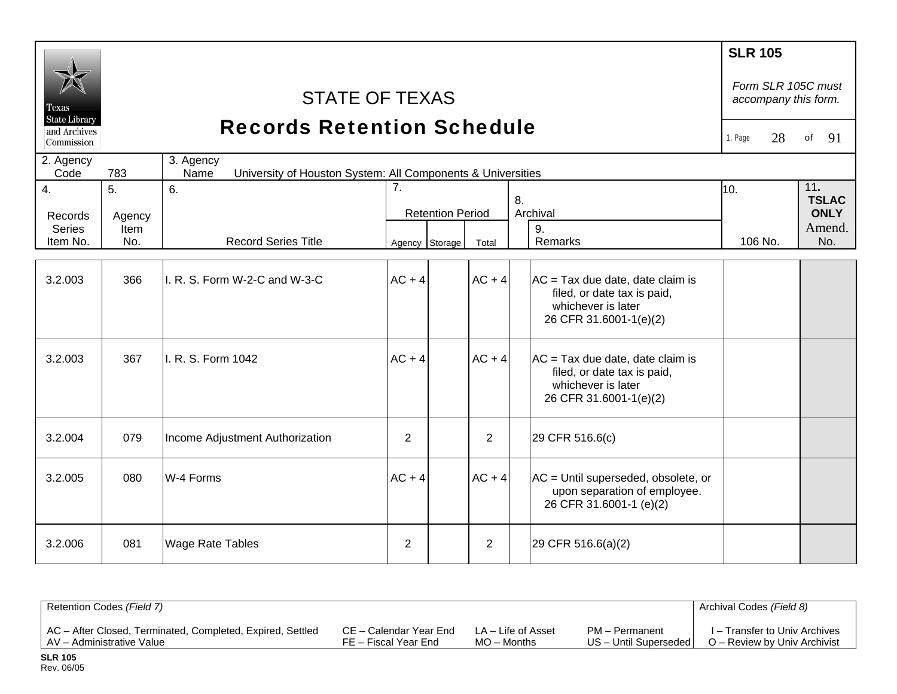| Texas<br><b>State Library</b><br>and Archives<br>Commission |                                         | <b>STATE OF TEXAS</b><br><b>Records Retention Schedule</b>                       |                                                 |                |                                                                                                                   | <b>SLR 105</b><br>Form SLR 105C must<br>accompany this form.<br>28<br>1. Page | 91<br>of                                            |  |
|-------------------------------------------------------------|-----------------------------------------|----------------------------------------------------------------------------------|-------------------------------------------------|----------------|-------------------------------------------------------------------------------------------------------------------|-------------------------------------------------------------------------------|-----------------------------------------------------|--|
| 2. Agency<br>Code                                           | 783                                     | 3. Agency<br>University of Houston System: All Components & Universities<br>Name |                                                 |                |                                                                                                                   |                                                                               |                                                     |  |
| 4.<br>Records<br><b>Series</b><br>Item No.                  | 5 <sub>1</sub><br>Agency<br>Item<br>No. | 6.<br><b>Record Series Title</b>                                                 | 7.<br><b>Retention Period</b><br>Agency Storage | Total          | 8.<br>Archival<br>9.<br>Remarks                                                                                   | 10.<br>106 No.                                                                | 11.<br><b>TSLAC</b><br><b>ONLY</b><br>Amend.<br>No. |  |
| 3.2.003                                                     | 366                                     | II. R. S. Form W-2-C and W-3-C                                                   | $AC + 4$                                        | $AC + 4$       | $AC = Tax$ due date, date claim is<br>filed, or date tax is paid,<br>whichever is later<br>26 CFR 31.6001-1(e)(2) |                                                                               |                                                     |  |
| 3.2.003                                                     | 367                                     | II. R. S. Form 1042                                                              | $AC + 4$                                        | $AC + 4$       | $AC = Tax$ due date, date claim is<br>filed, or date tax is paid,<br>whichever is later<br>26 CFR 31.6001-1(e)(2) |                                                                               |                                                     |  |
| 3.2.004                                                     | 079                                     | Income Adjustment Authorization                                                  | $\overline{2}$                                  | $\overline{2}$ | 29 CFR 516.6(c)                                                                                                   |                                                                               |                                                     |  |
| 3.2.005                                                     | 080                                     | W-4 Forms                                                                        | $AC + 4$                                        | $AC + 4$       | AC = Until superseded, obsolete, or<br>upon separation of employee.<br>26 CFR 31.6001-1 (e)(2)                    |                                                                               |                                                     |  |
| 3.2.006                                                     | 081                                     | <b>Wage Rate Tables</b>                                                          | 2                                               | 2              | 29 CFR 516.6(a)(2)                                                                                                |                                                                               |                                                     |  |

| Retention Codes (Field 7)                                  |                        |                    |                       | Archival Codes (Field 8)      |
|------------------------------------------------------------|------------------------|--------------------|-----------------------|-------------------------------|
| AC - After Closed, Terminated, Completed, Expired, Settled | CE – Calendar Year End | LA – Life of Asset | PM - Permanent        | I – Transfer to Univ Archives |
| AV - Administrative Value                                  | FE – Fiscal Year End   | $MO -$ Months      | US - Until Superseded | O – Review by Univ Archivist  |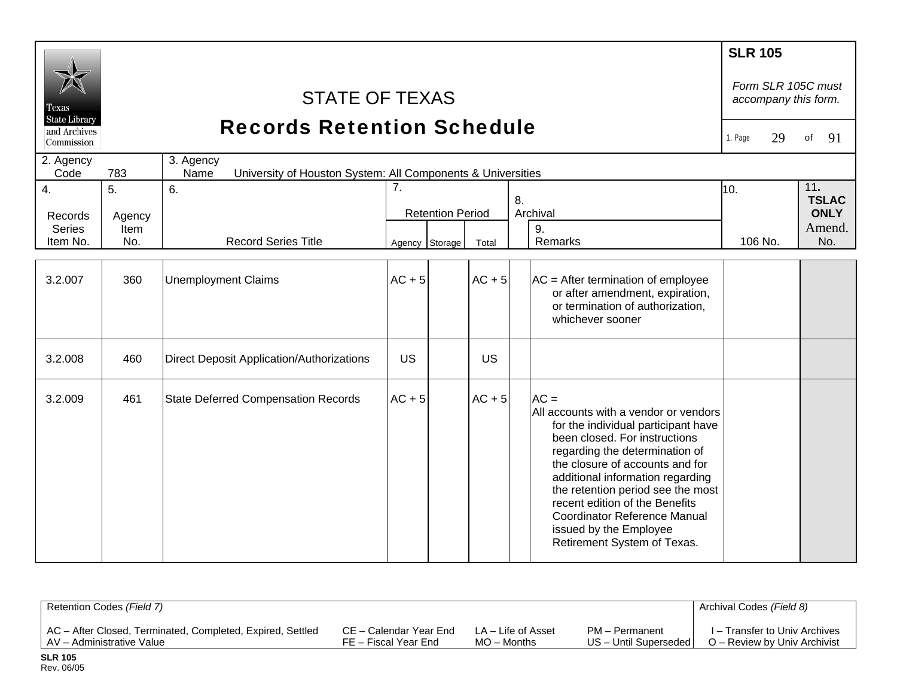| Texas                                              |                      | <b>STATE OF TEXAS</b>                                                            |                |                         |          |    |                                                                                                                                                                                                                                                                                                                                                                                                         | <b>SLR 105</b><br>Form SLR 105C must<br>accompany this form. |                                              |
|----------------------------------------------------|----------------------|----------------------------------------------------------------------------------|----------------|-------------------------|----------|----|---------------------------------------------------------------------------------------------------------------------------------------------------------------------------------------------------------------------------------------------------------------------------------------------------------------------------------------------------------------------------------------------------------|--------------------------------------------------------------|----------------------------------------------|
| <b>State Library</b><br>and Archives<br>Commission |                      | <b>Records Retention Schedule</b>                                                |                |                         |          |    |                                                                                                                                                                                                                                                                                                                                                                                                         | 29<br>1. Page                                                | 91<br>of                                     |
| 2. Agency<br>Code                                  | 783                  | 3. Agency<br>University of Houston System: All Components & Universities<br>Name |                |                         |          |    |                                                                                                                                                                                                                                                                                                                                                                                                         |                                                              |                                              |
| $\overline{4}$ .<br>Records<br><b>Series</b>       | 5.<br>Agency<br>Item | 6.                                                                               | 7.             | <b>Retention Period</b> |          | 8. | Archival<br>9.                                                                                                                                                                                                                                                                                                                                                                                          | 10.                                                          | 11.<br><b>TSLAC</b><br><b>ONLY</b><br>Amend. |
| Item No.                                           | No.                  | <b>Record Series Title</b>                                                       | Agency Storage |                         | Total    |    | Remarks                                                                                                                                                                                                                                                                                                                                                                                                 | 106 No.                                                      | No.                                          |
| 3.2.007                                            | 360                  | <b>Unemployment Claims</b>                                                       | $AC + 5$       |                         | $AC + 5$ |    | $AC =$ After termination of employee<br>or after amendment, expiration,<br>or termination of authorization,<br>whichever sooner                                                                                                                                                                                                                                                                         |                                                              |                                              |
| 3.2.008                                            | 460                  | <b>Direct Deposit Application/Authorizations</b>                                 | <b>US</b>      |                         | US       |    |                                                                                                                                                                                                                                                                                                                                                                                                         |                                                              |                                              |
| 3.2.009                                            | 461                  | <b>State Deferred Compensation Records</b>                                       | $AC + 5$       |                         | $AC + 5$ |    | $AC =$<br>All accounts with a vendor or vendors<br>for the individual participant have<br>been closed. For instructions<br>regarding the determination of<br>the closure of accounts and for<br>additional information regarding<br>the retention period see the most<br>recent edition of the Benefits<br><b>Coordinator Reference Manual</b><br>issued by the Employee<br>Retirement System of Texas. |                                                              |                                              |

| Retention Codes (Field 7)                                  |                        |                    |                         | Archival Codes (Field 8)      |
|------------------------------------------------------------|------------------------|--------------------|-------------------------|-------------------------------|
| AC - After Closed, Terminated, Completed, Expired, Settled | CE – Calendar Year End | LA – Life of Asset | PM - Permanent          | I – Transfer to Univ Archives |
| AV - Administrative Value                                  | FE – Fiscal Year End   | $MO -$ Months      | US - Until Superseded I | O – Review by Univ Archivist  |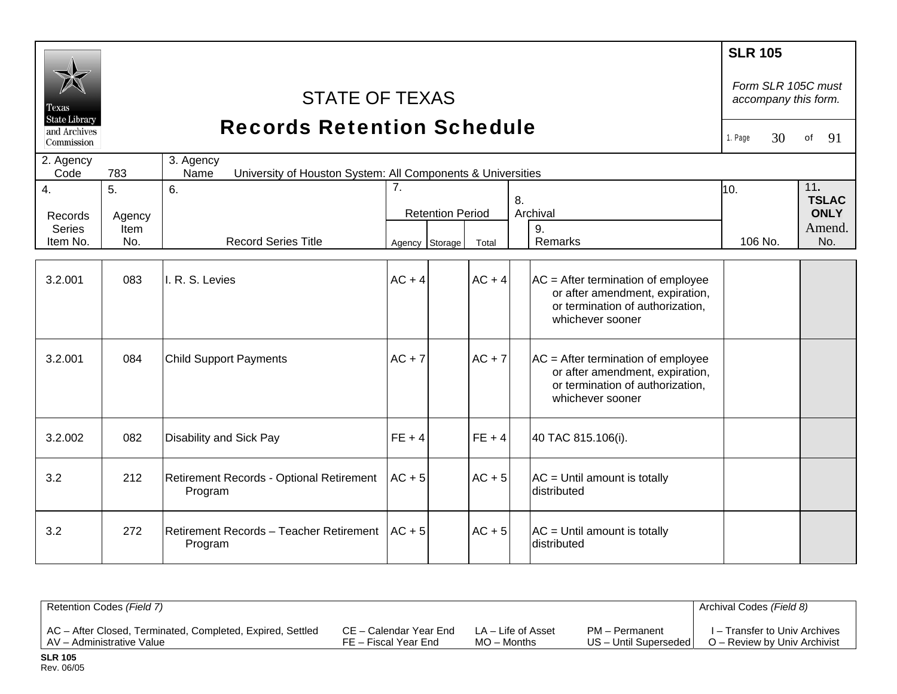| Texas<br><b>State Library</b><br>and Archives<br>Commission | <b>STATE OF TEXAS</b><br><b>Records Retention Schedule</b><br>3. Agency |                                                                                                 |                                                 |          |                                                                                                                                 |                |                                                     |  |
|-------------------------------------------------------------|-------------------------------------------------------------------------|-------------------------------------------------------------------------------------------------|-------------------------------------------------|----------|---------------------------------------------------------------------------------------------------------------------------------|----------------|-----------------------------------------------------|--|
| 2. Agency<br>Code                                           | 783                                                                     |                                                                                                 |                                                 |          |                                                                                                                                 |                |                                                     |  |
| 4.<br>Records<br><b>Series</b><br>Item No.                  | 5.<br>Agency<br>Item<br>No.                                             | University of Houston System: All Components & Universities<br>6.<br><b>Record Series Title</b> | 7.<br><b>Retention Period</b><br>Agency Storage | Total    | 8.<br>Archival<br>9.<br>Remarks                                                                                                 | 10.<br>106 No. | 11.<br><b>TSLAC</b><br><b>ONLY</b><br>Amend.<br>No. |  |
| 3.2.001                                                     | 083                                                                     | I. R. S. Levies                                                                                 | $AC + 4$                                        | $AC + 4$ | $AC =$ After termination of employee<br>or after amendment, expiration,<br>or termination of authorization,<br>whichever sooner |                |                                                     |  |
| 3.2.001                                                     | 084                                                                     | <b>Child Support Payments</b>                                                                   | $AC + 7$                                        | $AC + 7$ | $AC =$ After termination of employee<br>or after amendment, expiration,<br>or termination of authorization,<br>whichever sooner |                |                                                     |  |
| 3.2.002                                                     | 082                                                                     | <b>Disability and Sick Pay</b>                                                                  | $FE + 4$                                        | $FE + 4$ | 40 TAC 815.106(i).                                                                                                              |                |                                                     |  |
| 3.2                                                         | 212                                                                     | Retirement Records - Optional Retirement<br>Program                                             | $AC + 5$                                        | $AC + 5$ | $AC =$ Until amount is totally<br>distributed                                                                                   |                |                                                     |  |
| 3.2                                                         | 272                                                                     | Retirement Records - Teacher Retirement<br>Program                                              | $AC + 5$                                        | $AC + 5$ | $AC =$ Until amount is totally<br>distributed                                                                                   |                |                                                     |  |

| Retention Codes (Field 7)                                  |                        |                    |                       | Archival Codes (Field 8)      |
|------------------------------------------------------------|------------------------|--------------------|-----------------------|-------------------------------|
| AC - After Closed, Terminated, Completed, Expired, Settled | CE – Calendar Year End | LA – Life of Asset | PM - Permanent        | I – Transfer to Univ Archives |
| AV - Administrative Value                                  | FE – Fiscal Year End   | $MO -$ Months      | US - Until Superseded | O – Review by Univ Archivist  |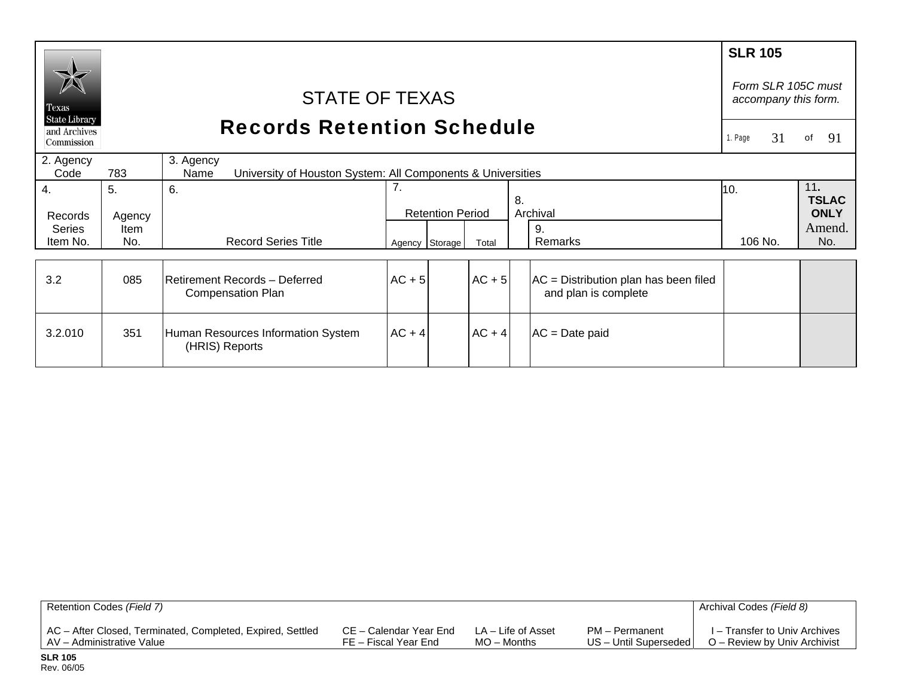| Texas<br><b>State Library</b><br>and Archives<br>Commission | <b>STATE OF TEXAS</b><br><b>Records Retention Schedule</b> |                                                                                        |          |                                           |          |                                                               | <b>SLR 105</b><br>Form SLR 105C must<br>accompany this form.<br>31<br>. Page | of<br>91                                     |
|-------------------------------------------------------------|------------------------------------------------------------|----------------------------------------------------------------------------------------|----------|-------------------------------------------|----------|---------------------------------------------------------------|------------------------------------------------------------------------------|----------------------------------------------|
| 2. Agency<br>Code<br>4.                                     | 783<br>5.                                                  | 3. Agency<br>University of Houston System: All Components & Universities<br>Name<br>6. | 7.       |                                           |          |                                                               | 10.                                                                          | 11.                                          |
| Records<br><b>Series</b><br>Item No.                        | Agency<br>Item<br>No.                                      | <b>Record Series Title</b>                                                             |          | <b>Retention Period</b><br>Agency Storage | Total    | 8.<br>Archival<br>9.<br>Remarks                               | 106 No.                                                                      | <b>TSLAC</b><br><b>ONLY</b><br>Amend.<br>No. |
| 3.2                                                         | 085                                                        | Retirement Records - Deferred<br><b>Compensation Plan</b>                              | $AC + 5$ |                                           | $AC + 5$ | AC = Distribution plan has been filed<br>and plan is complete |                                                                              |                                              |
| 3.2.010                                                     | 351                                                        | Human Resources Information System<br>(HRIS) Reports                                   | $AC + 4$ |                                           | $AC + 4$ | $AC = Date paid$                                              |                                                                              |                                              |

| Retention Codes (Field 7)                                  |                        |                    |                       | Archival Codes (Field 8)      |
|------------------------------------------------------------|------------------------|--------------------|-----------------------|-------------------------------|
| AC - After Closed, Terminated, Completed, Expired, Settled | CE – Calendar Year End | LA – Life of Asset | PM – Permanent        | I – Transfer to Univ Archives |
| LAV – Administrative Value                                 | FE – Fiscal Year End   | $MO -$ Months      | US - Until Superseded | O – Review by Univ Archivist  |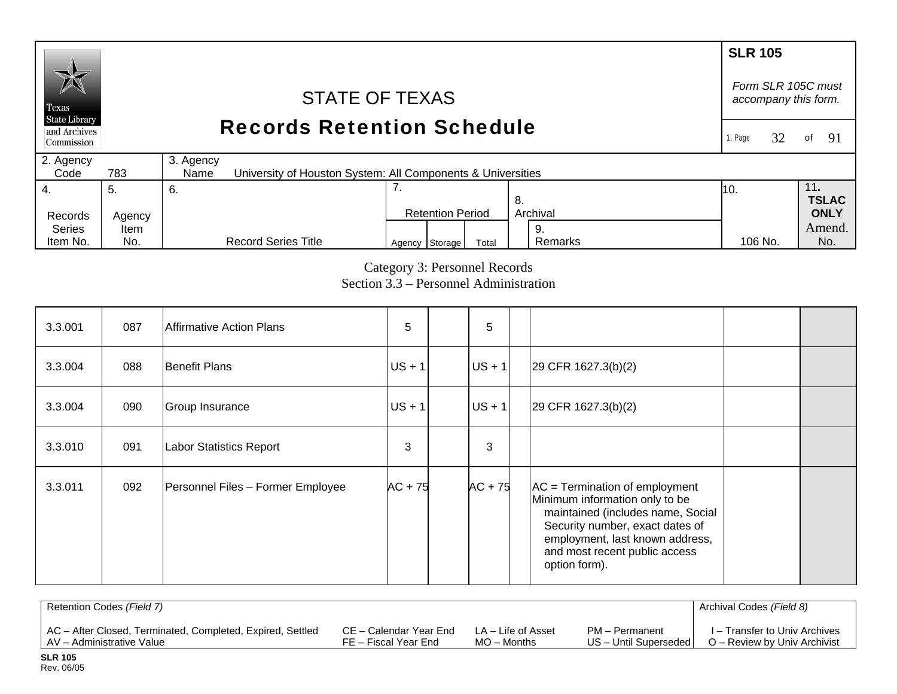#### **SLR 105** *Form SLR 105C must* STATE OF TEXAS *accompany this form.*  Texas **State Library** Records Retention Schedule and Archives 1. Page 32of 91 Commission 2. Agency 3. Agency  $Code$ 783 University of Houston System: All Components & Universities 4. 7. 11**.**  5. 6. 10. **TSLAC** 8. Records Agency Retention Period Archival **ONLY**  Series Amend.Item 9. Remarks

Category 3: Personnel Records

106 No.

Agency Storage Total Remarks 106 No. No.

Section 3.3 – Personnel Administration

| 3.3.001 | 087 | <b>Affirmative Action Plans</b>   | 5         | 5         |                                                                                                                                                                                                                                 |  |
|---------|-----|-----------------------------------|-----------|-----------|---------------------------------------------------------------------------------------------------------------------------------------------------------------------------------------------------------------------------------|--|
| 3.3.004 | 088 | <b>Benefit Plans</b>              | $US + 1$  | $US + 1$  | $29$ CFR 1627.3(b)(2)                                                                                                                                                                                                           |  |
| 3.3.004 | 090 | Group Insurance                   | $US + 1$  | $US + 1$  | $29$ CFR 1627.3(b)(2)                                                                                                                                                                                                           |  |
| 3.3.010 | 091 | <b>Labor Statistics Report</b>    | 3         | 3         |                                                                                                                                                                                                                                 |  |
| 3.3.011 | 092 | Personnel Files - Former Employee | $AC + 75$ | $AC + 75$ | $AC = Termination of employment$<br>Minimum information only to be<br>maintained (includes name, Social<br>Security number, exact dates of<br>employment, last known address,<br>and most recent public access<br>option form). |  |

| Retention Codes (Field 7)                                  |                        |                    |                         | Archival Codes (Field 8)      |
|------------------------------------------------------------|------------------------|--------------------|-------------------------|-------------------------------|
| AC – After Closed, Terminated, Completed, Expired, Settled | CE – Calendar Year End | LA – Life of Asset | PM - Permanent          | I – Transfer to Univ Archives |
| AV - Administrative Value                                  | FE – Fiscal Year End   | $MO -$ Months      | US - Until Superseded I | O – Review by Univ Archivist  |

Item No.

No.

Record Series Title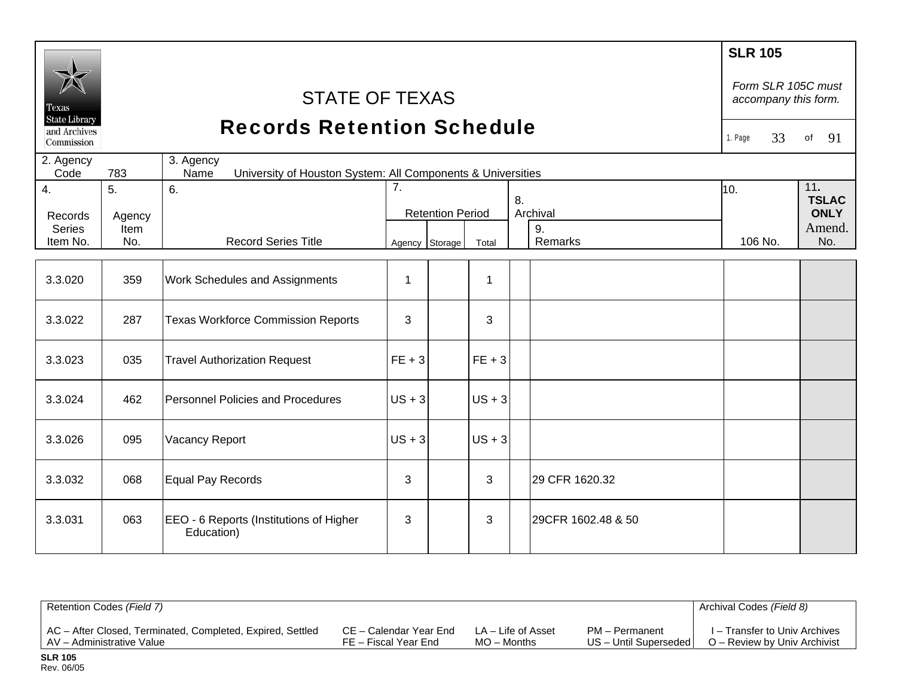| <b>Texas</b><br><b>State Library</b><br>and Archives<br>Commission | <b>STATE OF TEXAS</b><br><b>Records Retention Schedule</b><br>3. Agency |                                                       |                |                         |          |  |                    | <b>SLR 105</b><br>Form SLR 105C must<br>accompany this form.<br>33<br>1. Page | of<br>91              |
|--------------------------------------------------------------------|-------------------------------------------------------------------------|-------------------------------------------------------|----------------|-------------------------|----------|--|--------------------|-------------------------------------------------------------------------------|-----------------------|
| 2. Agency<br>Code                                                  | 783                                                                     |                                                       |                |                         |          |  |                    |                                                                               |                       |
| 4.                                                                 | 5.                                                                      | 7.<br>6.<br>10.<br>8.                                 |                |                         |          |  |                    |                                                                               | 11.<br><b>TSLAC</b>   |
| Records                                                            | Agency                                                                  |                                                       |                | <b>Retention Period</b> |          |  | Archival           |                                                                               | <b>ONLY</b><br>Amend. |
| <b>Series</b><br>Item No.                                          | Item<br>No.                                                             | <b>Record Series Title</b>                            | Agency Storage |                         | Total    |  | 9.<br>Remarks      | 106 No.                                                                       | No.                   |
|                                                                    |                                                                         |                                                       |                |                         |          |  |                    |                                                                               |                       |
| 3.3.020                                                            | 359                                                                     | Work Schedules and Assignments                        | $\mathbf{1}$   |                         | 1        |  |                    |                                                                               |                       |
| 3.3.022                                                            | 287                                                                     | <b>Texas Workforce Commission Reports</b>             | 3              |                         | 3        |  |                    |                                                                               |                       |
| 3.3.023                                                            | 035                                                                     | <b>Travel Authorization Request</b>                   | $FE + 3$       |                         | $FE + 3$ |  |                    |                                                                               |                       |
| 3.3.024                                                            | 462                                                                     | <b>Personnel Policies and Procedures</b>              | $US + 3$       |                         | $US + 3$ |  |                    |                                                                               |                       |
| 3.3.026                                                            | 095                                                                     | Vacancy Report                                        | $US + 3$       |                         | $US + 3$ |  |                    |                                                                               |                       |
| 3.3.032                                                            | 068                                                                     | Equal Pay Records                                     | 3              |                         | 3        |  | 29 CFR 1620.32     |                                                                               |                       |
| 3.3.031                                                            | 063                                                                     | EEO - 6 Reports (Institutions of Higher<br>Education) | 3              |                         | 3        |  | 29CFR 1602.48 & 50 |                                                                               |                       |

| Retention Codes (Field 7)                                  |                        |                    |                       | Archival Codes (Field 8)      |
|------------------------------------------------------------|------------------------|--------------------|-----------------------|-------------------------------|
| AC – After Closed, Terminated, Completed, Expired, Settled | CE – Calendar Year End | LA – Life of Asset | PM - Permanent        | I – Transfer to Univ Archives |
| AV – Administrative Value                                  | FE – Fiscal Year End   | $MO -$ Months      | US - Until Superseded | O – Review by Univ Archivist  |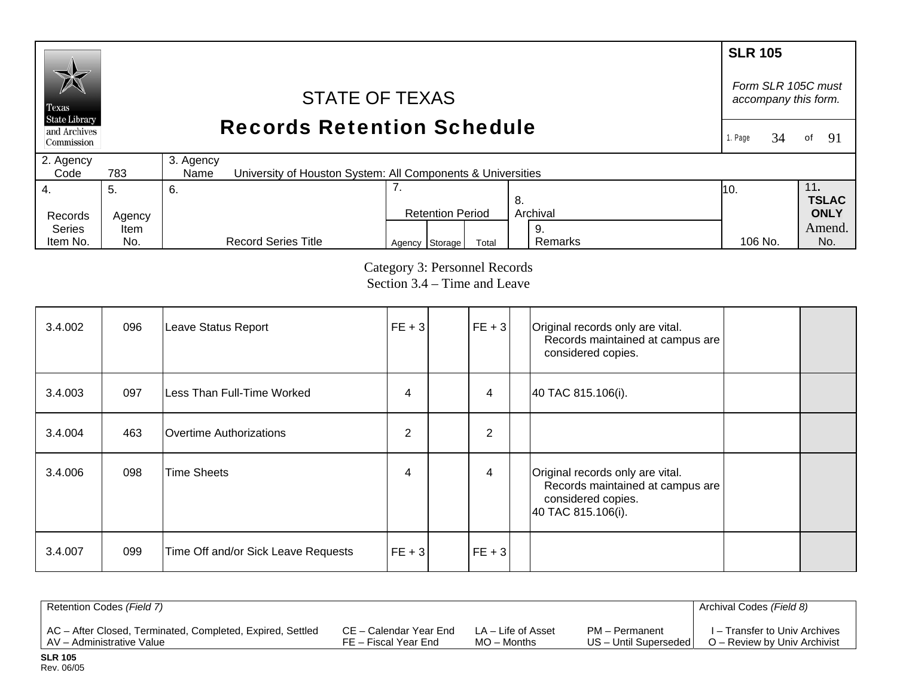### **SLR 105**  *Form SLR 105C must* STATE OF TEXAS *accompany this form.*  Texas **State Library** Records Retention Schedule and Archives of  $91$ 1. Page 34Commission 2. Agency 3. Agency  $Code$ 783 University of Houston System: All Components & Universities 4. 7. 11**.**  5. 6. 10. **TSLAC** 8. Records Agency Retention Period Archival **ONLY**  Series Amend. Item 9. Agency Storage Total Remarks 106 No. No. Item No. No. Record Series Title Remarks 106 No.

Category 3: Personnel Records Section 3.4 – Time and Leave

| 3.4.002 | 096 | Leave Status Report                 | $ FE + 3 $ | $ FE + 3 $     | Original records only are vital.<br>Records maintained at campus are<br>considered copies.                       |  |
|---------|-----|-------------------------------------|------------|----------------|------------------------------------------------------------------------------------------------------------------|--|
| 3.4.003 | 097 | lLess Than Full-Time Worked         | 4          | 4              | 40 TAC 815.106(i).                                                                                               |  |
| 3.4.004 | 463 | IOvertime Authorizations            | 2          | $\overline{2}$ |                                                                                                                  |  |
| 3.4.006 | 098 | Time Sheets                         | 4          | 4              | Original records only are vital.<br>Records maintained at campus are<br>considered copies.<br>40 TAC 815.106(i). |  |
| 3.4.007 | 099 | Time Off and/or Sick Leave Requests | $FE + 3$   | $FE + 3$       |                                                                                                                  |  |

| Retention Codes (Field 7)                                  |                        |                    |                         | Archival Codes (Field 8)      |
|------------------------------------------------------------|------------------------|--------------------|-------------------------|-------------------------------|
| AC - After Closed, Terminated, Completed, Expired, Settled | CE – Calendar Year End | LA – Life of Asset | PM - Permanent          | I – Transfer to Univ Archives |
| AV - Administrative Value                                  | FE – Fiscal Year End   | $MO$ – Months      | US - Until Superseded I | O – Review by Univ Archivist  |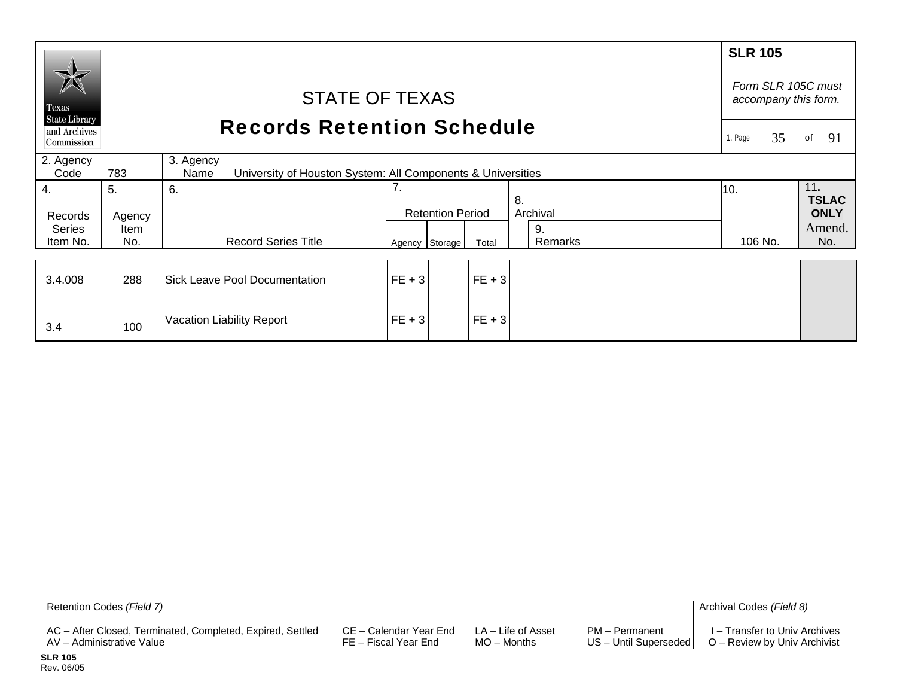|                                                    |        |                                                                                  |          |                         |          |    |          | <b>SLR 105</b>                             |                     |
|----------------------------------------------------|--------|----------------------------------------------------------------------------------|----------|-------------------------|----------|----|----------|--------------------------------------------|---------------------|
| Texas                                              |        | <b>STATE OF TEXAS</b>                                                            |          |                         |          |    |          | Form SLR 105C must<br>accompany this form. |                     |
| <b>State Library</b><br>and Archives<br>Commission |        | <b>Records Retention Schedule</b>                                                |          |                         |          |    |          |                                            |                     |
| 2. Agency<br>Code                                  | 783    | 3. Agency<br>University of Houston System: All Components & Universities<br>Name |          |                         |          |    |          |                                            |                     |
| 4.                                                 | 5.     | 6.                                                                               | 7.       |                         |          | 8. |          | 10.                                        | 11.<br><b>TSLAC</b> |
| Records                                            | Agency |                                                                                  |          | <b>Retention Period</b> |          |    | Archival |                                            | <b>ONLY</b>         |
| <b>Series</b>                                      | Item   |                                                                                  |          |                         |          |    | 9.       |                                            | Amend.              |
| Item No.                                           | No.    | <b>Record Series Title</b>                                                       |          | Agency Storage          | Total    |    | Remarks  | 106 No.                                    | No.                 |
| 3.4.008                                            | 288    | <b>Sick Leave Pool Documentation</b>                                             | $FE + 3$ |                         | $FE + 3$ |    |          |                                            |                     |
| 3.4                                                | 100    | Vacation Liability Report                                                        | $FE + 3$ |                         | $FE + 3$ |    |          |                                            |                     |

| Retention Codes (Field 7)                                  |                        |                    |                         | Archival Codes (Field 8)      |
|------------------------------------------------------------|------------------------|--------------------|-------------------------|-------------------------------|
| AC - After Closed, Terminated, Completed, Expired, Settled | CE – Calendar Year End | LA – Life of Asset | PM - Permanent          | I – Transfer to Univ Archives |
| AV – Administrative Value                                  | FE – Fiscal Year End   | $MO -$ Months      | US - Until Superseded I | O – Review by Univ Archivist  |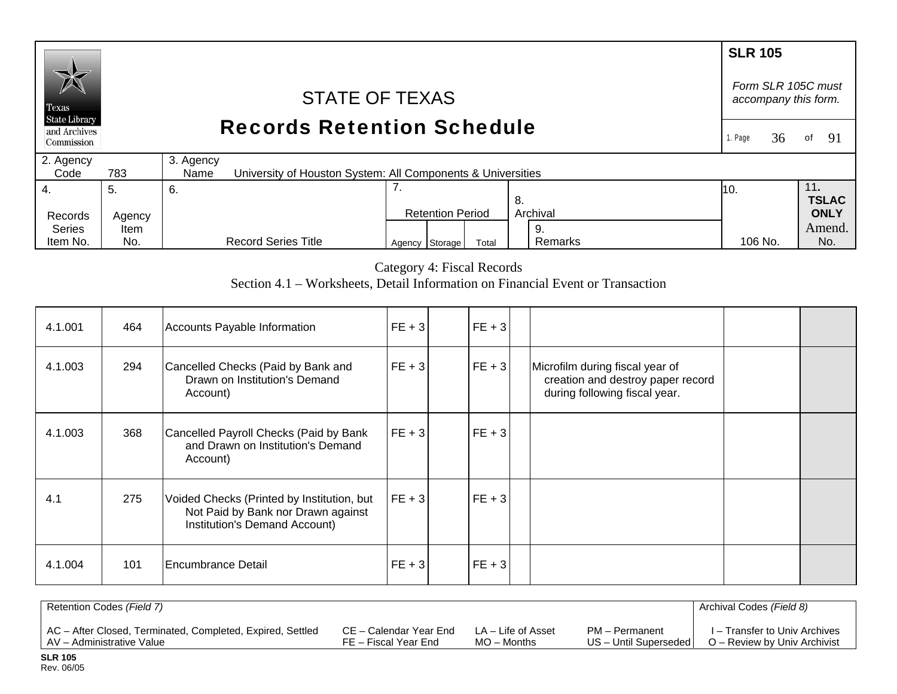## **SLR 105**  *Form SLR 105C must* STATE OF TEXAS *accompany this form.*  Texas **State Library** Records Retention Schedule and Archives 1. Page 36of 91 Commission 2. Agency 3. Agency  $Code$ 783 University of Houston System: All Components & Universities 7. 4. 11**.**  5. 6. 10. **TSLAC** 8. Records Agency Retention Period Archival **ONLY**  Series Amend. Item 9.

Category 4: Fiscal Records

106 No.

Agency Storage Total Remarks 106 No. No.

Remarks

Section 4.1 – Worksheets, Detail Information on Financial Event or Transaction

| 4.1.001 | 464 | Accounts Payable Information                                                                                      | $FE + 3$   | $FE + 3$ |                                                                                                       |  |
|---------|-----|-------------------------------------------------------------------------------------------------------------------|------------|----------|-------------------------------------------------------------------------------------------------------|--|
| 4.1.003 | 294 | Cancelled Checks (Paid by Bank and<br>Drawn on Institution's Demand<br>Account)                                   | $ FE + 3 $ | $FE + 3$ | Microfilm during fiscal year of<br>creation and destroy paper record<br>during following fiscal year. |  |
| 4.1.003 | 368 | Cancelled Payroll Checks (Paid by Bank<br>and Drawn on Institution's Demand<br>Account)                           | $FE + 3$   | $FE + 3$ |                                                                                                       |  |
| 4.1     | 275 | Voided Checks (Printed by Institution, but<br>Not Paid by Bank nor Drawn against<br>Institution's Demand Account) | $FE + 3$   | $FE + 3$ |                                                                                                       |  |
| 4.1.004 | 101 | Encumbrance Detail                                                                                                | $FE + 3$   | $FE + 3$ |                                                                                                       |  |

| Retention Codes (Field 7)                                  |                        |                    |                         | Archival Codes (Field 8)      |
|------------------------------------------------------------|------------------------|--------------------|-------------------------|-------------------------------|
| AC - After Closed, Terminated, Completed, Expired, Settled | CE – Calendar Year End | LA – Life of Asset | PM - Permanent          | I – Transfer to Univ Archives |
| AV - Administrative Value                                  | FE – Fiscal Year End   | $MO -$ Months      | US - Until Superseded I | O – Review by Univ Archivist  |

Item No.

No.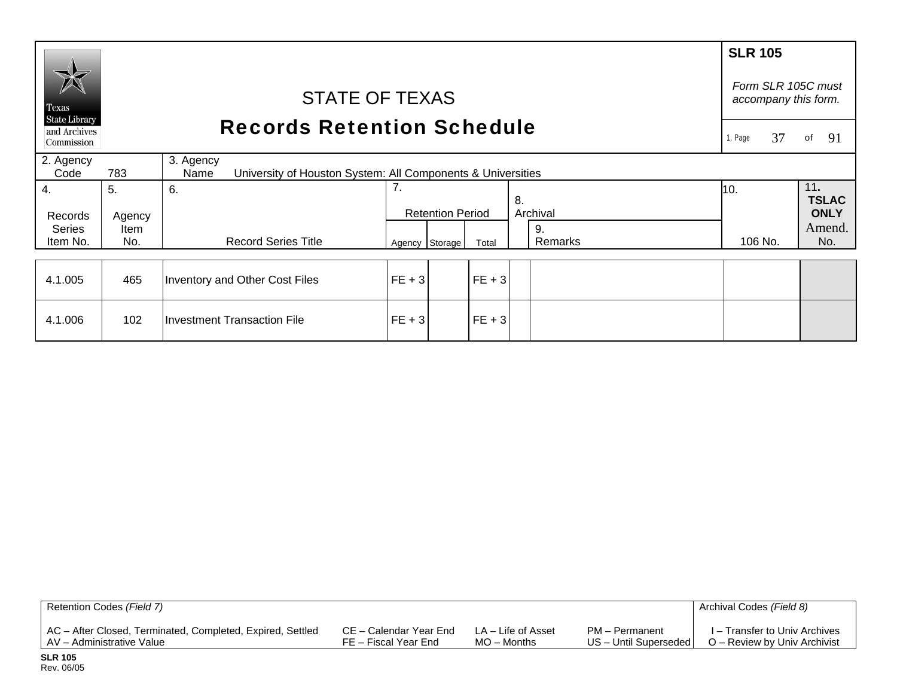|                               |                                                                                         |                                    |          |                         |          |    |          | <b>SLR 105</b>                             |                     |
|-------------------------------|-----------------------------------------------------------------------------------------|------------------------------------|----------|-------------------------|----------|----|----------|--------------------------------------------|---------------------|
| Texas<br><b>State Library</b> |                                                                                         | <b>STATE OF TEXAS</b>              |          |                         |          |    |          | Form SLR 105C must<br>accompany this form. |                     |
| and Archives<br>Commission    |                                                                                         | <b>Records Retention Schedule</b>  |          |                         |          |    |          |                                            |                     |
| 2. Agency<br>Code             | 3. Agency<br>783<br>University of Houston System: All Components & Universities<br>Name |                                    |          |                         |          |    |          |                                            |                     |
| 4.                            | 5.                                                                                      | 6.                                 | 7.       |                         |          | 8. |          | 10.                                        | 11.<br><b>TSLAC</b> |
| Records                       | Agency                                                                                  |                                    |          | <b>Retention Period</b> |          |    | Archival |                                            | <b>ONLY</b>         |
| <b>Series</b>                 | Item                                                                                    |                                    |          |                         |          |    | 9.       |                                            | Amend.              |
| Item No.                      | No.                                                                                     | <b>Record Series Title</b>         |          | Agency Storage          | Total    |    | Remarks  | 106 No.                                    | No.                 |
|                               |                                                                                         |                                    |          |                         |          |    |          |                                            |                     |
| 4.1.005                       | 465                                                                                     | Inventory and Other Cost Files     | $FE + 3$ |                         | $FE + 3$ |    |          |                                            |                     |
| 4.1.006                       | 102                                                                                     | <b>Investment Transaction File</b> | $FE + 3$ |                         | $FE + 3$ |    |          |                                            |                     |

| Retention Codes (Field 7)                                  |                        |                    |                       | Archival Codes (Field 8)      |
|------------------------------------------------------------|------------------------|--------------------|-----------------------|-------------------------------|
| AC - After Closed, Terminated, Completed, Expired, Settled | CE – Calendar Year End | LA – Life of Asset | PM - Permanent        | I – Transfer to Univ Archives |
| AV – Administrative Value                                  | FE – Fiscal Year End   | MO – Months        | US - Until Superseded | O – Review by Univ Archivist  |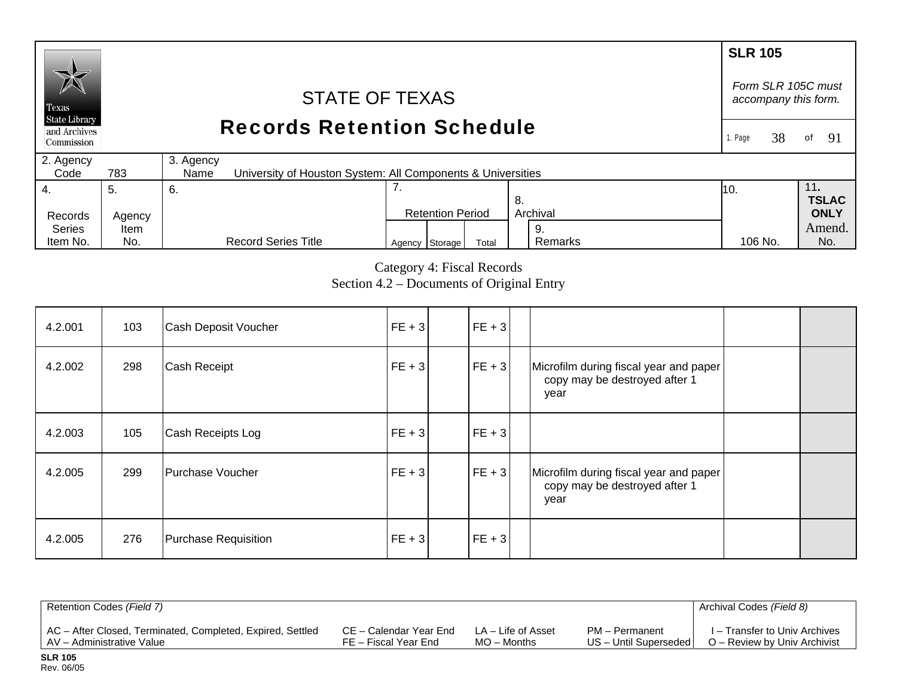### **SLR 105**  *Form SLR 105C must* STATE OF TEXAS *accompany this form.*  Texas **State Library** Records Retention Schedule and Archives 1. Page 38of  $91$ Commission 2. Agency 3. Agency  $Code$ 783 University of Houston System: All Components & Universities 4. 7. 11**.**  5. 6. 10. **TSLAC** 8. Records Agency Retention Period Archival **ONLY**  Series Amend. Item 9. Agency Storage Total Remarks 106 No. No. Item No. No. Record Series Title Remarks 106 No.

Category 4: Fiscal Records Section 4.2 – Documents of Original Entry

| 4.2.001 | 103 | Cash Deposit Voucher | $FE + 3$   | $ FE + 3 $ |                                                                                 |  |
|---------|-----|----------------------|------------|------------|---------------------------------------------------------------------------------|--|
| 4.2.002 | 298 | Cash Receipt         | $ FE + 3 $ | $ FE + 3 $ | Microfilm during fiscal year and paper<br>copy may be destroyed after 1<br>year |  |
| 4.2.003 | 105 | Cash Receipts Log    | $ FE + 3 $ | $FE + 3$   |                                                                                 |  |
| 4.2.005 | 299 | Purchase Voucher     | $FE + 3$   | $FE + 3$   | Microfilm during fiscal year and paper<br>copy may be destroyed after 1<br>year |  |
| 4.2.005 | 276 | Purchase Requisition | $FE + 3$   | $FE + 3$   |                                                                                 |  |

| Retention Codes (Field 7)                                  |                        |                    |                         | Archival Codes (Field 8)      |
|------------------------------------------------------------|------------------------|--------------------|-------------------------|-------------------------------|
| AC - After Closed, Terminated, Completed, Expired, Settled | CE – Calendar Year End | LA – Life of Asset | PM – Permanent          | I – Transfer to Univ Archives |
| LAV - Administrative Value                                 | FE – Fiscal Year End   | $MO -$ Months      | US - Until Superseded I | O – Review by Univ Archivist  |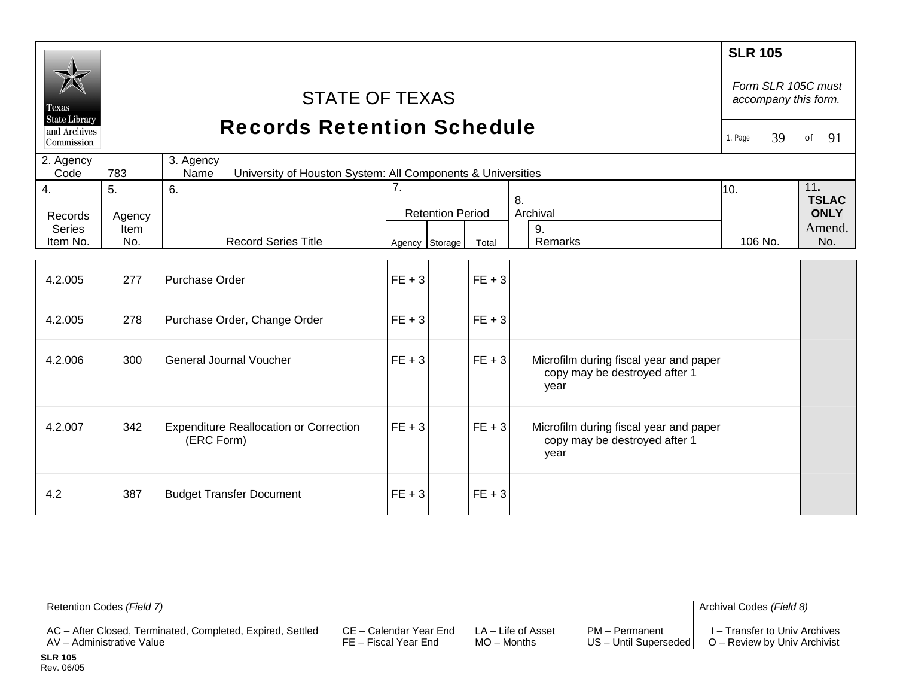| Texas<br><b>State Library</b><br>and Archives |              | <b>STATE OF TEXAS</b><br><b>Records Retention Schedule</b>                       |          |                         |                      |  |                                                                                 | <b>SLR 105</b><br>Form SLR 105C must<br>accompany this form. |          |
|-----------------------------------------------|--------------|----------------------------------------------------------------------------------|----------|-------------------------|----------------------|--|---------------------------------------------------------------------------------|--------------------------------------------------------------|----------|
| Commission                                    |              |                                                                                  |          |                         |                      |  |                                                                                 | 39<br>1. Page                                                | 91<br>of |
| 2. Agency<br>Code                             | 783          | 3. Agency<br>University of Houston System: All Components & Universities<br>Name |          |                         |                      |  |                                                                                 |                                                              |          |
| $\overline{4}$ .<br>Records<br><b>Series</b>  | 5.<br>Agency | 6.                                                                               | 7.       | <b>Retention Period</b> | 8.<br>Archival<br>9. |  | 10.                                                                             | 11.<br><b>TSLAC</b><br><b>ONLY</b><br>Amend.                 |          |
| Item No.                                      | Item<br>No.  | <b>Record Series Title</b>                                                       |          | Agency Storage          | Total                |  | Remarks                                                                         | 106 No.                                                      | No.      |
|                                               |              |                                                                                  |          |                         |                      |  |                                                                                 |                                                              |          |
| 4.2.005                                       | 277          | Purchase Order                                                                   | $FE + 3$ |                         | $FE + 3$             |  |                                                                                 |                                                              |          |
| 4.2.005                                       | 278          | Purchase Order, Change Order                                                     | $FE + 3$ |                         | $FE + 3$             |  |                                                                                 |                                                              |          |
| 4.2.006                                       | 300          | General Journal Voucher                                                          | $FE + 3$ |                         | $FE + 3$             |  | Microfilm during fiscal year and paper<br>copy may be destroyed after 1<br>year |                                                              |          |
| 4.2.007                                       | 342          | <b>Expenditure Reallocation or Correction</b><br>(ERC Form)                      | $FE + 3$ |                         | $FE + 3$             |  | Microfilm during fiscal year and paper<br>copy may be destroyed after 1<br>year |                                                              |          |
| 4.2                                           | 387          | <b>Budget Transfer Document</b>                                                  | $FE + 3$ |                         | $FE + 3$             |  |                                                                                 |                                                              |          |

| Retention Codes (Field 7)                                  |                        |                    |                       | Archival Codes (Field 8)      |
|------------------------------------------------------------|------------------------|--------------------|-----------------------|-------------------------------|
| AC - After Closed, Terminated, Completed, Expired, Settled | CE – Calendar Year End | LA – Life of Asset | PM - Permanent        | I – Transfer to Univ Archives |
| AV - Administrative Value                                  | FE – Fiscal Year End   | $MO -$ Months      | US - Until Superseded | O – Review by Univ Archivist  |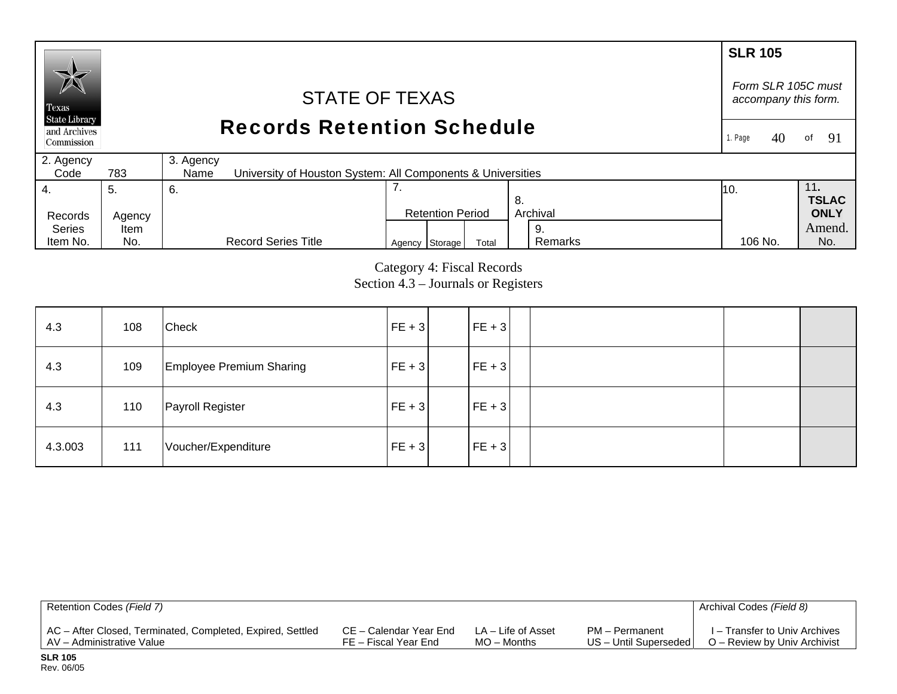### **SLR 105** *Form SLR 105C must* STATE OF TEXAS *accompany this form.*  Texas **State Library** Records Retention Schedule and Archives 1. Page  $40$ of 91 Commission 2. Agency 3. Agency  $Code$ 783 University of Houston System: All Components & Universities 4. 7. 11**.**  5. 6. 10. **TSLAC** 8. Records Agency Retention Period Archival **ONLY**  Series Amend. Item 9. Agency Storage Total Remarks 106 No. No. Item No. No. Record Series Title Remarks 106 No.

Category 4: Fiscal Records Section 4.3 – Journals or Registers

| 4.3     | 108 | <b>Check</b>                    | $FE + 3$ | $ FE + 3 $ |  |
|---------|-----|---------------------------------|----------|------------|--|
| 4.3     | 109 | <b>Employee Premium Sharing</b> | $FE + 3$ | $ FE + 3 $ |  |
| 4.3     | 110 | Payroll Register                | $FE + 3$ | $ FE + 3 $ |  |
| 4.3.003 | 111 | Voucher/Expenditure             | $FE + 3$ | $FE + 3$   |  |

| Retention Codes (Field 7)                                  |                        |                    |                       | Archival Codes (Field 8)      |
|------------------------------------------------------------|------------------------|--------------------|-----------------------|-------------------------------|
| AC - After Closed, Terminated, Completed, Expired, Settled | CE – Calendar Year End | LA – Life of Asset | PM - Permanent        | I – Transfer to Univ Archives |
| AV - Administrative Value                                  | FE – Fiscal Year End   | $MO -$ Months      | US - Until Superseded | O – Review by Univ Archivist  |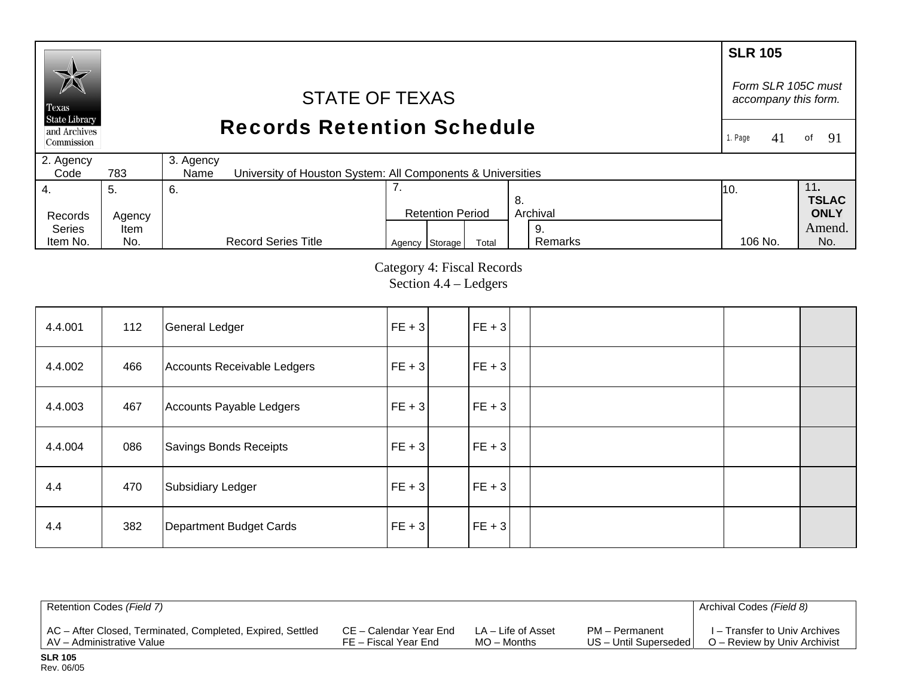### **SLR 105** *Form SLR 105C must* STATE OF TEXAS *accompany this form.*  Texas **State Library** Records Retention Schedule and Archives 1. Page 41of 91 Commission 2. Agency 3. Agency  $Code$ 783 University of Houston System: All Components & Universities 4. 7. 11**.**  5. 6. 10. **TSLAC** 8. Records Agency Retention Period Archival **ONLY**  Series Amend. Item 9. Agency Storage Total Remarks 106 No. No. Item No. No. Record Series Title Remarks 106 No.

Category 4: Fiscal Records Section 4.4 – Ledgers

| 4.4.001 | 112 | <b>General Ledger</b>       | $FE + 3$ | $ FE + 3 $ |  |  |
|---------|-----|-----------------------------|----------|------------|--|--|
| 4.4.002 | 466 | Accounts Receivable Ledgers | $FE + 3$ | $FE + 3$   |  |  |
| 4.4.003 | 467 | Accounts Payable Ledgers    | $FE + 3$ | $FE + 3$   |  |  |
| 4.4.004 | 086 | Savings Bonds Receipts      | $FE + 3$ | $ FE + 3 $ |  |  |
| 4.4     | 470 | Subsidiary Ledger           | $FE + 3$ | $ FE + 3 $ |  |  |
| 4.4     | 382 | Department Budget Cards     | $FE + 3$ | $ FE + 3 $ |  |  |

| Retention Codes (Field 7)                                  |                        |                    |                       | Archival Codes (Field 8)      |
|------------------------------------------------------------|------------------------|--------------------|-----------------------|-------------------------------|
| AC - After Closed, Terminated, Completed, Expired, Settled | CE – Calendar Year End | LA – Life of Asset | PM – Permanent        | I – Transfer to Univ Archives |
| AV - Administrative Value                                  | FE – Fiscal Year End   | $MO -$ Months      | US - Until Superseded | O – Review by Univ Archivist  |

**SLR 105** Rev. 06/05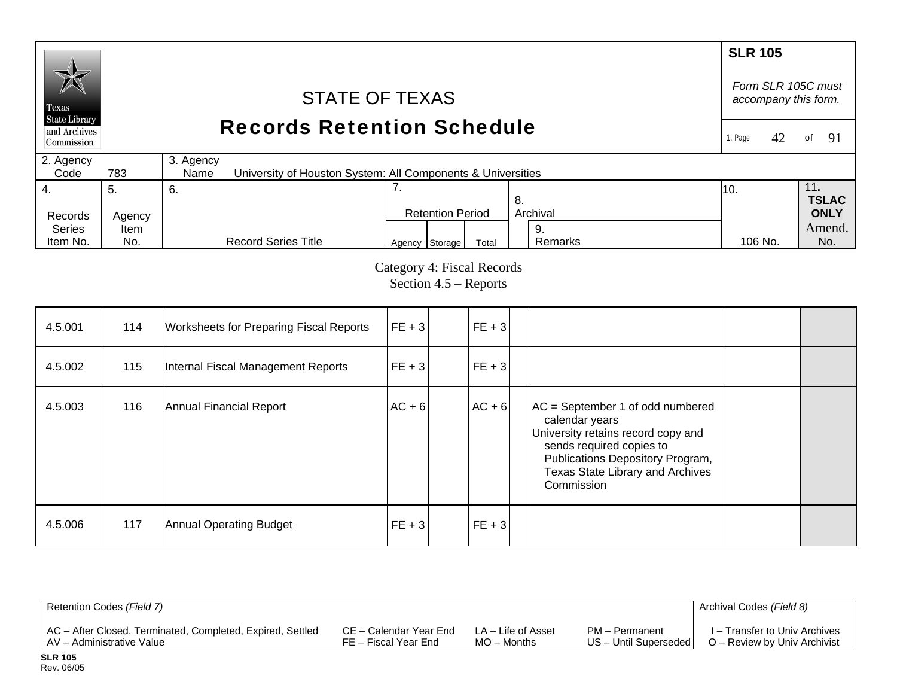### **SLR 105**  *Form SLR 105C must* STATE OF TEXAS *accompany this form.*  Texas **State Library** Records Retention Schedule and Archives 1. Page 42 of  $91$ Commission 2. Agency 3. Agency  $Code$ 783 University of Houston System: All Components & Universities 7. 11**.**  4. 5. 6. 10. **TSLAC** 8. Records Agency Retention Period Archival **ONLY**  Series Amend. Item 9.  $Agency$  Storage Total Remarks 106 No. No. Item No. No. Record Series Title Remarks 106 No.

Category 4: Fiscal Records Section 4.5 – Reports

| 4.5.001 | 114 | <b>Worksheets for Preparing Fiscal Reports</b> | $ FE + 3 $ | $ FE + 3 $ |                                                                                                                                                                                                                     |  |
|---------|-----|------------------------------------------------|------------|------------|---------------------------------------------------------------------------------------------------------------------------------------------------------------------------------------------------------------------|--|
| 4.5.002 | 115 | Internal Fiscal Management Reports             | $FE + 3$   | $FE + 3$   |                                                                                                                                                                                                                     |  |
| 4.5.003 | 116 | Annual Financial Report                        | $AC + 6$   | $AC + 6$   | $AC = September 1$ of odd numbered<br>calendar years<br>University retains record copy and<br>sends required copies to<br>Publications Depository Program,<br><b>Texas State Library and Archives</b><br>Commission |  |
| 4.5.006 | 117 | Annual Operating Budget                        | $FE + 3$   | $ FE + 3 $ |                                                                                                                                                                                                                     |  |

| Retention Codes (Field 7)                                  |                        |                    |                         | Archival Codes (Field 8)      |
|------------------------------------------------------------|------------------------|--------------------|-------------------------|-------------------------------|
| AC - After Closed, Terminated, Completed, Expired, Settled | CE – Calendar Year End | LA – Life of Asset | PM - Permanent          | I – Transfer to Univ Archives |
| LAV - Administrative Value                                 | FE – Fiscal Year End   | $MO -$ Months      | US - Until Superseded I | O – Review by Univ Archivist  |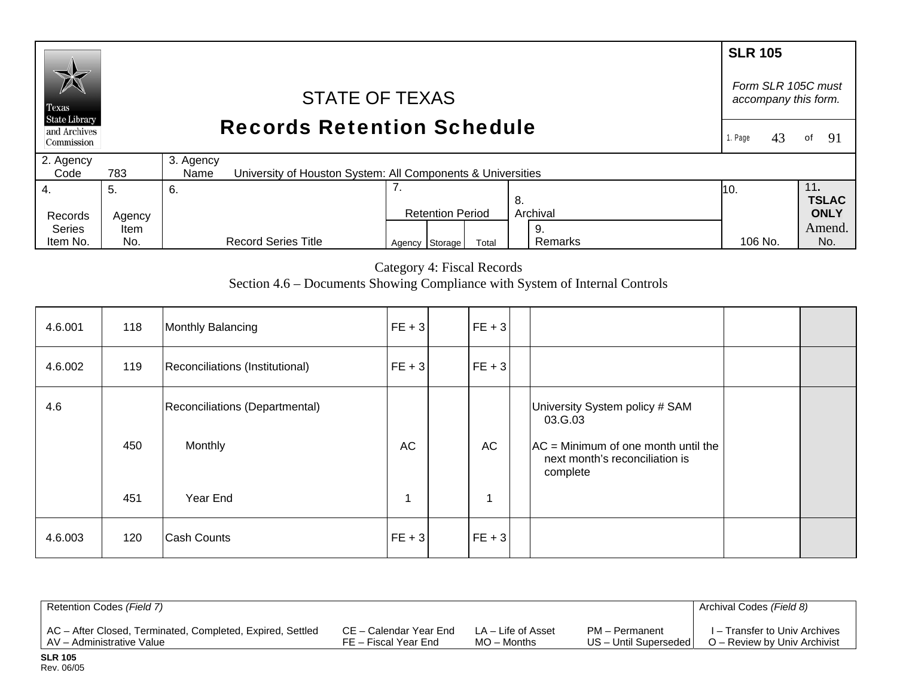### **SLR 105**  *Form SLR 105C must* STATE OF TEXAS *accompany this form.*  Texas **State Library** Records Retention Schedule and Archives of  $91$ 1. Page 43 Commission 2. Agency 3. Agency  $Code$ 783 University of Houston System: All Components & Universities 7. 4. 11**.**  5. 6. 10. **TSLAC** 8. Records Agency Retention Period Archival **ONLY**  Series Amend. Item 9. Agency Storage Total Remarks 106 No. No. Item No. No. Record Series Title Remarks 106 No.

Category 4: Fiscal Records

Section 4.6 – Documents Showing Compliance with System of Internal Controls

| 4.6.001 | 118 | Monthly Balancing                         | $FE + 3$   | $ FE + 3 $     |                                                                                    |  |
|---------|-----|-------------------------------------------|------------|----------------|------------------------------------------------------------------------------------|--|
| 4.6.002 | 119 | Reconciliations (Institutional)           | $ FE + 3 $ | $ FE + 3 $     |                                                                                    |  |
| 4.6     | 450 | Reconciliations (Departmental)<br>Monthly | AC         | AC             | University System policy # SAM<br>03.G.03<br>$AC = Minimum of one month until the$ |  |
|         | 451 | Year End                                  |            | $\overline{A}$ | next month's reconciliation is<br>complete                                         |  |
| 4.6.003 | 120 | <b>Cash Counts</b>                        | $ FE + 3 $ | $FE + 3$       |                                                                                    |  |

| Retention Codes (Field 7)                                  |                        |                    |                       | Archival Codes (Field 8)      |
|------------------------------------------------------------|------------------------|--------------------|-----------------------|-------------------------------|
| AC - After Closed, Terminated, Completed, Expired, Settled | CE – Calendar Year End | LA – Life of Asset | PM – Permanent        | I – Transfer to Univ Archives |
| I AV – Administrative Value                                | FE – Fiscal Year End   | MO – Months        | US - Until Superseded | O – Review by Univ Archivist  |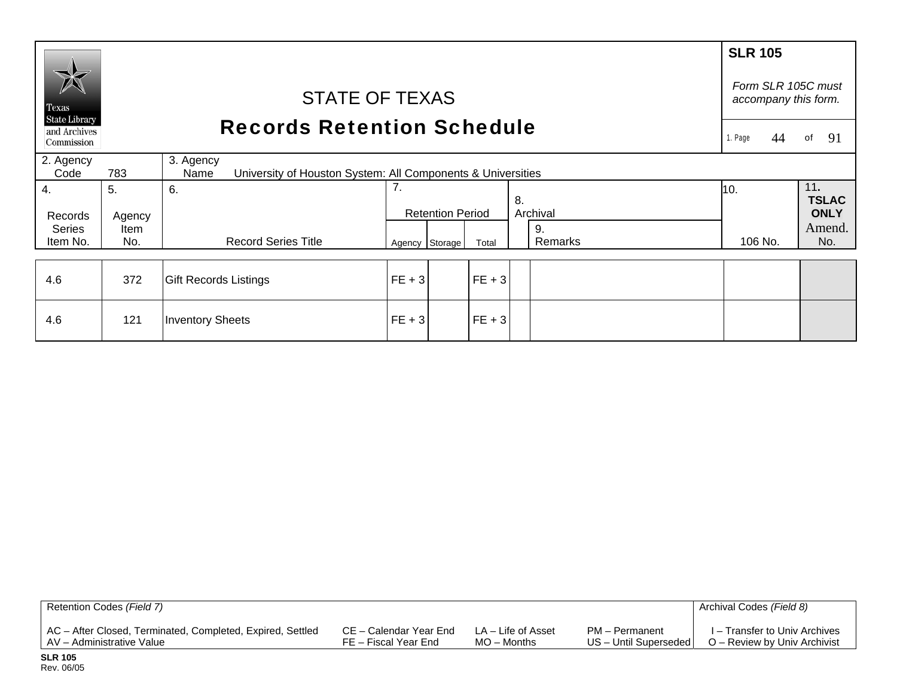|                               |                                                                                         |                              |          |                         |          |    |               | <b>SLR 105</b>                             |                     |  |
|-------------------------------|-----------------------------------------------------------------------------------------|------------------------------|----------|-------------------------|----------|----|---------------|--------------------------------------------|---------------------|--|
| Texas<br><b>State Library</b> |                                                                                         | <b>STATE OF TEXAS</b>        |          |                         |          |    |               | Form SLR 105C must<br>accompany this form. |                     |  |
| and Archives<br>Commission    | <b>Records Retention Schedule</b>                                                       |                              |          |                         |          |    |               |                                            | 91<br>of            |  |
| 2. Agency<br>Code             | 3. Agency<br>783<br>University of Houston System: All Components & Universities<br>Name |                              |          |                         |          |    |               |                                            |                     |  |
| 4.                            | 5.                                                                                      | 6.                           | 7.       |                         |          | 8. |               | 10.                                        | 11.<br><b>TSLAC</b> |  |
| Records                       | Agency                                                                                  |                              |          | <b>Retention Period</b> |          |    | Archival      |                                            | <b>ONLY</b>         |  |
| <b>Series</b><br>Item No.     | Item<br>No.                                                                             | <b>Record Series Title</b>   |          | Agency Storage          | Total    |    | 9.<br>Remarks | 106 No.                                    | Amend.<br>No.       |  |
|                               |                                                                                         |                              |          |                         |          |    |               |                                            |                     |  |
| 4.6                           | 372                                                                                     | <b>Gift Records Listings</b> | $FE + 3$ |                         | $FE + 3$ |    |               |                                            |                     |  |
| 4.6                           | 121                                                                                     | <b>Inventory Sheets</b>      | $FE + 3$ |                         | $FE + 3$ |    |               |                                            |                     |  |

| Retention Codes (Field 7)                                  |                        |                    |                       | Archival Codes (Field 8)      |
|------------------------------------------------------------|------------------------|--------------------|-----------------------|-------------------------------|
| AC - After Closed, Terminated, Completed, Expired, Settled | CE – Calendar Year End | LA – Life of Asset | PM - Permanent        | I – Transfer to Univ Archives |
| AV – Administrative Value                                  | FE – Fiscal Year End   | MO – Months        | US - Until Superseded | O – Review by Univ Archivist  |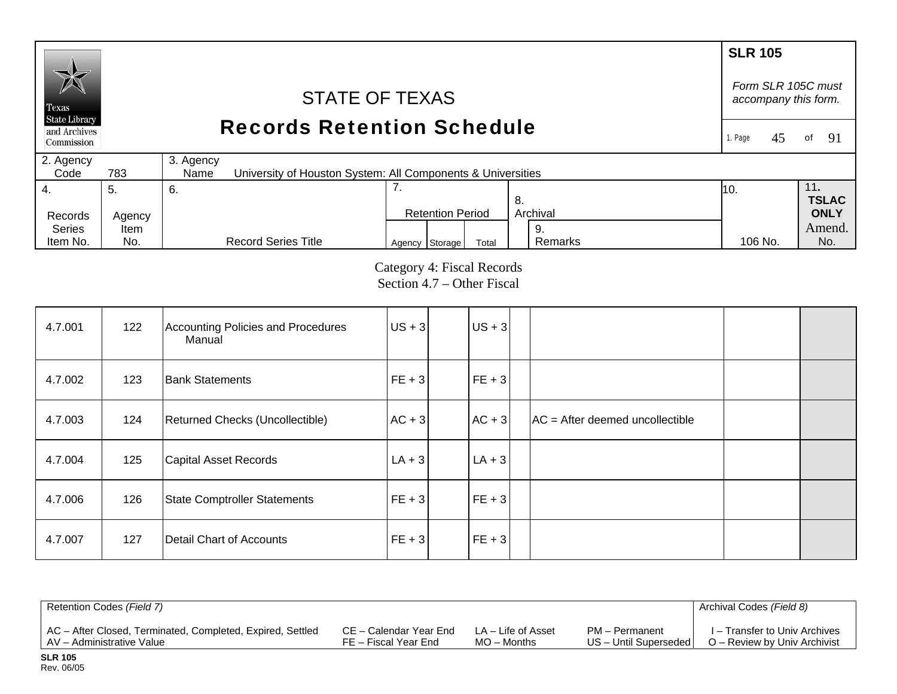# **SLR 105**  *Form SLR 105C must* STATE OF TEXAS *accompany this form.*  Texas **State Library** Records Retention Schedule and Archives 1. Page 45of  $91$ Commission 2. Agency 3. Agency  $Code$ 783 University of Houston System: All Components & Universities 4. 7. 11**.**  5. 6. 10. **TSLAC** 8. Records Agency Retention Period Archival **ONLY**  Series Amend. Item 9. Agency Storage Total Remarks 106 No. No.

Category 4: Fiscal Records Section 4.7 – Other Fiscal

Remarks

106 No.

| 4.7.001 | 122 | Accounting Policies and Procedures<br>Manual | $US + 3$   | $US + 3$   |                                   |  |
|---------|-----|----------------------------------------------|------------|------------|-----------------------------------|--|
| 4.7.002 | 123 | <b>Bank Statements</b>                       | $ FE + 3 $ | $ FE + 3 $ |                                   |  |
| 4.7.003 | 124 | Returned Checks (Uncollectible)              | $AC + 3$   | $AC + 3$   | $AC = After deemed uncollectible$ |  |
| 4.7.004 | 125 | Capital Asset Records                        | $ LA + 3 $ | $LA + 3$   |                                   |  |
| 4.7.006 | 126 | State Comptroller Statements                 | $FE + 3$   | $FE + 3$   |                                   |  |
| 4.7.007 | 127 | Detail Chart of Accounts                     | $FE + 3$   | $FE + 3$   |                                   |  |

| Retention Codes (Field 7)                                  |                        |                    |                         | Archival Codes (Field 8)      |
|------------------------------------------------------------|------------------------|--------------------|-------------------------|-------------------------------|
| AC – After Closed, Terminated, Completed, Expired, Settled | CE – Calendar Year End | LA – Life of Asset | PM – Permanent          | I – Transfer to Univ Archives |
| LAV – Administrative Value                                 | FE – Fiscal Year End   | $MO -$ Months      | US - Until Superseded I | O – Review by Univ Archivist  |

Item No.

No.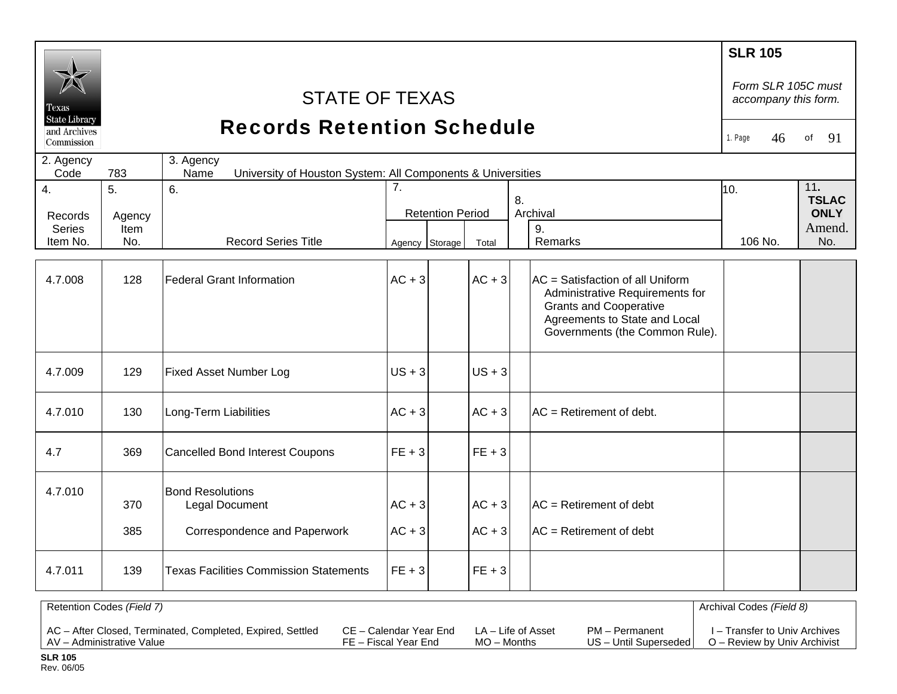|                               |                           |                                                                                  |                         |                      |                                                                                                                                                                         | <b>SLR 105</b>                             |               |
|-------------------------------|---------------------------|----------------------------------------------------------------------------------|-------------------------|----------------------|-------------------------------------------------------------------------------------------------------------------------------------------------------------------------|--------------------------------------------|---------------|
| Texas<br><b>State Library</b> |                           | <b>STATE OF TEXAS</b>                                                            |                         |                      |                                                                                                                                                                         | Form SLR 105C must<br>accompany this form. |               |
| and Archives<br>Commission    |                           | <b>Records Retention Schedule</b>                                                |                         |                      |                                                                                                                                                                         | 1. Page<br>46                              | 91<br>of      |
| 2. Agency<br>Code             | 783                       | 3. Agency<br>University of Houston System: All Components & Universities<br>Name |                         |                      |                                                                                                                                                                         |                                            |               |
| 4.                            | 5 <sub>1</sub>            | 6.                                                                               | 7 <sub>1</sub>          | 10.                  | 11.<br><b>TSLAC</b>                                                                                                                                                     |                                            |               |
| Records                       | Agency                    |                                                                                  | <b>Retention Period</b> |                      | 8.<br>Archival                                                                                                                                                          |                                            | <b>ONLY</b>   |
| <b>Series</b><br>Item No.     | Item<br>No.               | <b>Record Series Title</b>                                                       | Agency Storage          | Total                | 9.<br>Remarks                                                                                                                                                           | 106 No.                                    | Amend.<br>No. |
| 4.7.008                       | 128                       | <b>Federal Grant Information</b>                                                 | $AC + 3$                | $AC + 3$             | AC = Satisfaction of all Uniform<br>Administrative Requirements for<br><b>Grants and Cooperative</b><br>Agreements to State and Local<br>Governments (the Common Rule). |                                            |               |
| 4.7.009                       | 129                       | <b>Fixed Asset Number Log</b>                                                    | $US + 3$                | $US + 3$             |                                                                                                                                                                         |                                            |               |
| 4.7.010                       | 130                       | Long-Term Liabilities                                                            | $AC + 3$                | $AC + 3$             | $AC =$ Retirement of debt.                                                                                                                                              |                                            |               |
| 4.7                           | 369                       | <b>Cancelled Bond Interest Coupons</b>                                           | $FE + 3$                | $FE + 3$             |                                                                                                                                                                         |                                            |               |
| 4.7.010                       | 370<br>385                | <b>Bond Resolutions</b><br>Legal Document<br>Correspondence and Paperwork        | $AC + 3$<br>$AC + 3$    | $AC + 3$<br>$AC + 3$ | $AC =$ Retirement of debt<br>$AC =$ Retirement of debt                                                                                                                  |                                            |               |
| 4.7.011                       | 139                       | <b>Texas Facilities Commission Statements</b>                                    | $FE + 3$                | $FE + 3$             |                                                                                                                                                                         |                                            |               |
|                               | Retention Codes (Field 7) |                                                                                  |                         |                      |                                                                                                                                                                         | Archival Codes (Field 8)                   |               |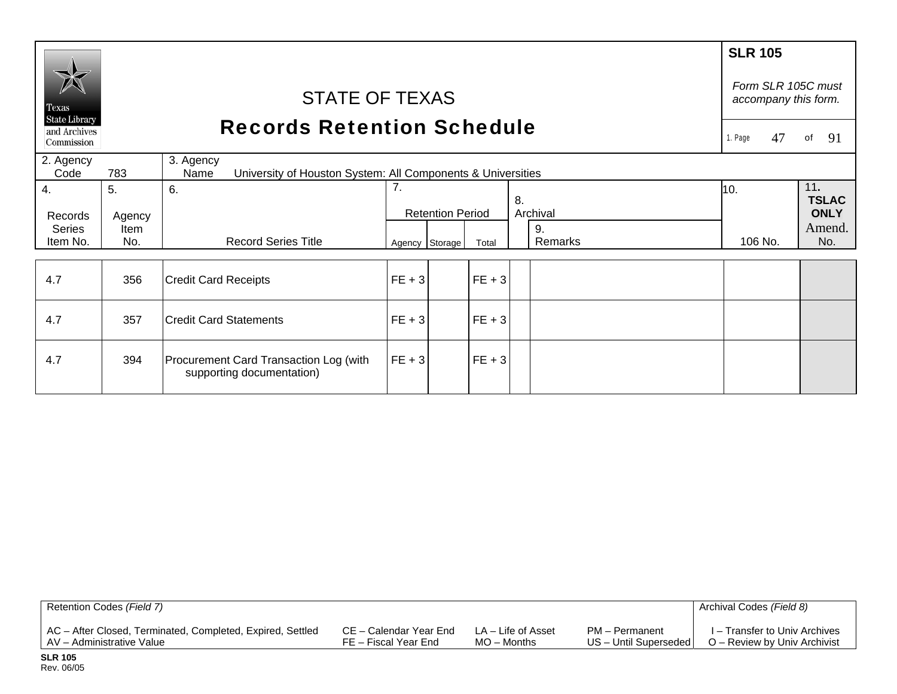| Texas                                              |                                   | <b>STATE OF TEXAS</b>                                                            |          |                         |          |    |                | <b>SLR 105</b><br>Form SLR 105C must<br>accompany this form. |                                              |
|----------------------------------------------------|-----------------------------------|----------------------------------------------------------------------------------|----------|-------------------------|----------|----|----------------|--------------------------------------------------------------|----------------------------------------------|
| <b>State Library</b><br>and Archives<br>Commission | <b>Records Retention Schedule</b> |                                                                                  |          |                         |          |    |                |                                                              | 91<br>of                                     |
| 2. Agency<br>Code                                  | 783                               | 3. Agency<br>University of Houston System: All Components & Universities<br>Name |          |                         |          |    |                |                                                              |                                              |
| 4.<br>Records<br><b>Series</b>                     | 5.<br>Agency<br>Item              | 6.                                                                               | 7.       | <b>Retention Period</b> |          | 8. | Archival<br>9. | 10.                                                          | 11.<br><b>TSLAC</b><br><b>ONLY</b><br>Amend. |
| Item No.                                           | No.                               | <b>Record Series Title</b>                                                       |          | Agency Storage          | Total    |    | Remarks        | 106 No.                                                      | No.                                          |
| 4.7                                                | 356                               | <b>Credit Card Receipts</b>                                                      | $FE + 3$ |                         | $FE + 3$ |    |                |                                                              |                                              |
| 4.7                                                | 357                               | <b>Credit Card Statements</b>                                                    | $FE + 3$ |                         | $FE + 3$ |    |                |                                                              |                                              |
| 4.7                                                | 394                               | Procurement Card Transaction Log (with<br>supporting documentation)              | $FE + 3$ |                         | $FE + 3$ |    |                |                                                              |                                              |

| Retention Codes (Field 7)                                  |                        |                    |                       | Archival Codes (Field 8)      |
|------------------------------------------------------------|------------------------|--------------------|-----------------------|-------------------------------|
| AC - After Closed, Terminated, Completed, Expired, Settled | CE – Calendar Year End | LA – Life of Asset | PM – Permanent        | I – Transfer to Univ Archives |
| AV – Administrative Value                                  | FE – Fiscal Year End   | $MO -$ Months      | US - Until Superseded | O – Review by Univ Archivist  |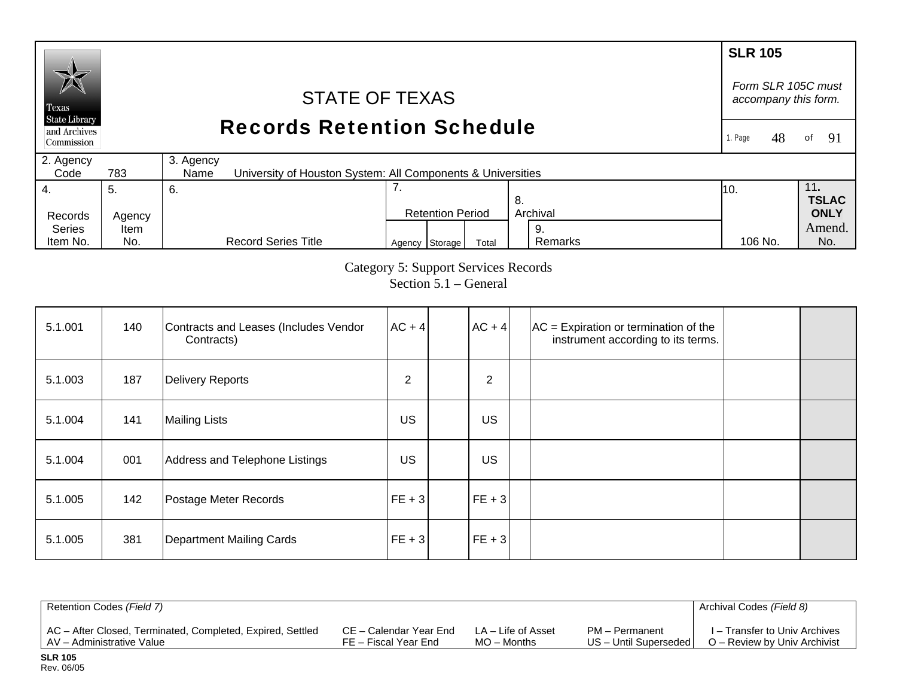### **SLR 105** *Form SLR 105C must* STATE OF TEXAS *accompany this form.*  Texas **State Library** Records Retention Schedule and Archives 1. Page 48 of 91 Commission 2. Agency 3. Agency  $Code$ 783 University of Houston System: All Components & Universities 4. 7. 11**.**  5. 6. 10. **TSLAC** 8. Records Agency Retention Period Archival **ONLY**  Series Amend. Item 9. Agency Storage Total Remarks 106 No. No. Item No. No. Record Series Title Remarks 106 No.

Category 5: Support Services Records

Section 5.1 – General

| 5.1.001 | 140 | Contracts and Leases (Includes Vendor<br>Contracts) | $AC + 4$       | $AC + 4$       | $AC =$ Expiration or termination of the<br>instrument according to its terms. |  |
|---------|-----|-----------------------------------------------------|----------------|----------------|-------------------------------------------------------------------------------|--|
| 5.1.003 | 187 | Delivery Reports                                    | $\overline{2}$ | $\overline{2}$ |                                                                               |  |
| 5.1.004 | 141 | <b>Mailing Lists</b>                                | <b>US</b>      | <b>US</b>      |                                                                               |  |
| 5.1.004 | 001 | Address and Telephone Listings                      | US.            | US             |                                                                               |  |
| 5.1.005 | 142 | Postage Meter Records                               | $ FE + 3 $     | $FE + 3$       |                                                                               |  |
| 5.1.005 | 381 | Department Mailing Cards                            | $ FE + 3 $     | $FE + 3$       |                                                                               |  |

| Retention Codes (Field 7)                                  |                        |                    |                         | Archival Codes (Field 8)      |
|------------------------------------------------------------|------------------------|--------------------|-------------------------|-------------------------------|
| AC - After Closed, Terminated, Completed, Expired, Settled | CE – Calendar Year End | LA – Life of Asset | PM - Permanent          | I – Transfer to Univ Archives |
| AV – Administrative Value                                  | FE – Fiscal Year End   | $MO -$ Months      | US - Until Superseded I | O – Review by Univ Archivist  |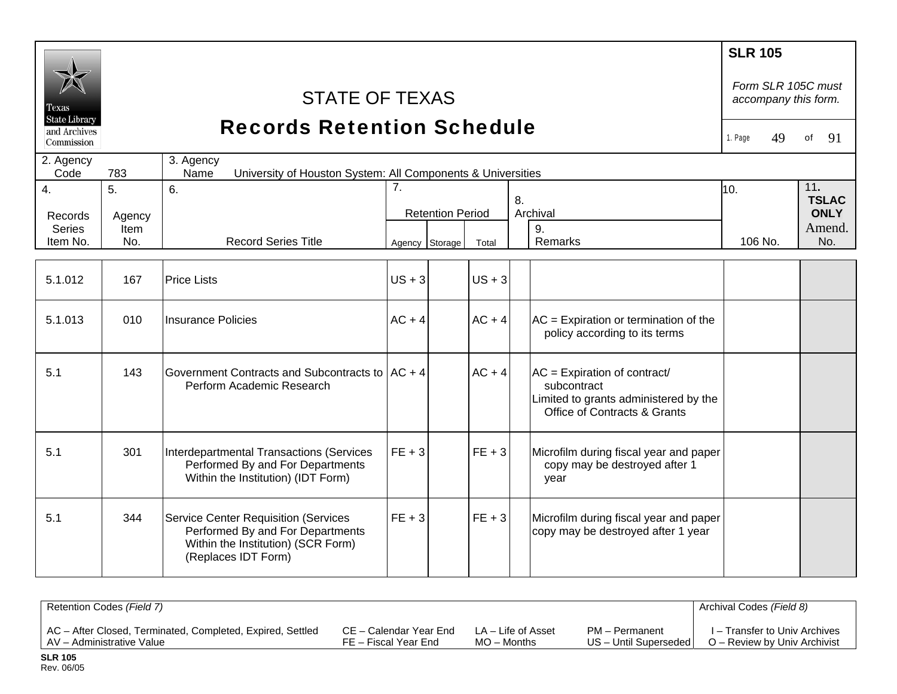|                                                    |        |                                                                                                                                              |                |                         |          |    |                                                                                                                        | <b>SLR 105</b><br>Form SLR 105C must |                     |
|----------------------------------------------------|--------|----------------------------------------------------------------------------------------------------------------------------------------------|----------------|-------------------------|----------|----|------------------------------------------------------------------------------------------------------------------------|--------------------------------------|---------------------|
| l'exas                                             |        | <b>STATE OF TEXAS</b>                                                                                                                        |                |                         |          |    |                                                                                                                        | accompany this form.                 |                     |
| <b>State Library</b><br>and Archives<br>Commission |        | <b>Records Retention Schedule</b>                                                                                                            |                |                         |          |    |                                                                                                                        | 1. Page<br>49                        | 91<br>of            |
| 2. Agency<br>Code                                  | 783    | 3. Agency<br>University of Houston System: All Components & Universities<br>Name                                                             |                |                         |          |    |                                                                                                                        |                                      |                     |
| $\overline{4}$ .                                   | 5.     | 6.                                                                                                                                           | 7 <sub>1</sub> |                         |          |    |                                                                                                                        | 10.                                  | 11.<br><b>TSLAC</b> |
| Records                                            | Agency |                                                                                                                                              |                | <b>Retention Period</b> |          | 8. | Archival                                                                                                               |                                      | <b>ONLY</b>         |
| Series                                             | Item   |                                                                                                                                              |                |                         |          |    | 9.                                                                                                                     |                                      | Amend.              |
| Item No.                                           | No.    | <b>Record Series Title</b>                                                                                                                   | Agency Storage |                         | Total    |    | Remarks                                                                                                                | 106 No.                              | No.                 |
| 5.1.012                                            | 167    | <b>Price Lists</b>                                                                                                                           | $US + 3$       |                         | $US + 3$ |    |                                                                                                                        |                                      |                     |
| 5.1.013                                            | 010    | Insurance Policies                                                                                                                           | $AC + 4$       |                         | $AC + 4$ |    | $AC =$ Expiration or termination of the<br>policy according to its terms                                               |                                      |                     |
| 5.1                                                | 143    | Government Contracts and Subcontracts to   AC + 4<br>Perform Academic Research                                                               |                |                         | $AC + 4$ |    | $AC =$ Expiration of contract/<br>subcontract<br>Limited to grants administered by the<br>Office of Contracts & Grants |                                      |                     |
| 5.1                                                | 301    | Interdepartmental Transactions (Services<br>Performed By and For Departments<br>Within the Institution) (IDT Form)                           | $FE + 3$       |                         | $FE + 3$ |    | Microfilm during fiscal year and paper<br>copy may be destroyed after 1<br>year                                        |                                      |                     |
| 5.1                                                | 344    | <b>Service Center Requisition (Services</b><br>Performed By and For Departments<br>Within the Institution) (SCR Form)<br>(Replaces IDT Form) | $FE + 3$       |                         | $FE + 3$ |    | Microfilm during fiscal year and paper<br>copy may be destroyed after 1 year                                           |                                      |                     |
|                                                    |        |                                                                                                                                              |                |                         |          |    |                                                                                                                        |                                      |                     |

| Retention Codes (Field 7)                                  |                        |                    |                         | Archival Codes (Field 8)      |
|------------------------------------------------------------|------------------------|--------------------|-------------------------|-------------------------------|
| AC - After Closed, Terminated, Completed, Expired, Settled | CE – Calendar Year End | LA – Life of Asset | PM - Permanent          | I – Transfer to Univ Archives |
| AV - Administrative Value                                  | FE - Fiscal Year End   | $MO -$ Months      | US – Until Superseded I | O – Review by Univ Archivist  |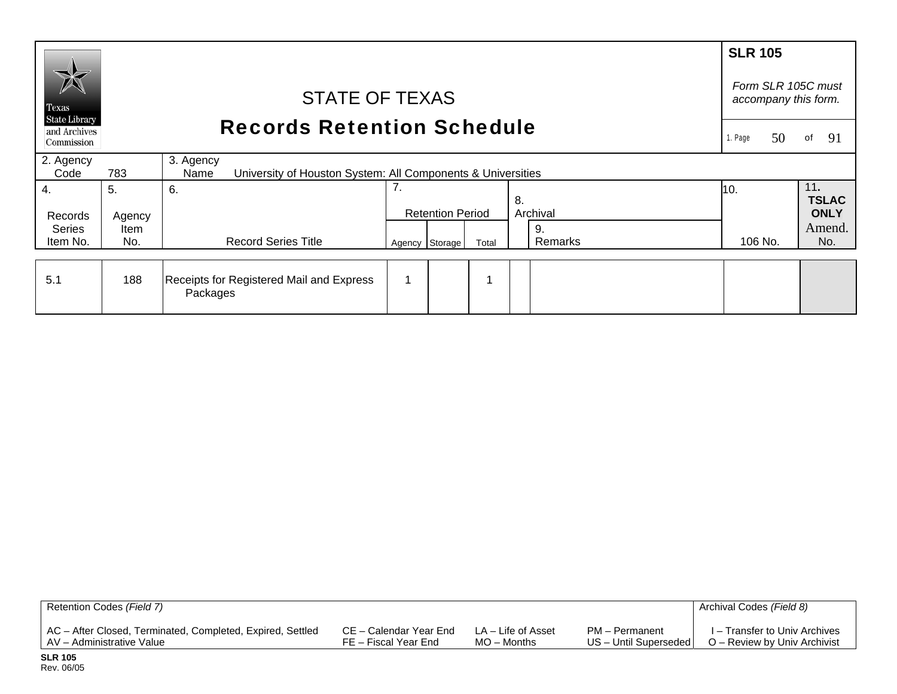|                                                    |                                   |                                                                                  |                                            |                         |       |               | <b>SLR 105</b> |                       |
|----------------------------------------------------|-----------------------------------|----------------------------------------------------------------------------------|--------------------------------------------|-------------------------|-------|---------------|----------------|-----------------------|
| $\mathbb{X}$<br>Texas                              |                                   |                                                                                  | Form SLR 105C must<br>accompany this form. |                         |       |               |                |                       |
| <b>State Library</b><br>and Archives<br>Commission | <b>Records Retention Schedule</b> |                                                                                  |                                            |                         |       |               |                |                       |
| 2. Agency<br>Code                                  | 783                               | 3. Agency<br>University of Houston System: All Components & Universities<br>Name |                                            |                         |       |               |                |                       |
| 4.                                                 | 5.                                | 6.                                                                               | 7.                                         |                         |       | 8.            | 10.            | 11.<br><b>TSLAC</b>   |
| Records                                            | Agency                            |                                                                                  |                                            | <b>Retention Period</b> |       | Archival      |                | <b>ONLY</b><br>Amend. |
| <b>Series</b><br>Item No.                          | Item<br>No.                       | <b>Record Series Title</b>                                                       |                                            | Agency Storage          | Total | 9.<br>Remarks | 106 No.        | No.                   |
|                                                    |                                   |                                                                                  |                                            |                         |       |               |                |                       |
| 5.1                                                | 188                               | Receipts for Registered Mail and Express<br>Packages                             |                                            |                         |       |               |                |                       |

| Retention Codes (Field 7)                                  |                        |                    |                         | Archival Codes (Field 8)      |
|------------------------------------------------------------|------------------------|--------------------|-------------------------|-------------------------------|
| AC - After Closed, Terminated, Completed, Expired, Settled | CE – Calendar Year End | LA – Life of Asset | PM - Permanent          | I – Transfer to Univ Archives |
| AV - Administrative Value                                  | FE – Fiscal Year End   | $MO -$ Months      | US - Until Superseded I | O – Review by Univ Archivist  |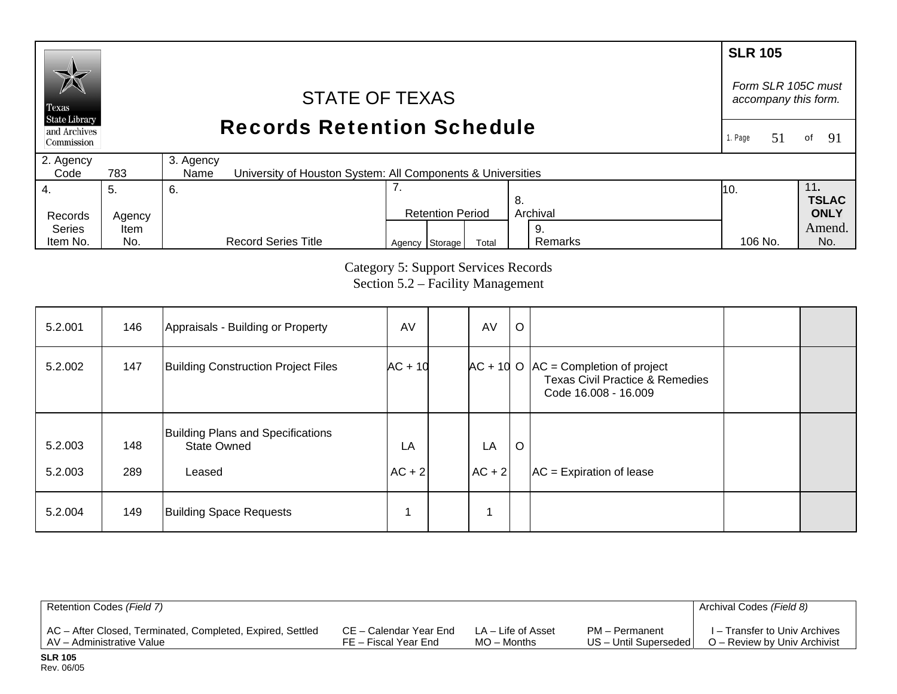# **SLR 105** *Form SLR 105C must* STATE OF TEXAS *accompany this form.*  Texas **State Library** Records Retention Schedule and Archives 1. Page 51of  $91$ Commission 2. Agency 3. Agency  $Code$ 783 University of Houston System: All Components & Universities 4. 7. 11**.**  5. 6. 10. **TSLAC** 8. Records Agency Retention Period Archival **ONLY**  Series Amend.Item 9. Agency Storage Total Remarks 106 No. No.

Category 5: Support Services Records Section 5.2 – Facility Management

Remarks

106 No.

| 5.2.001            | 146        | Appraisals - Building or Property                                        | AV               | AV             | $\circ$ |                                                                                                                |  |
|--------------------|------------|--------------------------------------------------------------------------|------------------|----------------|---------|----------------------------------------------------------------------------------------------------------------|--|
| 5.2.002            | 147        | <b>Building Construction Project Files</b>                               | $AC + 10$        |                |         | $AC + 10$ O $AC =$ Completion of project<br><b>Texas Civil Practice &amp; Remedies</b><br>Code 16.008 - 16.009 |  |
| 5.2.003<br>5.2.003 | 148<br>289 | <b>Building Plans and Specifications</b><br><b>State Owned</b><br>Leased | LA<br>$ AC + 2 $ | LA<br>$AC + 2$ | $\circ$ | $AC = Expiration of lease$                                                                                     |  |
| 5.2.004            | 149        | <b>Building Space Requests</b>                                           |                  |                |         |                                                                                                                |  |

| Retention Codes (Field 7)                                  |                        |                    |                         | Archival Codes (Field 8)      |
|------------------------------------------------------------|------------------------|--------------------|-------------------------|-------------------------------|
| AC – After Closed, Terminated, Completed, Expired, Settled | CE – Calendar Year End | LA – Life of Asset | PM – Permanent          | I – Transfer to Univ Archives |
| AV - Administrative Value                                  | FE – Fiscal Year End   | $MO -$ Months      | US - Until Superseded I | O – Review by Univ Archivist  |

**SLR 105** Rev. 06/05

Item No.

No.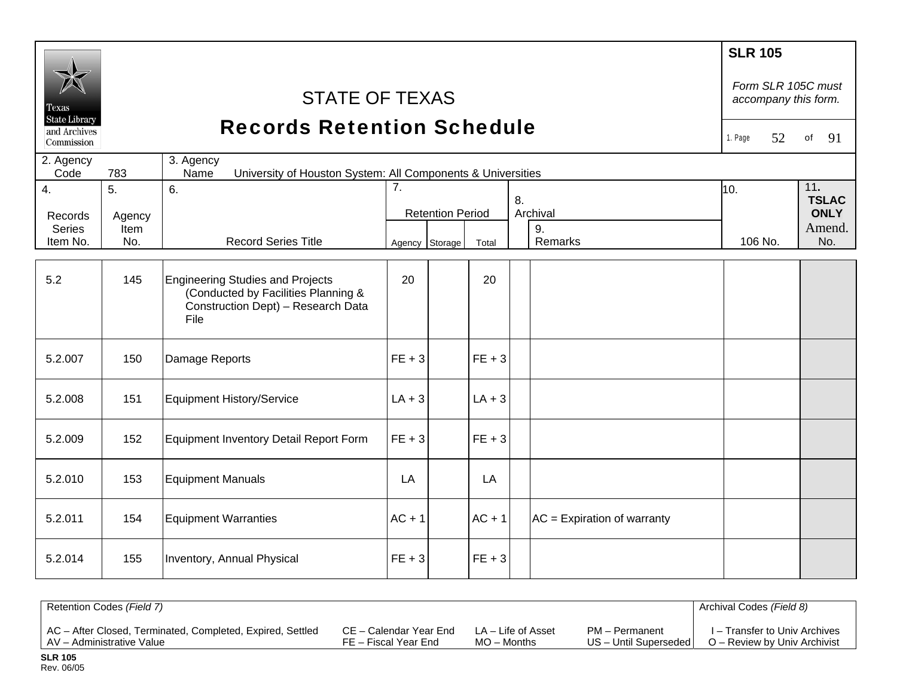| Texas<br><b>State Library</b><br>and Archives<br>Commission | <b>STATE OF TEXAS</b><br><b>Records Retention Schedule</b><br>3. Agency |                                                                                                                              |          |                                                                                                                |          |  |                               |                                              |     |  |
|-------------------------------------------------------------|-------------------------------------------------------------------------|------------------------------------------------------------------------------------------------------------------------------|----------|----------------------------------------------------------------------------------------------------------------|----------|--|-------------------------------|----------------------------------------------|-----|--|
| 2. Agency<br>Code                                           | 783                                                                     |                                                                                                                              |          |                                                                                                                |          |  |                               |                                              |     |  |
| 4.<br>Records<br><b>Series</b>                              | 5.<br>Agency<br>Item                                                    | 6.                                                                                                                           | 7.       | University of Houston System: All Components & Universities<br>8.<br>Archival<br><b>Retention Period</b><br>9. |          |  | 10.                           | 11.<br><b>TSLAC</b><br><b>ONLY</b><br>Amend. |     |  |
| Item No.                                                    | No.                                                                     | <b>Record Series Title</b>                                                                                                   |          | Agency Storage                                                                                                 | Total    |  | Remarks                       | 106 No.                                      | No. |  |
| 5.2                                                         | 145                                                                     | <b>Engineering Studies and Projects</b><br>(Conducted by Facilities Planning &<br>Construction Dept) - Research Data<br>File | 20       |                                                                                                                | 20       |  |                               |                                              |     |  |
| 5.2.007                                                     | 150                                                                     | Damage Reports                                                                                                               | $FE + 3$ |                                                                                                                | $FE + 3$ |  |                               |                                              |     |  |
| 5.2.008                                                     | 151                                                                     | <b>Equipment History/Service</b>                                                                                             | $LA + 3$ |                                                                                                                | $LA + 3$ |  |                               |                                              |     |  |
| 5.2.009                                                     | 152                                                                     | Equipment Inventory Detail Report Form                                                                                       | $FE + 3$ |                                                                                                                | $FE + 3$ |  |                               |                                              |     |  |
| 5.2.010                                                     | 153                                                                     | <b>Equipment Manuals</b>                                                                                                     | LA       |                                                                                                                | LA       |  |                               |                                              |     |  |
| 5.2.011                                                     | 154                                                                     | <b>Equipment Warranties</b>                                                                                                  | $AC + 1$ |                                                                                                                | $AC + 1$ |  | $AC =$ Expiration of warranty |                                              |     |  |
| 5.2.014                                                     | 155                                                                     | Inventory, Annual Physical                                                                                                   | $FE + 3$ |                                                                                                                | $FE + 3$ |  |                               |                                              |     |  |

| Retention Codes (Field 7)                                  |                        |                    |                       | Archival Codes (Field 8)      |
|------------------------------------------------------------|------------------------|--------------------|-----------------------|-------------------------------|
| AC - After Closed, Terminated, Completed, Expired, Settled | CE – Calendar Year End | LA – Life of Asset | PM - Permanent        | I – Transfer to Univ Archives |
| AV - Administrative Value                                  | FE – Fiscal Year End   | $MO -$ Months      | US - Until Superseded | O – Review by Univ Archivist  |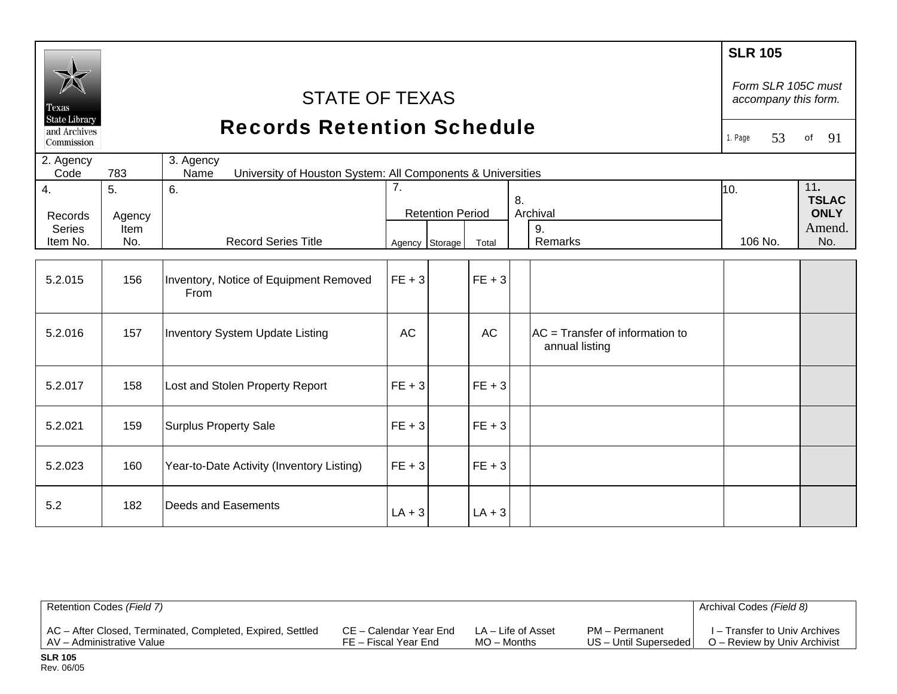| Texas<br><b>State Library</b><br>and Archives | <b>STATE OF TEXAS</b><br><b>Records Retention Schedule</b><br>Commission                |                                                |                |                                           |           |    |                                                   |                | Form SLR 105C must<br>accompany this form.<br>91<br>of |
|-----------------------------------------------|-----------------------------------------------------------------------------------------|------------------------------------------------|----------------|-------------------------------------------|-----------|----|---------------------------------------------------|----------------|--------------------------------------------------------|
| 2. Agency<br>Code                             | 3. Agency<br>783<br>Name<br>University of Houston System: All Components & Universities |                                                |                |                                           |           |    |                                                   |                |                                                        |
| 4.<br>Records<br><b>Series</b><br>Item No.    | 5.<br>Agency<br>Item<br>No.                                                             | 6.<br><b>Record Series Title</b>               | 7 <sub>1</sub> | <b>Retention Period</b><br>Agency Storage | Total     | 8. | Archival<br>9.<br>Remarks                         | 10.<br>106 No. | 11.<br><b>TSLAC</b><br><b>ONLY</b><br>Amend.<br>No.    |
| 5.2.015                                       | 156                                                                                     | Inventory, Notice of Equipment Removed<br>From | $FE + 3$       |                                           | $FE + 3$  |    |                                                   |                |                                                        |
| 5.2.016                                       | 157                                                                                     | Inventory System Update Listing                | <b>AC</b>      |                                           | <b>AC</b> |    | AC = Transfer of information to<br>annual listing |                |                                                        |
| 5.2.017                                       | 158                                                                                     | Lost and Stolen Property Report                | $FE + 3$       |                                           | $FE + 3$  |    |                                                   |                |                                                        |
| 5.2.021                                       | 159                                                                                     | <b>Surplus Property Sale</b>                   | $FE + 3$       |                                           | $FE + 3$  |    |                                                   |                |                                                        |
| 5.2.023                                       | 160                                                                                     | Year-to-Date Activity (Inventory Listing)      | $FE + 3$       |                                           | $FE + 3$  |    |                                                   |                |                                                        |
| 5.2                                           | 182                                                                                     | Deeds and Easements                            | $LA + 3$       |                                           | $LA + 3$  |    |                                                   |                |                                                        |

| Retention Codes (Field 7)                                  |                        |                    |                         | Archival Codes (Field 8)      |
|------------------------------------------------------------|------------------------|--------------------|-------------------------|-------------------------------|
| AC - After Closed, Terminated, Completed, Expired, Settled | CE – Calendar Year End | LA – Life of Asset | PM - Permanent          | I – Transfer to Univ Archives |
| AV - Administrative Value                                  | FE – Fiscal Year End   | $MO -$ Months      | US - Until Superseded I | O – Review by Univ Archivist  |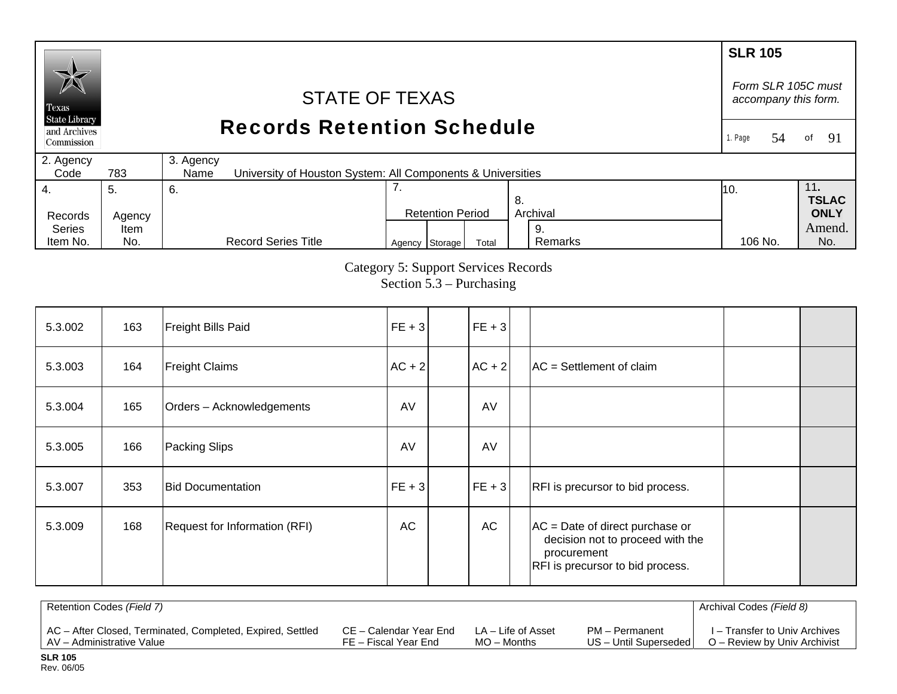### **SLR 105** *Form SLR 105C must* STATE OF TEXAS *accompany this form.*  Texas **State Library** Records Retention Schedule and Archives 1. Page 54of 91 Commission 2. Agency 3. Agency  $Code$ 783 University of Houston System: All Components & Universities 4. 7. 11**.**  5. 6. 10. **TSLAC** 8. Records Agency Retention Period Archival **ONLY**  Series Amend.Item 9. Agency Storage Total Remarks 106 No. No. Item No. No. Record Series Title Remarks 106 No.

Category 5: Support Services Records

Section 5.3 – Purchasing

| 5.3.002 | 163 | Freight Bills Paid            | $ FE + 3 $ | $FE + 3$  |                                                                                                                          |  |
|---------|-----|-------------------------------|------------|-----------|--------------------------------------------------------------------------------------------------------------------------|--|
| 5.3.003 | 164 | <b>Freight Claims</b>         | $ AC + 2 $ | $AC + 2$  | $AC = Settlement of claim$                                                                                               |  |
| 5.3.004 | 165 | Orders - Acknowledgements     | AV         | AV        |                                                                                                                          |  |
| 5.3.005 | 166 | Packing Slips                 | AV         | AV        |                                                                                                                          |  |
| 5.3.007 | 353 | <b>Bid Documentation</b>      | $ FE + 3 $ | $FE + 3$  | RFI is precursor to bid process.                                                                                         |  |
| 5.3.009 | 168 | Request for Information (RFI) | AC         | <b>AC</b> | $AC = Date of direct purchase or$<br>decision not to proceed with the<br>procurement<br>RFI is precursor to bid process. |  |

| Retention Codes (Field 7)                                  |                        |                    |                         | Archival Codes (Field 8)      |
|------------------------------------------------------------|------------------------|--------------------|-------------------------|-------------------------------|
| AC - After Closed, Terminated, Completed, Expired, Settled | CE – Calendar Year End | LA – Life of Asset | PM - Permanent          | I – Transfer to Univ Archives |
| AV - Administrative Value                                  | FE – Fiscal Year End   | $MO -$ Months      | US - Until Superseded I | O – Review by Univ Archivist  |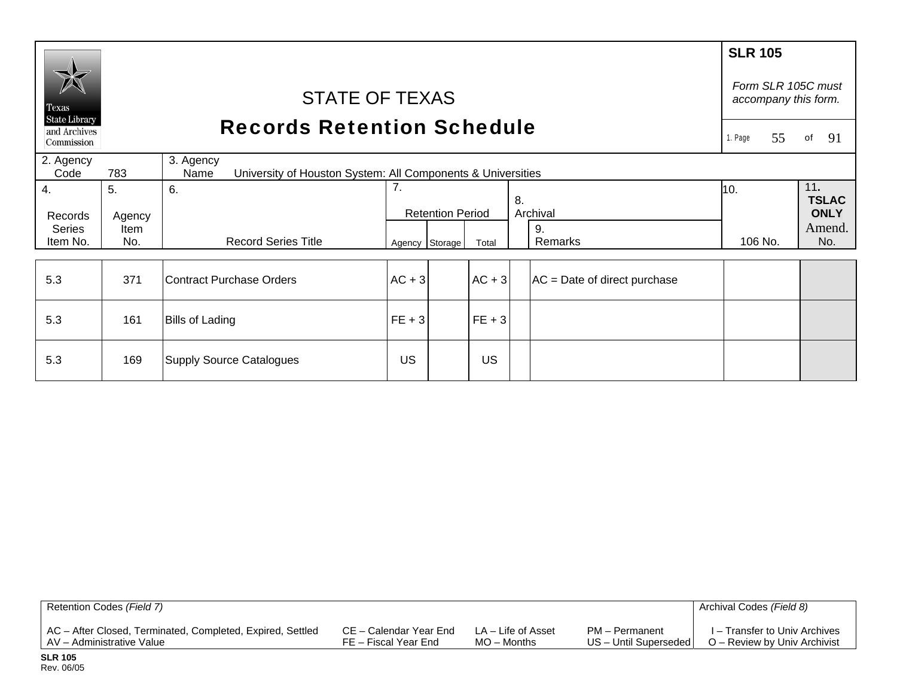| Texas<br><b>State Library</b><br>and Archives<br>Commission | <b>STATE OF TEXAS</b><br><b>Records Retention Schedule</b><br>3. Agency |                                                                     |          |                                           |          |    |                                |                | Form SLR 105C must<br>accompany this form.<br>of<br>91 |
|-------------------------------------------------------------|-------------------------------------------------------------------------|---------------------------------------------------------------------|----------|-------------------------------------------|----------|----|--------------------------------|----------------|--------------------------------------------------------|
| 2. Agency<br>Code                                           | 783                                                                     | University of Houston System: All Components & Universities<br>Name |          |                                           |          |    |                                |                |                                                        |
| 4.<br>Records<br><b>Series</b><br>Item No.                  | 5.<br>Agency<br>Item<br>No.                                             | 6.<br><b>Record Series Title</b>                                    | 7.       | <b>Retention Period</b><br>Agency Storage | Total    | 8. | Archival<br>9.<br>Remarks      | 10.<br>106 No. | 11.<br><b>TSLAC</b><br><b>ONLY</b><br>Amend.<br>No.    |
| 5.3                                                         | 371                                                                     | Contract Purchase Orders                                            | $AC + 3$ |                                           | $AC + 3$ |    | $AC = Date of direct purchase$ |                |                                                        |
| 5.3                                                         | 161                                                                     | <b>Bills of Lading</b>                                              | $FE + 3$ |                                           | $FE + 3$ |    |                                |                |                                                        |
| 5.3                                                         | 169                                                                     | <b>Supply Source Catalogues</b>                                     | US       |                                           | US       |    |                                |                |                                                        |

| Retention Codes (Field 7)                                  |                        |                    |                         | Archival Codes (Field 8)      |
|------------------------------------------------------------|------------------------|--------------------|-------------------------|-------------------------------|
| AC - After Closed, Terminated, Completed, Expired, Settled | CE – Calendar Year End | LA – Life of Asset | PM - Permanent          | I – Transfer to Univ Archives |
| AV – Administrative Value                                  | FE – Fiscal Year End   | MO – Months        | US - Until Superseded I | O – Review by Univ Archivist  |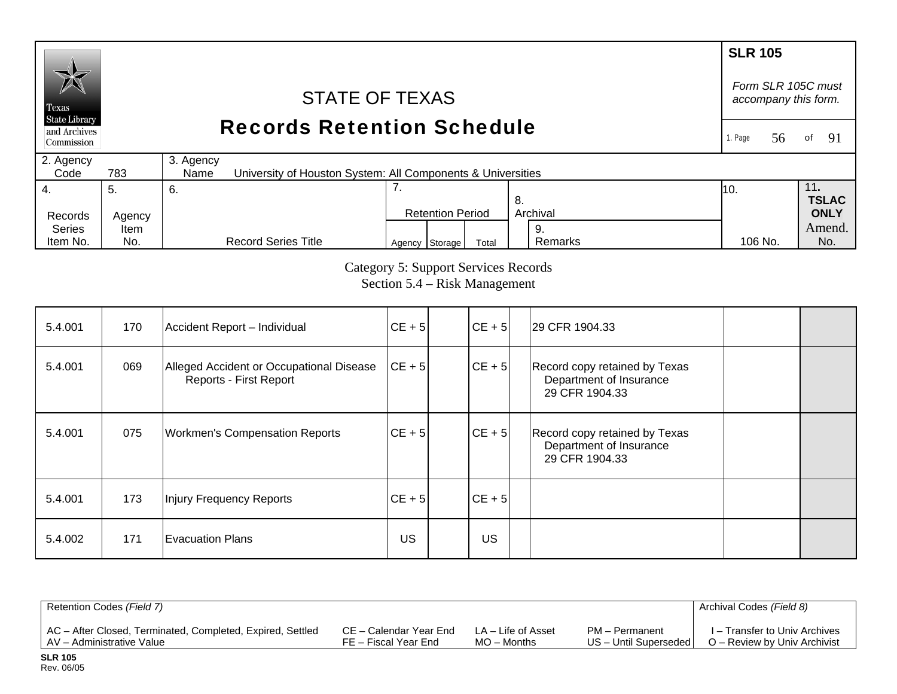## **SLR 105** *Form SLR 105C must* STATE OF TEXAS *accompany this form.*  Texas **State Library** Records Retention Schedule and Archives 1. Page 56of  $91$ Commission 2. Agency 3. Agency  $Code$ 783 University of Houston System: All Components & Universities 7. 4. 11**.**  5. 6. 10. **TSLAC** 8. Records Agency Retention Period Archival **ONLY**  Series Amend.Item 9.

Category 5: Support Services Records Section 5.4 – Risk Management

106 No.

Agency Storage Total Remarks 106 No. No.

Remarks

| 5.4.001 | 170 | Accident Report - Individual                                       | $CE + 5$   | $CE + 5$ | 29 CFR 1904.33                                                             |  |
|---------|-----|--------------------------------------------------------------------|------------|----------|----------------------------------------------------------------------------|--|
| 5.4.001 | 069 | Alleged Accident or Occupational Disease<br>Reports - First Report | $ CE + 5 $ | $CE + 5$ | Record copy retained by Texas<br>Department of Insurance<br>29 CFR 1904.33 |  |
| 5.4.001 | 075 | <b>Workmen's Compensation Reports</b>                              | $CE + 5$   | $CE + 5$ | Record copy retained by Texas<br>Department of Insurance<br>29 CFR 1904.33 |  |
| 5.4.001 | 173 | Injury Frequency Reports                                           | $CE + 5$   | $CE + 5$ |                                                                            |  |
| 5.4.002 | 171 | <b>Evacuation Plans</b>                                            | US         | US       |                                                                            |  |

| Retention Codes (Field 7)                                  |                        |                    |                       | Archival Codes (Field 8)      |
|------------------------------------------------------------|------------------------|--------------------|-----------------------|-------------------------------|
| AC - After Closed, Terminated, Completed, Expired, Settled | CE – Calendar Year End | LA – Life of Asset | PM - Permanent        | I – Transfer to Univ Archives |
| LAV - Administrative Value                                 | FE – Fiscal Year End   | $MO -$ Months      | US - Until Superseded | O – Review by Univ Archivist  |

Item No.

No.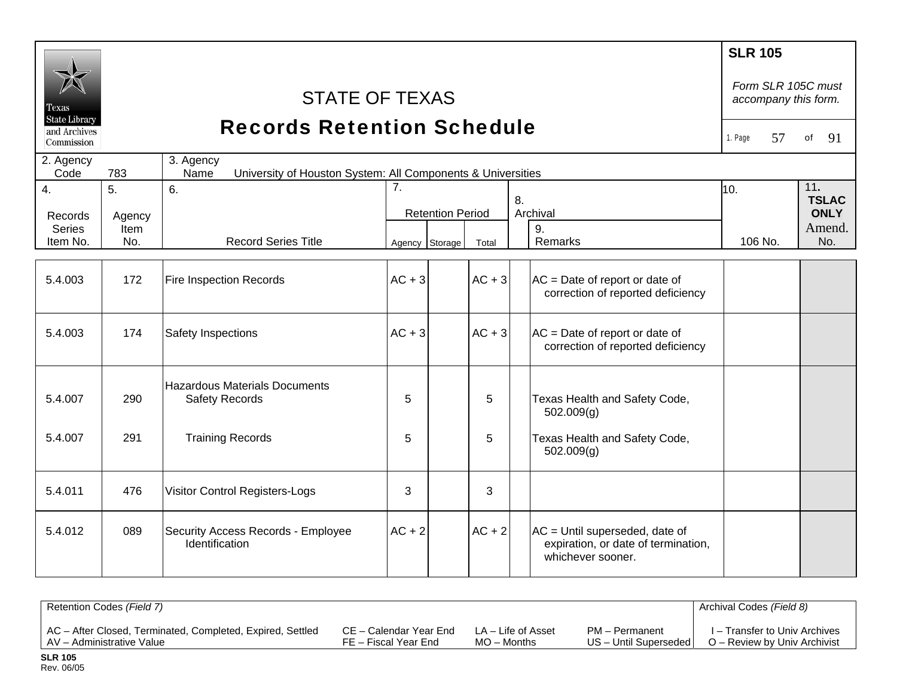|                               |             |                                                                                  |                |                         |          |  |                                                                                              | <b>SLR 105</b><br>Form SLR 105C must |               |
|-------------------------------|-------------|----------------------------------------------------------------------------------|----------------|-------------------------|----------|--|----------------------------------------------------------------------------------------------|--------------------------------------|---------------|
| Texas<br><b>State Library</b> |             | <b>STATE OF TEXAS</b>                                                            |                |                         |          |  |                                                                                              | accompany this form.                 |               |
| and Archives<br>Commission    |             | <b>Records Retention Schedule</b>                                                |                |                         |          |  |                                                                                              | 57<br>1. Page                        | 91<br>of      |
| 2. Agency<br>Code             | 783         | 3. Agency<br>Name<br>University of Houston System: All Components & Universities |                |                         |          |  |                                                                                              |                                      |               |
| 4.                            | 5.          | 6.                                                                               | 7.<br>8.       |                         |          |  | 10.                                                                                          | 11.<br><b>TSLAC</b>                  |               |
| Records                       | Agency      |                                                                                  |                | <b>Retention Period</b> |          |  | Archival                                                                                     |                                      | <b>ONLY</b>   |
| <b>Series</b><br>Item No.     | Item<br>No. | <b>Record Series Title</b>                                                       | Agency Storage |                         | Total    |  | 9.<br>Remarks                                                                                | 106 No.                              | Amend.<br>No. |
|                               |             |                                                                                  |                |                         |          |  |                                                                                              |                                      |               |
| 5.4.003                       | 172         | Fire Inspection Records                                                          | $AC + 3$       |                         | $AC + 3$ |  | $AC = Date of report or date of$<br>correction of reported deficiency                        |                                      |               |
| 5.4.003                       | 174         | Safety Inspections                                                               | $AC + 3$       |                         | $AC + 3$ |  | $AC = Date of report or date of$<br>correction of reported deficiency                        |                                      |               |
| 5.4.007                       | 290         | <b>Hazardous Materials Documents</b><br><b>Safety Records</b>                    | 5              |                         | 5        |  | Texas Health and Safety Code,<br>502.009(g)                                                  |                                      |               |
| 5.4.007                       | 291         | <b>Training Records</b>                                                          | 5              |                         | 5        |  | Texas Health and Safety Code,<br>502.009(g)                                                  |                                      |               |
| 5.4.011                       | 476         | <b>Visitor Control Registers-Logs</b>                                            | 3              |                         | 3        |  |                                                                                              |                                      |               |
| 5.4.012                       | 089         | Security Access Records - Employee<br>Identification                             | $AC + 2$       |                         | $AC + 2$ |  | $AC =$ Until superseded, date of<br>expiration, or date of termination,<br>whichever sooner. |                                      |               |
|                               |             |                                                                                  |                |                         |          |  |                                                                                              |                                      |               |

| Retention Codes (Field 7)                                  |                        |                    |                       | Archival Codes (Field 8)      |
|------------------------------------------------------------|------------------------|--------------------|-----------------------|-------------------------------|
| AC - After Closed, Terminated, Completed, Expired, Settled | CE – Calendar Year End | LA – Life of Asset | PM - Permanent        | I – Transfer to Univ Archives |
| AV - Administrative Value                                  | FE – Fiscal Year End   | $MO -$ Months      | US - Until Superseded | O – Review by Univ Archivist  |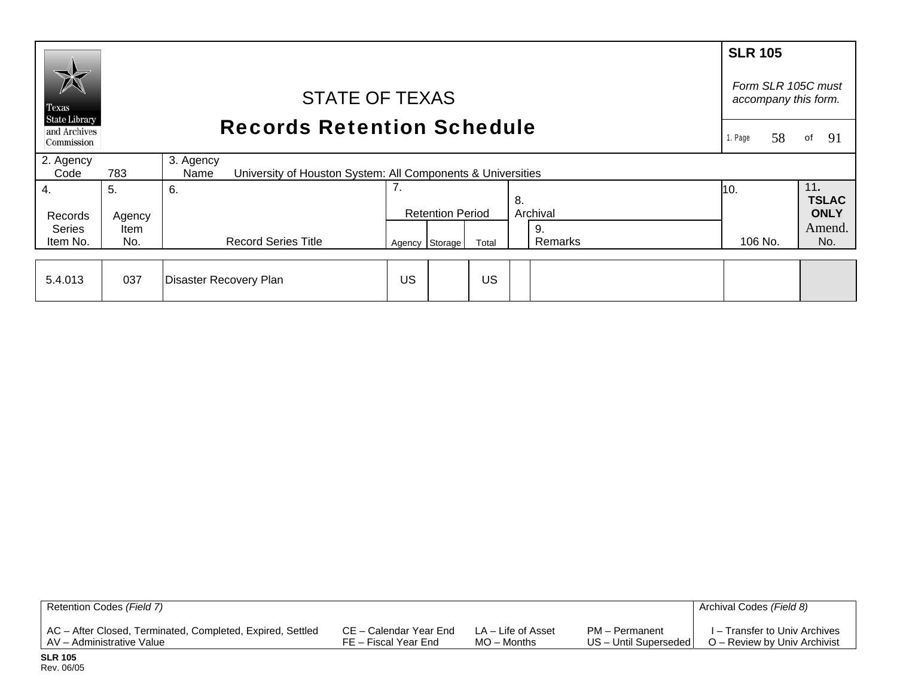|                                                    |                                              |                                                                           |    |                         |       |               |         | <b>SLR 105</b>                             |                     |  |
|----------------------------------------------------|----------------------------------------------|---------------------------------------------------------------------------|----|-------------------------|-------|---------------|---------|--------------------------------------------|---------------------|--|
| $\cancel{\triangleright}$<br>Texas                 | <b>STATE OF TEXAS</b>                        |                                                                           |    |                         |       |               |         | Form SLR 105C must<br>accompany this form. |                     |  |
| <b>State Library</b><br>and Archives<br>Commission | <b>Records Retention Schedule</b><br>1. Page |                                                                           |    |                         |       |               |         | 58                                         | 91<br>of            |  |
| 2. Agency<br>Code                                  | 783                                          | 3. Agency                                                                 |    |                         |       |               |         |                                            |                     |  |
| 4.                                                 | 5.                                           | University of Houston System: All Components & Universities<br>Name<br>6. | 7. |                         |       | 8.            | 10.     |                                            | 11.<br><b>TSLAC</b> |  |
| Records                                            | Agency                                       |                                                                           |    | <b>Retention Period</b> |       | Archival      |         |                                            | <b>ONLY</b>         |  |
| <b>Series</b><br>Item No.                          | Item<br>No.                                  | <b>Record Series Title</b>                                                |    | Agency Storage          | Total | 9.<br>Remarks | 106 No. |                                            | Amend.<br>No.       |  |
|                                                    |                                              |                                                                           |    |                         |       |               |         |                                            |                     |  |
| 5.4.013                                            | 037                                          | Disaster Recovery Plan                                                    | US |                         | US    |               |         |                                            |                     |  |

| Retention Codes (Field 7)                                  |                        |                    |                       | Archival Codes (Field 8)      |
|------------------------------------------------------------|------------------------|--------------------|-----------------------|-------------------------------|
| AC - After Closed, Terminated, Completed, Expired, Settled | CE – Calendar Year End | LA – Life of Asset | PM – Permanent        | I – Transfer to Univ Archives |
| AV – Administrative Value                                  | FE – Fiscal Year End   | $MO -$ Months      | US - Until Superseded | O – Review by Univ Archivist  |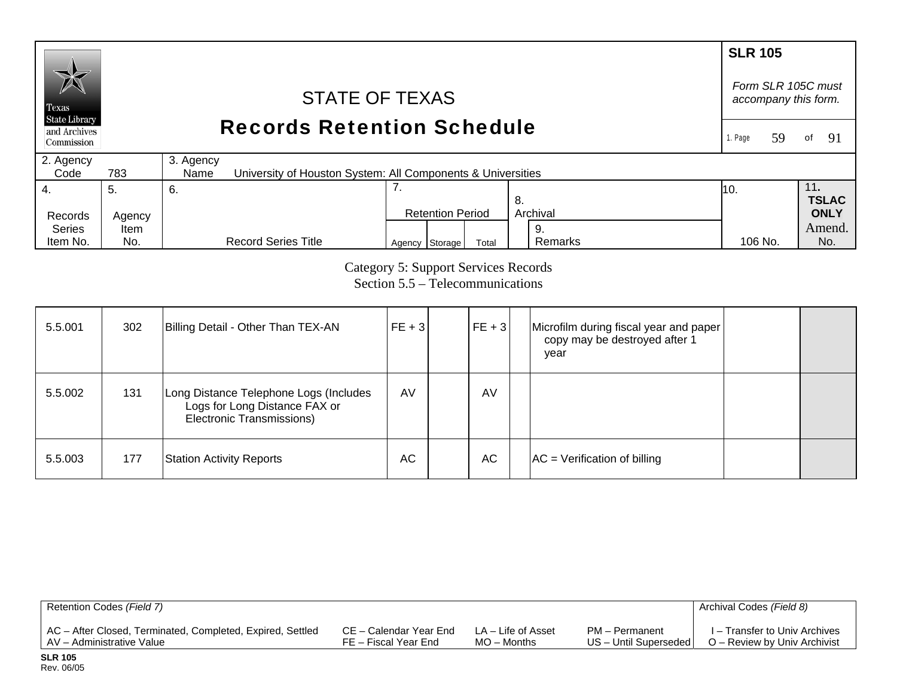### **SLR 105** *Form SLR 105C must* STATE OF TEXAS *accompany this form.*  Texas **State Library** Records Retention Schedule and Archives 1. Page 59of 91 Commission 2. Agency 3. Agency  $Code$ 783 University of Houston System: All Components & Universities 7. 4. 11**.**  5. 6. 10. **TSLAC** 8. Records Agency Retention Period Archival **ONLY**  Series Amend. Item 9. Agency Storage Total Remarks 106 No. No. Item No. No. Record Series Title Remarks 106 No.

Category 5: Support Services Records Section 5.5 – Telecommunications

| 5.5.001 | 302 | Billing Detail - Other Than TEX-AN                                                                   | $FE + 3$ | $FE + 3$  | Microfilm during fiscal year and paper<br>copy may be destroyed after 1<br>year |  |
|---------|-----|------------------------------------------------------------------------------------------------------|----------|-----------|---------------------------------------------------------------------------------|--|
| 5.5.002 | 131 | Long Distance Telephone Logs (Includes<br>Logs for Long Distance FAX or<br>Electronic Transmissions) | AV       | AV        |                                                                                 |  |
| 5.5.003 | 177 | <b>Station Activity Reports</b>                                                                      | AC       | <b>AC</b> | $AC = Verification of billing$                                                  |  |

| Retention Codes (Field 7)                                  |                        |                    |                       | Archival Codes (Field 8)      |
|------------------------------------------------------------|------------------------|--------------------|-----------------------|-------------------------------|
| AC - After Closed, Terminated, Completed, Expired, Settled | CE – Calendar Year End | LA – Life of Asset | PM - Permanent        | I – Transfer to Univ Archives |
| AV – Administrative Value                                  | FE – Fiscal Year End   | $MO -$ Months      | US - Until Superseded | O – Review by Univ Archivist  |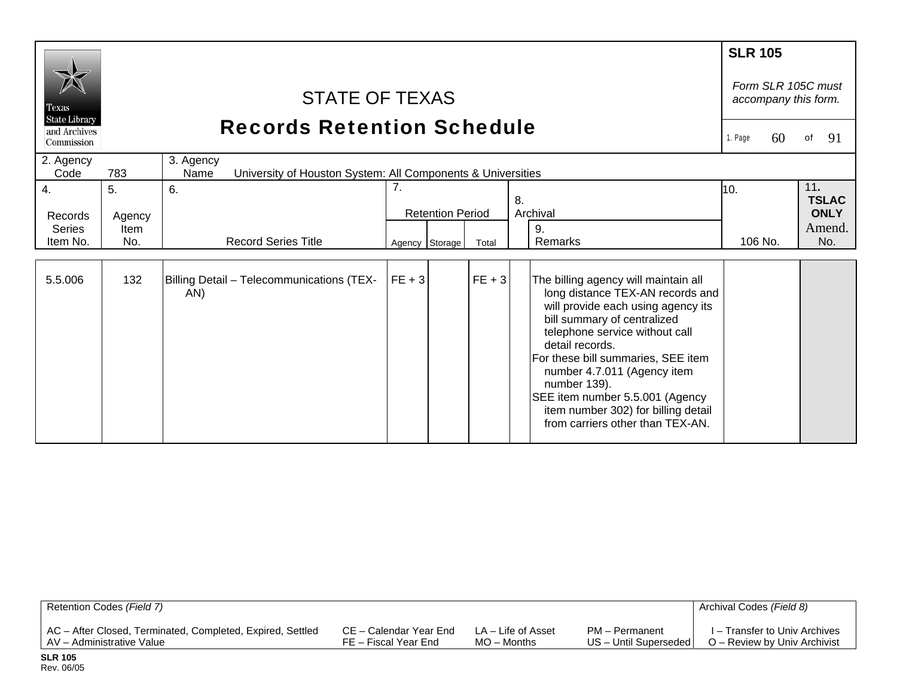|                                                             |                       |                                                                                  |                |                         |          |                                                                                                                                                                                                                                                                                                                                                                                                       | <b>SLR 105</b> |                     |                                                        |
|-------------------------------------------------------------|-----------------------|----------------------------------------------------------------------------------|----------------|-------------------------|----------|-------------------------------------------------------------------------------------------------------------------------------------------------------------------------------------------------------------------------------------------------------------------------------------------------------------------------------------------------------------------------------------------------------|----------------|---------------------|--------------------------------------------------------|
| Texas<br><b>State Library</b><br>and Archives<br>Commission |                       | STATE OF TEXAS<br><b>Records Retention Schedule</b>                              |                |                         |          |                                                                                                                                                                                                                                                                                                                                                                                                       | 1. Page        | 60                  | Form SLR 105C must<br>accompany this form.<br>91<br>of |
| 2. Agency<br>Code                                           | 783                   | 3. Agency<br>University of Houston System: All Components & Universities<br>Name |                |                         |          |                                                                                                                                                                                                                                                                                                                                                                                                       |                |                     |                                                        |
| 4.                                                          | 5.                    | 6.                                                                               | 7.<br>8.       |                         |          | 10.                                                                                                                                                                                                                                                                                                                                                                                                   |                | 11.<br><b>TSLAC</b> |                                                        |
| Records<br><b>Series</b><br>Item No.                        | Agency<br>Item<br>No. | <b>Record Series Title</b>                                                       | Agency Storage | <b>Retention Period</b> | Total    | Archival<br>9.<br>Remarks                                                                                                                                                                                                                                                                                                                                                                             | 106 No.        |                     | <b>ONLY</b><br>Amend.<br>No.                           |
| 5.5.006                                                     | 132                   | Billing Detail - Telecommunications (TEX-<br>AN)                                 | $FE + 3$       |                         | $FE + 3$ | The billing agency will maintain all<br>long distance TEX-AN records and<br>will provide each using agency its<br>bill summary of centralized<br>telephone service without call<br>detail records.<br>For these bill summaries, SEE item<br>number 4.7.011 (Agency item<br>number 139).<br>SEE item number 5.5.001 (Agency<br>item number 302) for billing detail<br>from carriers other than TEX-AN. |                |                     |                                                        |

| Retention Codes (Field 7)                                  |                        |                    |                       | Archival Codes (Field 8)      |
|------------------------------------------------------------|------------------------|--------------------|-----------------------|-------------------------------|
| AC – After Closed, Terminated, Completed, Expired, Settled | CE – Calendar Year End | LA – Life of Asset | PM – Permanent        | I – Transfer to Univ Archives |
| AV – Administrative Value                                  | FE – Fiscal Year End   | $MO -$ Months      | US - Until Superseded | O – Review by Univ Archivist  |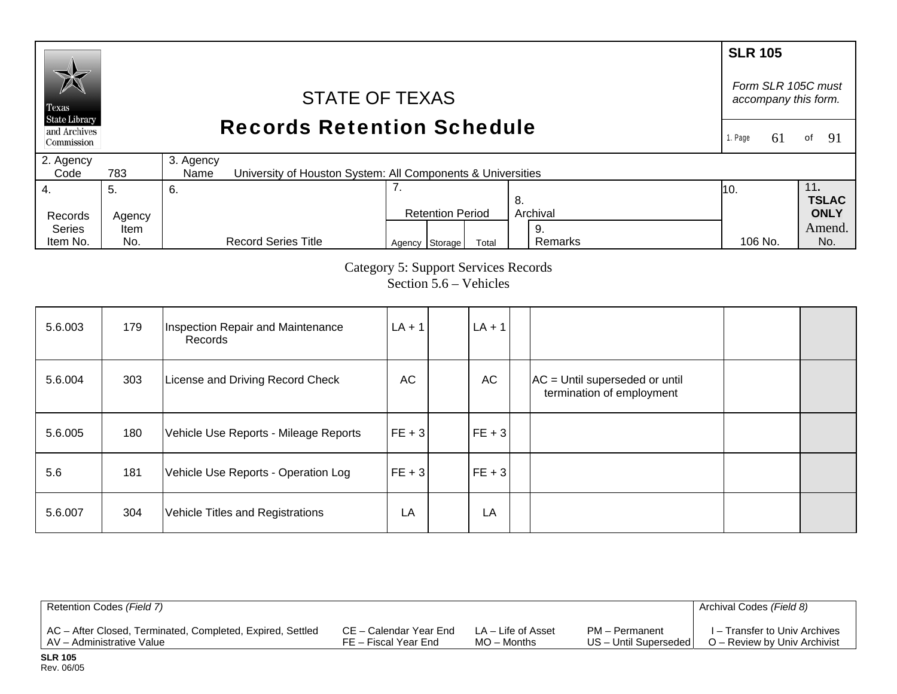### **SLR 105**  *Form SLR 105C must* STATE OF TEXAS *accompany this form.*  Texas **State Library** Records Retention Schedule and Archives 1. Page 61of  $91$ Commission 2. Agency 3. Agency  $Code$ 783 University of Houston System: All Components & Universities 7. 4. 11**.**  5. 6. 10. **TSLAC** 8. Records Agency Retention Period Archival **ONLY**  Series Amend. Item 9. Agency Storage Total Remarks 106 No. No. Item No. No. Record Series Title Remarks 106 No.

Category 5: Support Services Records

Section 5.6 – Vehicles

| 5.6.003 | 179 | Inspection Repair and Maintenance<br>Records | $LA + 1$ | $LA + 1$   |                                                               |  |
|---------|-----|----------------------------------------------|----------|------------|---------------------------------------------------------------|--|
| 5.6.004 | 303 | License and Driving Record Check             | AC       | AC         | $AC =$ Until superseded or until<br>termination of employment |  |
| 5.6.005 | 180 | Vehicle Use Reports - Mileage Reports        | $FE + 3$ | $FE + 3$   |                                                               |  |
| 5.6     | 181 | Vehicle Use Reports - Operation Log          | $FE + 3$ | $ FE + 3 $ |                                                               |  |
| 5.6.007 | 304 | Vehicle Titles and Registrations             | LA       | LA         |                                                               |  |

| Retention Codes (Field 7)                                  |                        |                    |                         | Archival Codes (Field 8)      |
|------------------------------------------------------------|------------------------|--------------------|-------------------------|-------------------------------|
| AC - After Closed, Terminated, Completed, Expired, Settled | CE – Calendar Year End | LA – Life of Asset | PM - Permanent          | I – Transfer to Univ Archives |
| I AV – Administrative Value                                | FE – Fiscal Year End   | $MO -$ Months      | US - Until Superseded I | O – Review by Univ Archivist  |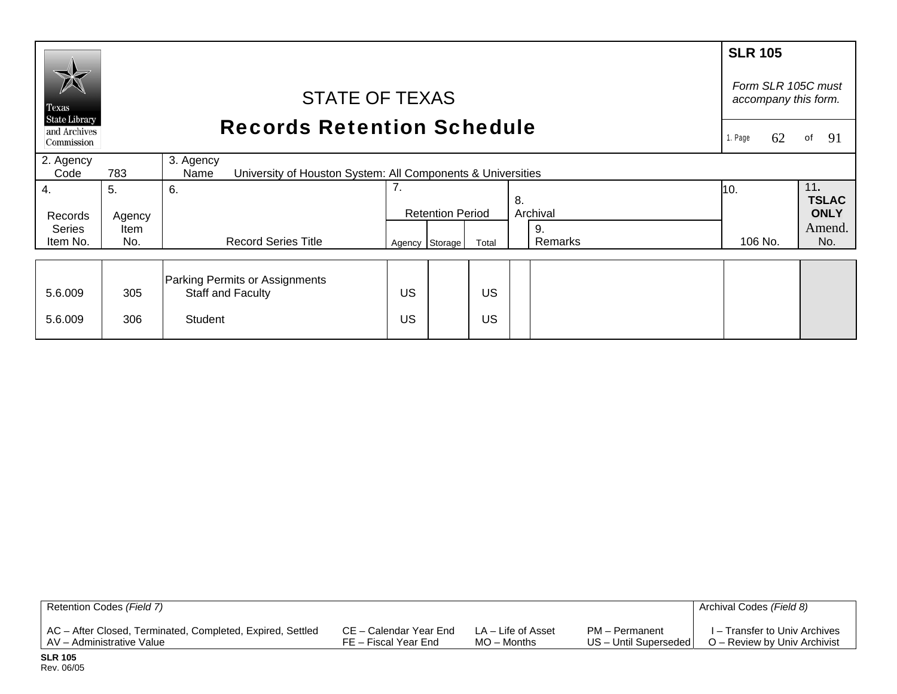|                                                    |                                                                                         |                                   |          |                         |       |          |                     | <b>SLR 105</b>                             |             |
|----------------------------------------------------|-----------------------------------------------------------------------------------------|-----------------------------------|----------|-------------------------|-------|----------|---------------------|--------------------------------------------|-------------|
| Texas                                              |                                                                                         | <b>STATE OF TEXAS</b>             |          |                         |       |          |                     | Form SLR 105C must<br>accompany this form. |             |
| <b>State Library</b><br>and Archives<br>Commission |                                                                                         | <b>Records Retention Schedule</b> |          |                         |       |          |                     |                                            | 91<br>of    |
| 2. Agency<br>Code                                  | 3. Agency<br>783<br>University of Houston System: All Components & Universities<br>Name |                                   |          |                         |       |          |                     |                                            |             |
| 4.                                                 | 5.                                                                                      | 6.                                | 7.<br>8. |                         |       | 10.      | 11.<br><b>TSLAC</b> |                                            |             |
| Records                                            | Agency                                                                                  |                                   |          | <b>Retention Period</b> |       | Archival |                     |                                            | <b>ONLY</b> |
| <b>Series</b>                                      | <b>Item</b>                                                                             |                                   |          |                         |       | 9.       |                     |                                            | Amend.      |
| Item No.                                           | No.                                                                                     | <b>Record Series Title</b>        |          | Agency Storage          | Total |          | Remarks             | 106 No.                                    | No.         |
|                                                    |                                                                                         |                                   |          |                         |       |          |                     |                                            |             |
|                                                    |                                                                                         | Parking Permits or Assignments    |          |                         |       |          |                     |                                            |             |
| 5.6.009                                            | 305                                                                                     | Staff and Faculty                 | US       |                         | US    |          |                     |                                            |             |
| 5.6.009                                            | 306                                                                                     | <b>Student</b>                    | US       |                         | US    |          |                     |                                            |             |

| Retention Codes (Field 7)                                  |                        |                    |                       | Archival Codes (Field 8)      |
|------------------------------------------------------------|------------------------|--------------------|-----------------------|-------------------------------|
| AC - After Closed, Terminated, Completed, Expired, Settled | CE – Calendar Year End | LA – Life of Asset | PM - Permanent        | I – Transfer to Univ Archives |
| AV - Administrative Value                                  | FE – Fiscal Year End   | $MO -$ Months      | US - Until Superseded | O – Review by Univ Archivist  |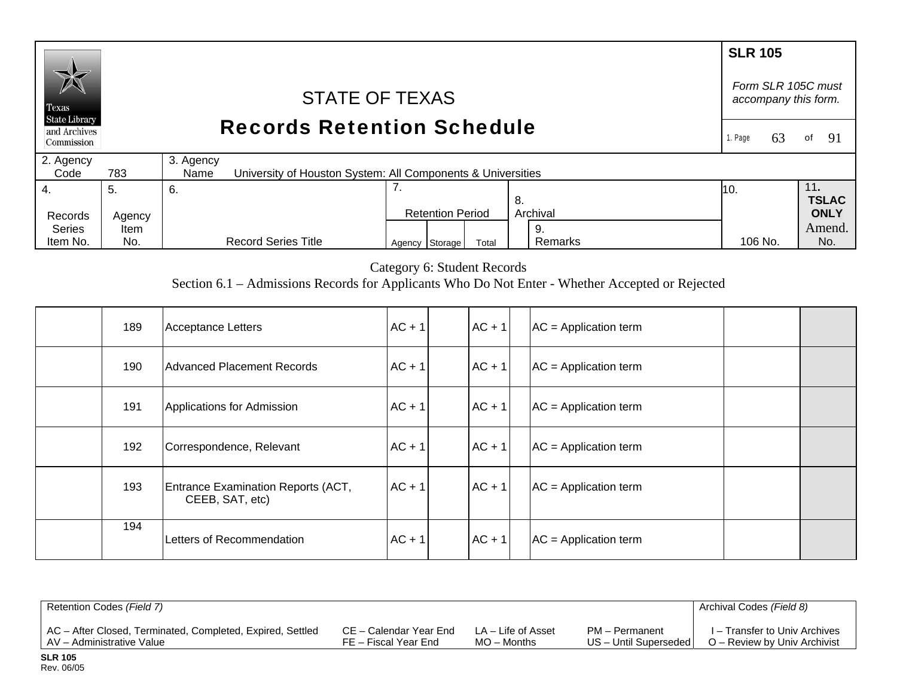# **SLR 105**  *Form SLR 105C must* STATE OF TEXAS *accompany this form.*  Texas **State Library** Records Retention Schedule and Archives 1. Page 63of 91 Commission 2. Agency 3. Agency  $Code$ 783 University of Houston System: All Components & Universities 7. 4. 11**.**  5. 6. 10. **TSLAC** 8. Records Agency Retention Period Archival **ONLY**  Series Amend. Item 9.  $Agency$  Storage Total Remarks 106 No. No.

Category 6: Student Records

Remarks

106 No.

Section 6.1 – Admissions Records for Applicants Who Do Not Enter - Whether Accepted or Rejected

| 189 | Acceptance Letters                                    | $AC + 1$ | $AC + 1$ | $AC = Application term$ |  |
|-----|-------------------------------------------------------|----------|----------|-------------------------|--|
| 190 | Advanced Placement Records                            | $AC + 1$ | $AC + 1$ | $AC = Application term$ |  |
| 191 | Applications for Admission                            | $AC + 1$ | $AC + 1$ | $AC = Application term$ |  |
| 192 | Correspondence, Relevant                              | $AC + 1$ | $AC + 1$ | $AC = Application term$ |  |
| 193 | Entrance Examination Reports (ACT,<br>CEEB, SAT, etc) | $AC + 1$ | $AC + 1$ | $AC = Application term$ |  |
| 194 | Letters of Recommendation                             | $AC + 1$ | $AC + 1$ | $AC = Application term$ |  |

| Retention Codes (Field 7)                                  |                        |                    |                       | Archival Codes (Field 8)      |
|------------------------------------------------------------|------------------------|--------------------|-----------------------|-------------------------------|
| AC - After Closed, Terminated, Completed, Expired, Settled | CE – Calendar Year End | LA – Life of Asset | PM - Permanent        | I – Transfer to Univ Archives |
| AV - Administrative Value                                  | FE – Fiscal Year End   | $MO -$ Months      | US - Until Superseded | O – Review by Univ Archivist  |

Item No.

No.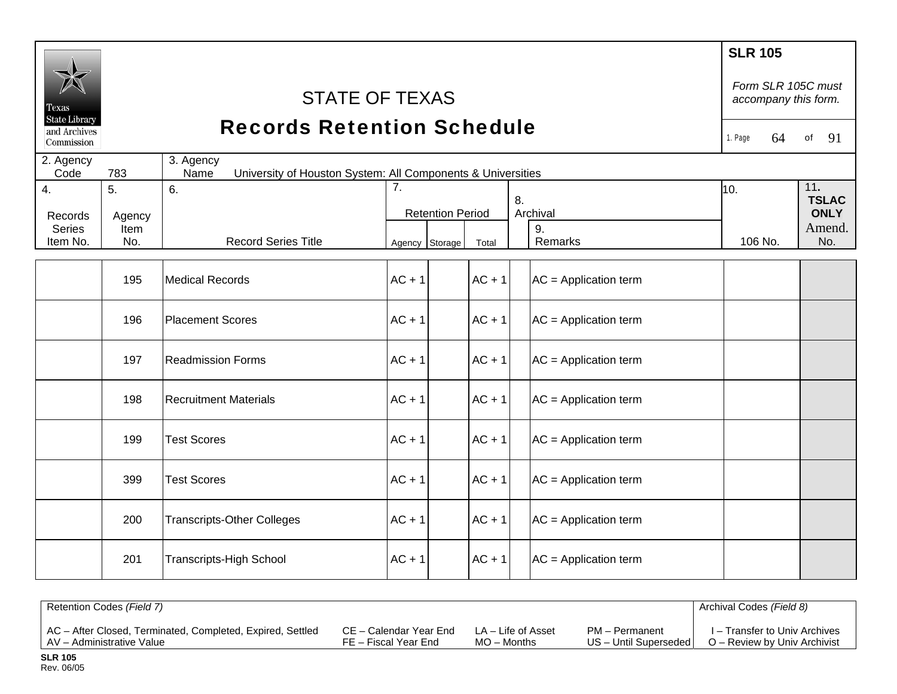| Texas<br><b>State Library</b><br>and Archives<br>Commission |                             | <b>STATE OF TEXAS</b><br><b>Records Retention Schedule</b>                       |                  |                         |          |                                 | <b>SLR 105</b><br>64<br>1. Page | Form SLR 105C must<br>accompany this form.<br>91<br>of |  |  |
|-------------------------------------------------------------|-----------------------------|----------------------------------------------------------------------------------|------------------|-------------------------|----------|---------------------------------|---------------------------------|--------------------------------------------------------|--|--|
| 2. Agency<br>Code                                           | 783                         | 3. Agency<br>University of Houston System: All Components & Universities<br>Name |                  |                         |          |                                 |                                 |                                                        |  |  |
| 4.<br>Records<br><b>Series</b><br>Item No.                  | 5.<br>Agency<br>Item<br>No. | 6.<br><b>Record Series Title</b>                                                 | $\overline{7}$ . | <b>Retention Period</b> |          | 8.<br>Archival<br>9.<br>Remarks | 10.<br>106 No.                  | 11.<br><b>TSLAC</b><br><b>ONLY</b><br>Amend.<br>No.    |  |  |
|                                                             |                             |                                                                                  | Agency Storage   |                         | Total    |                                 |                                 |                                                        |  |  |
|                                                             | 195                         | <b>Medical Records</b>                                                           | $AC + 1$         |                         | $AC + 1$ | $AC = Application term$         |                                 |                                                        |  |  |
|                                                             | 196                         | <b>Placement Scores</b>                                                          | $AC + 1$         |                         | $AC + 1$ | $AC = Application term$         |                                 |                                                        |  |  |
|                                                             | 197                         | <b>Readmission Forms</b>                                                         | $AC + 1$         |                         | $AC + 1$ | $AC = Application term$         |                                 |                                                        |  |  |
|                                                             | 198                         | <b>Recruitment Materials</b>                                                     | $AC + 1$         |                         | $AC + 1$ | $AC = Application term$         |                                 |                                                        |  |  |
|                                                             | 199                         | <b>Test Scores</b>                                                               | $AC + 1$         |                         | $AC + 1$ | $AC = Application term$         |                                 |                                                        |  |  |
|                                                             | 399                         | <b>Test Scores</b>                                                               | $AC + 1$         |                         | $AC + 1$ | $AC = Application term$         |                                 |                                                        |  |  |
|                                                             | 200                         | <b>Transcripts-Other Colleges</b>                                                | $AC + 1$         |                         | $AC + 1$ | $AC = Application term$         |                                 |                                                        |  |  |
|                                                             | 201                         | <b>Transcripts-High School</b>                                                   | $AC + 1$         |                         | $AC + 1$ | $AC = Application term$         |                                 |                                                        |  |  |

| Retention Codes (Field 7)                                  |                        |                    |                         | Archival Codes (Field 8)      |
|------------------------------------------------------------|------------------------|--------------------|-------------------------|-------------------------------|
| AC - After Closed, Terminated, Completed, Expired, Settled | CE – Calendar Year End | LA – Life of Asset | PM - Permanent          | I – Transfer to Univ Archives |
| AV - Administrative Value                                  | FE – Fiscal Year End   | $MO -$ Months      | US - Until Superseded I | O – Review by Univ Archivist  |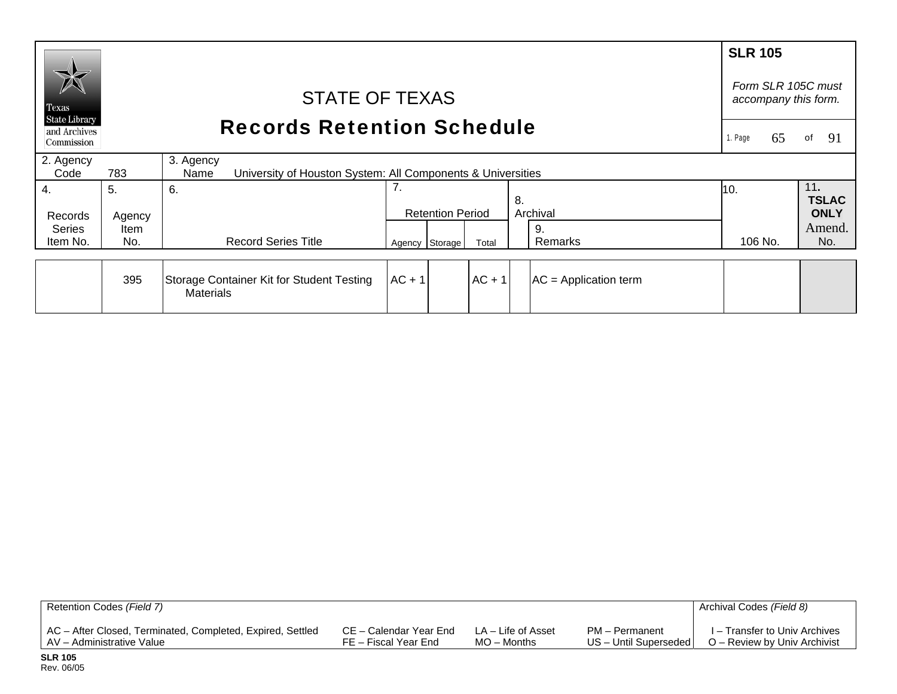|                                                    |                                   |                                                                                  |                |                         |          |                         | <b>SLR 105</b> |                     |
|----------------------------------------------------|-----------------------------------|----------------------------------------------------------------------------------|----------------|-------------------------|----------|-------------------------|----------------|---------------------|
| $\cancel{\triangleright}$<br>Texas                 |                                   | Form SLR 105C must<br>accompany this form.                                       |                |                         |          |                         |                |                     |
| <b>State Library</b><br>and Archives<br>Commission | <b>Records Retention Schedule</b> |                                                                                  |                |                         |          |                         | 65<br>1. Page  | 91<br>of            |
| 2. Agency<br>Code                                  | 783                               | 3. Agency<br>University of Houston System: All Components & Universities<br>Name |                |                         |          |                         |                |                     |
| 4.                                                 | 5.                                | 6.                                                                               | 7.             |                         |          | 8.                      | 10.            | 11.<br><b>TSLAC</b> |
| Records                                            | Agency                            |                                                                                  |                | <b>Retention Period</b> |          | Archival                |                | <b>ONLY</b>         |
| <b>Series</b><br>Item No.                          | <b>Item</b><br>No.                | <b>Record Series Title</b>                                                       | Agency Storage |                         | Total    | 9.<br>Remarks           | 106 No.        | Amend.<br>No.       |
|                                                    |                                   |                                                                                  |                |                         |          |                         |                |                     |
|                                                    | 395                               | Storage Container Kit for Student Testing<br><b>Materials</b>                    | $AC + 1$       |                         | $AC + 1$ | $AC = Application term$ |                |                     |

| Retention Codes (Field 7)                                  |                        |                    |                         | Archival Codes (Field 8)      |
|------------------------------------------------------------|------------------------|--------------------|-------------------------|-------------------------------|
| AC - After Closed, Terminated, Completed, Expired, Settled | CE – Calendar Year End | LA – Life of Asset | PM - Permanent          | I – Transfer to Univ Archives |
| AV – Administrative Value                                  | FE – Fiscal Year End   | $MO -$ Months      | US - Until Superseded I | O – Review by Univ Archivist  |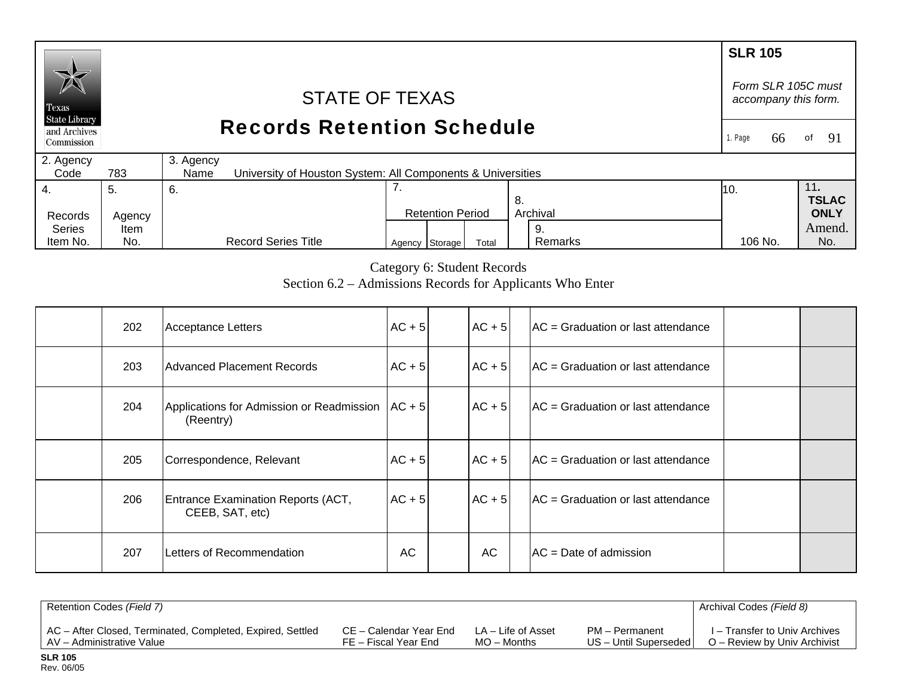## **SLR 105** *Form SLR 105C must* STATE OF TEXAS *accompany this form.*  Texas **State Library** Records Retention Schedule and Archives 1. Page 66 of 91 Commission 2. Agency 3. Agency  $Code$ 783 University of Houston System: All Components & Universities 7. 4. 11**.**  5. 6. 10. **TSLAC** 8. Records Agency Retention Period Archival **ONLY**  Series Amend. Item 9.

Category 6: Student Records

106 No.

Agency Storage Total Remarks 106 No. No.

Remarks

Section 6.2 – Admissions Records for Applicants Who Enter

| 202 | <b>Acceptance Letters</b>                                        | $AC + 5$  | $AC + 5$ | $AC = Gradient$ Graduation or last attendance |  |
|-----|------------------------------------------------------------------|-----------|----------|-----------------------------------------------|--|
| 203 | <b>Advanced Placement Records</b>                                | $AC + 5$  | $AC + 5$ | $AC = Gradient$ Graduation or last attendance |  |
| 204 | Applications for Admission or Readmission   AC + 5 <br>(Reentry) |           | $AC + 5$ | $AC = Gradient$ Graduation or last attendance |  |
| 205 | Correspondence, Relevant                                         | $AC + 5$  | $AC + 5$ | $AC = Gradient$ Graduation or last attendance |  |
| 206 | Entrance Examination Reports (ACT,<br>CEEB, SAT, etc)            | $AC + 5$  | $AC + 5$ | $AC = Gradient$ Graduation or last attendance |  |
| 207 | Letters of Recommendation                                        | <b>AC</b> | AC       | $AC = Date of admission$                      |  |

| Retention Codes (Field 7)                                  |                        |                    |                         | Archival Codes (Field 8)      |
|------------------------------------------------------------|------------------------|--------------------|-------------------------|-------------------------------|
| AC - After Closed, Terminated, Completed, Expired, Settled | CE – Calendar Year End | LA – Life of Asset | PM – Permanent          | I – Transfer to Univ Archives |
| AV – Administrative Value                                  | FE – Fiscal Year End   | $MO -$ Months      | US - Until Superseded I | O – Review by Univ Archivist  |

**SLR 105** Rev. 06/05

Item No.

No.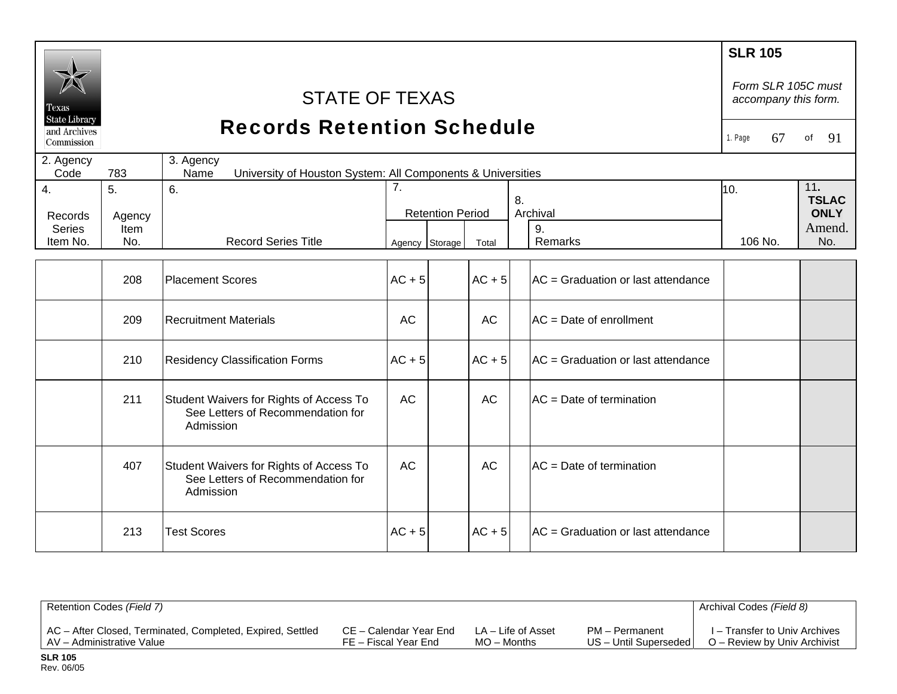| Fexas<br><b>State Library</b> |             | <b>SLR 105</b><br>Form SLR 105C must<br>accompany this form.                              |                |                         |           |  |                                    |                     |               |  |
|-------------------------------|-------------|-------------------------------------------------------------------------------------------|----------------|-------------------------|-----------|--|------------------------------------|---------------------|---------------|--|
| and Archives<br>Commission    |             | <b>Records Retention Schedule</b>                                                         |                |                         |           |  |                                    | 1. Page<br>67       | 91<br>of      |  |
| 2. Agency<br>Code             | 783         | 3. Agency<br>University of Houston System: All Components & Universities<br>Name          |                |                         |           |  |                                    |                     |               |  |
| $\overline{4}$ .              | 5.          | 6.                                                                                        | 7.<br>8.       |                         |           |  | 10.                                | 11.<br><b>TSLAC</b> |               |  |
| Records                       | Agency      |                                                                                           |                | <b>Retention Period</b> |           |  | Archival                           |                     | <b>ONLY</b>   |  |
| Series<br>Item No.            | Item<br>No. | <b>Record Series Title</b>                                                                | Agency Storage |                         | Total     |  | 9.<br><b>Remarks</b>               | 106 No.             | Amend.<br>No. |  |
|                               |             |                                                                                           |                |                         |           |  |                                    |                     |               |  |
|                               | 208         | <b>Placement Scores</b>                                                                   | $AC + 5$       |                         | $AC + 5$  |  | AC = Graduation or last attendance |                     |               |  |
|                               | 209         | <b>Recruitment Materials</b>                                                              | <b>AC</b>      |                         | <b>AC</b> |  | AC = Date of enrollment            |                     |               |  |
|                               | 210         | <b>Residency Classification Forms</b>                                                     | $AC + 5$       |                         | $AC + 5$  |  | AC = Graduation or last attendance |                     |               |  |
|                               | 211         | Student Waivers for Rights of Access To<br>See Letters of Recommendation for<br>Admission | <b>AC</b>      |                         | AC        |  | AC = Date of termination           |                     |               |  |
|                               | 407         | Student Waivers for Rights of Access To<br>See Letters of Recommendation for<br>Admission | <b>AC</b>      |                         | <b>AC</b> |  | AC = Date of termination           |                     |               |  |
|                               | 213         | <b>Test Scores</b>                                                                        | $AC + 5$       |                         | $AC + 5$  |  | AC = Graduation or last attendance |                     |               |  |

| Retention Codes (Field 7)                                  |                        |                    |                       | Archival Codes (Field 8)      |
|------------------------------------------------------------|------------------------|--------------------|-----------------------|-------------------------------|
| AC - After Closed, Terminated, Completed, Expired, Settled | CE – Calendar Year End | LA – Life of Asset | PM - Permanent        | I – Transfer to Univ Archives |
| AV – Administrative Value                                  | FE – Fiscal Year End   | $MO -$ Months      | US - Until Superseded | O – Review by Univ Archivist  |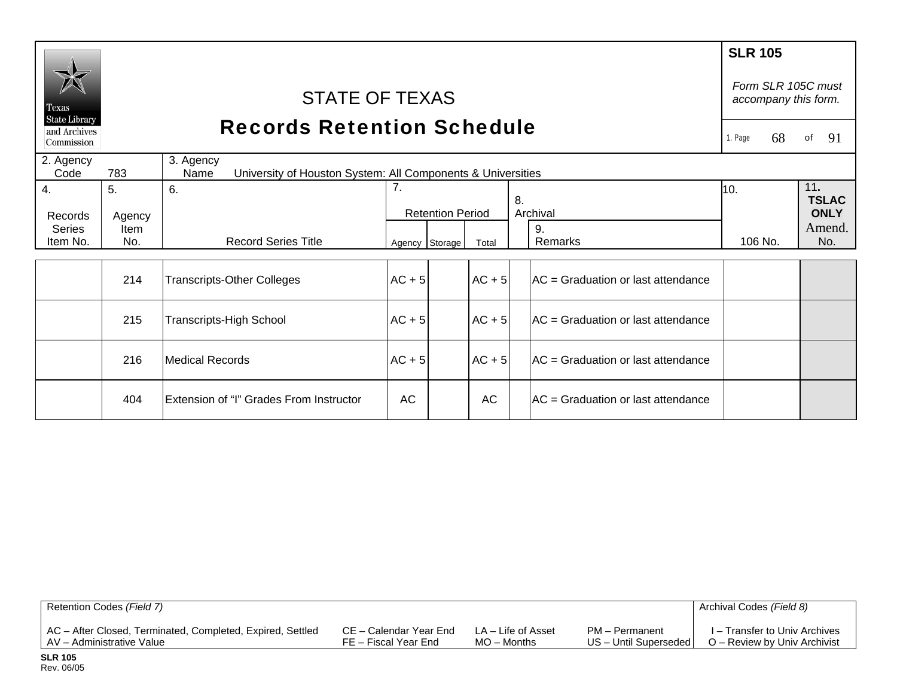|                            |                                               |                                                                                  |                |                         |          |    |                                     | <b>SLR 105</b> |    |                                            |
|----------------------------|-----------------------------------------------|----------------------------------------------------------------------------------|----------------|-------------------------|----------|----|-------------------------------------|----------------|----|--------------------------------------------|
| Texas                      | <b>STATE OF TEXAS</b><br><b>State Library</b> |                                                                                  |                |                         |          |    |                                     |                |    | Form SLR 105C must<br>accompany this form. |
| and Archives<br>Commission | <b>Records Retention Schedule</b>             |                                                                                  |                |                         |          |    |                                     | 1. Page        | 68 | 91<br>оf                                   |
| 2. Agency<br>Code          | 783                                           | 3. Agency<br>University of Houston System: All Components & Universities<br>Name |                |                         |          |    |                                     |                |    |                                            |
| 4.                         | 5.                                            | 6.                                                                               | 7.             |                         |          | 8. |                                     | 10.            |    | 11.<br><b>TSLAC</b>                        |
| Records                    | Agency                                        |                                                                                  |                | <b>Retention Period</b> |          |    | Archival                            |                |    | <b>ONLY</b>                                |
| <b>Series</b><br>Item No.  | Item<br>No.                                   | <b>Record Series Title</b>                                                       | Agency Storage |                         | Total    |    | 9.<br>Remarks                       | 106 No.        |    | Amend.<br>No.                              |
|                            |                                               |                                                                                  |                |                         |          |    |                                     |                |    |                                            |
|                            | 214                                           | <b>Transcripts-Other Colleges</b>                                                | $AC + 5$       |                         | $AC + 5$ |    | IAC = Graduation or last attendance |                |    |                                            |
|                            | 215                                           | <b>Transcripts-High School</b>                                                   | $AC + 5$       |                         | $AC + 5$ |    | AC = Graduation or last attendance  |                |    |                                            |
|                            | 216                                           | <b>Medical Records</b>                                                           | $AC + 5$       |                         | $AC + 5$ |    | IAC = Graduation or last attendance |                |    |                                            |
|                            | 404                                           | Extension of "I" Grades From Instructor                                          | AC             |                         | AC       |    | AC = Graduation or last attendance  |                |    |                                            |

| Retention Codes (Field 7)                                  |                        |                    |                         | Archival Codes (Field 8)      |
|------------------------------------------------------------|------------------------|--------------------|-------------------------|-------------------------------|
| AC - After Closed, Terminated, Completed, Expired, Settled | CE – Calendar Year End | LA – Life of Asset | PM – Permanent          | I – Transfer to Univ Archives |
| AV – Administrative Value                                  | FE – Fiscal Year End   | $MO -$ Months      | US - Until Superseded I | O – Review by Univ Archivist  |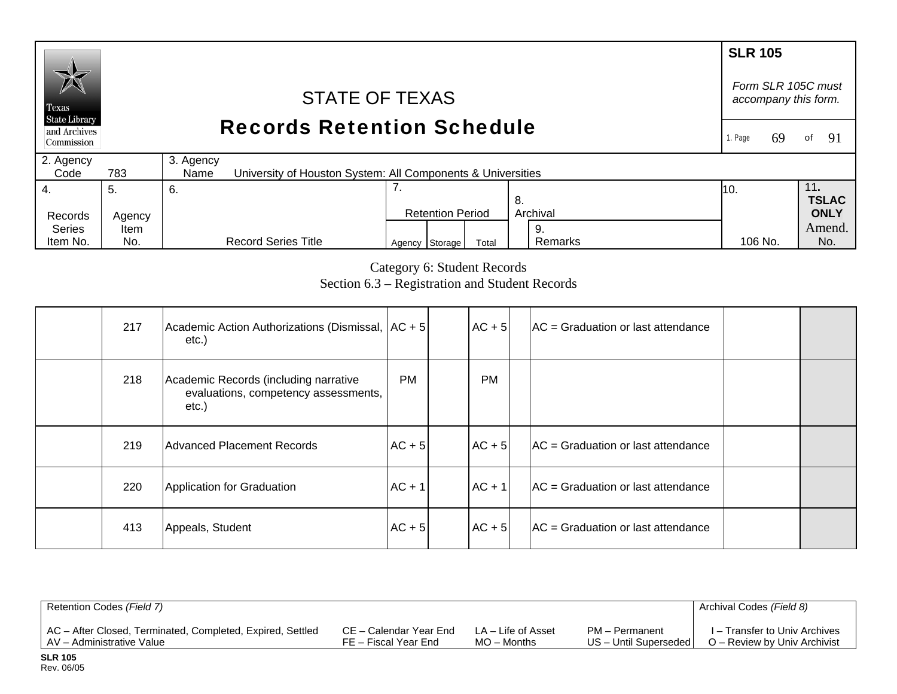## **SLR 105**  *Form SLR 105C must* STATE OF TEXAS *accompany this form.*  Texas **State Library** Records Retention Schedule and Archives 1. Page 69 of 91 Commission 2. Agency 3. Agency  $Code$ 783 University of Houston System: All Components & Universities 4. 7. 11**.**  5. 6. 10. **TSLAC** 8. Records Agency Retention Period Archival **ONLY**  Series Amend. Item 9.

Category 6: Student Records Section 6.3 – Registration and Student Records 106 No.

Agency Storage Total Remarks 106 No. No.

Remarks

| 217 | Academic Action Authorizations (Dismissal, AC + 5<br>etc.)                             |           | $AC + 5$  | $AC = Gradient$ Graduation or last attendance |  |
|-----|----------------------------------------------------------------------------------------|-----------|-----------|-----------------------------------------------|--|
| 218 | Academic Records (including narrative<br>evaluations, competency assessments,<br>etc.) | <b>PM</b> | <b>PM</b> |                                               |  |
| 219 | Advanced Placement Records                                                             | $AC + 5$  | $AC + 5$  | $AC = Gradient$ Graduation or last attendance |  |
| 220 | Application for Graduation                                                             | $AC + 1$  | $AC + 1$  | $AC = Gradient$ Graduation or last attendance |  |
| 413 | Appeals, Student                                                                       | $AC + 5$  | $AC + 5$  | $AC = Gradient$ Graduation or last attendance |  |

| Retention Codes (Field 7)                                  |                        |                    |                         | Archival Codes (Field 8)      |
|------------------------------------------------------------|------------------------|--------------------|-------------------------|-------------------------------|
| AC - After Closed, Terminated, Completed, Expired, Settled | CE – Calendar Year End | LA – Life of Asset | PM - Permanent          | I – Transfer to Univ Archives |
| AV - Administrative Value                                  | FE – Fiscal Year End   | $MO -$ Months      | US - Until Superseded I | O – Review by Univ Archivist  |

Item No.

No.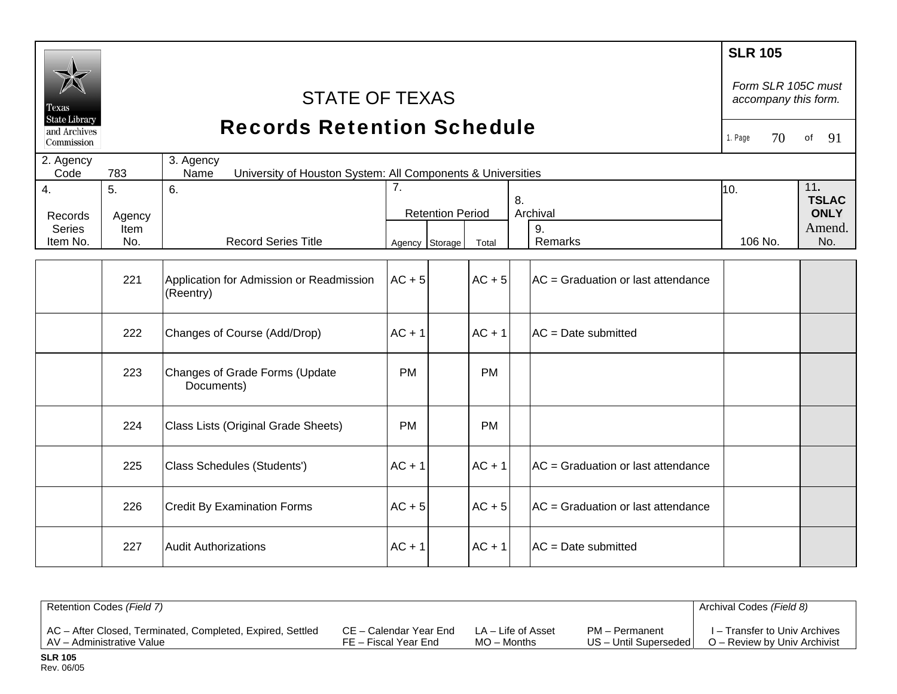| Texas<br><b>State Library</b><br>and Archives<br>Commission |                      | <b>STATE OF TEXAS</b><br><b>Records Retention Schedule</b>                       |                |                                                 |           |                                    | <b>SLR 105</b><br>Form SLR 105C must<br>accompany this form.<br>70<br>1. Page<br>91<br>of |     |
|-------------------------------------------------------------|----------------------|----------------------------------------------------------------------------------|----------------|-------------------------------------------------|-----------|------------------------------------|-------------------------------------------------------------------------------------------|-----|
| 2. Agency<br>Code                                           | 783                  | 3. Agency<br>Name<br>University of Houston System: All Components & Universities |                |                                                 |           |                                    |                                                                                           |     |
| 4.<br>Records<br><b>Series</b>                              | 5.<br>Agency<br>Item | 6.                                                                               | 7.             | 8.<br>Archival<br><b>Retention Period</b><br>9. |           | 10.                                | 11.<br><b>TSLAC</b><br><b>ONLY</b><br>Amend.                                              |     |
| Item No.                                                    | No.                  | <b>Record Series Title</b>                                                       | Agency Storage |                                                 | Total     | Remarks                            | 106 No.                                                                                   | No. |
|                                                             | 221                  | Application for Admission or Readmission<br>(Reentry)                            | $AC + 5$       |                                                 | $AC + 5$  | AC = Graduation or last attendance |                                                                                           |     |
|                                                             | 222                  | Changes of Course (Add/Drop)                                                     | $AC + 1$       |                                                 | $AC + 1$  | $AC = Date$ submitted              |                                                                                           |     |
|                                                             | 223                  | Changes of Grade Forms (Update<br>Documents)                                     | <b>PM</b>      |                                                 | <b>PM</b> |                                    |                                                                                           |     |
|                                                             | 224                  | Class Lists (Original Grade Sheets)                                              | <b>PM</b>      |                                                 | <b>PM</b> |                                    |                                                                                           |     |
|                                                             | 225                  | Class Schedules (Students')                                                      | $AC + 1$       |                                                 | $AC + 1$  | AC = Graduation or last attendance |                                                                                           |     |
|                                                             | 226                  | <b>Credit By Examination Forms</b>                                               | $AC + 5$       |                                                 | $AC + 5$  | AC = Graduation or last attendance |                                                                                           |     |
|                                                             | 227                  | <b>Audit Authorizations</b>                                                      | $AC + 1$       |                                                 | $AC + 1$  | $AC = Date$ submitted              |                                                                                           |     |

| Retention Codes (Field 7)                                  |                        |                    |                       | Archival Codes (Field 8)      |
|------------------------------------------------------------|------------------------|--------------------|-----------------------|-------------------------------|
| AC - After Closed, Terminated, Completed, Expired, Settled | CE – Calendar Year End | LA – Life of Asset | PM - Permanent        | I – Transfer to Univ Archives |
| AV - Administrative Value                                  | FE – Fiscal Year End   | $MO -$ Months      | US - Until Superseded | O – Review by Univ Archivist  |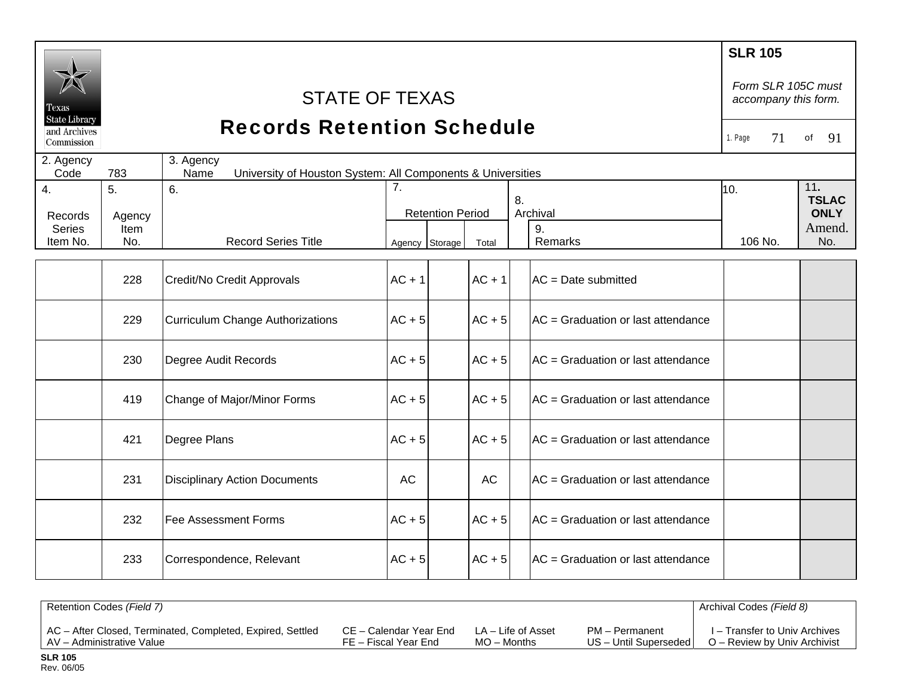|                               |                    |                                                                                  |                        |                         |           |                                    | <b>SLR 105</b>                             |               |
|-------------------------------|--------------------|----------------------------------------------------------------------------------|------------------------|-------------------------|-----------|------------------------------------|--------------------------------------------|---------------|
| Texas<br><b>State Library</b> |                    | <b>STATE OF TEXAS</b>                                                            |                        |                         |           |                                    | Form SLR 105C must<br>accompany this form. |               |
| and Archives<br>Commission    |                    | <b>Records Retention Schedule</b>                                                |                        |                         |           |                                    | 71<br>1. Page                              | 91<br>of      |
| 2. Agency<br>Code             | 783                | 3. Agency<br>University of Houston System: All Components & Universities<br>Name |                        |                         |           |                                    |                                            |               |
| 4.                            | 5 <sub>1</sub>     | 6.                                                                               | $\overline{7}$ .<br>8. |                         | 10.       | 11.<br><b>TSLAC</b>                |                                            |               |
| Records                       | Agency             |                                                                                  |                        | <b>Retention Period</b> |           | Archival                           |                                            | <b>ONLY</b>   |
| <b>Series</b><br>Item No.     | <b>Item</b><br>No. | <b>Record Series Title</b>                                                       | Agency Storage         |                         | Total     | 9.<br><b>Remarks</b>               | 106 No.                                    | Amend.<br>No. |
|                               |                    |                                                                                  |                        |                         |           |                                    |                                            |               |
|                               | 228                | Credit/No Credit Approvals                                                       | $AC + 1$               |                         | $AC + 1$  | $AC = Date$ submitted              |                                            |               |
|                               | 229                | Curriculum Change Authorizations                                                 | $AC + 5$               |                         | $AC + 5$  | AC = Graduation or last attendance |                                            |               |
|                               | 230                | Degree Audit Records                                                             | $AC + 5$               |                         | $AC + 5$  | AC = Graduation or last attendance |                                            |               |
|                               | 419                | Change of Major/Minor Forms                                                      | $AC + 5$               |                         | $AC + 5$  | AC = Graduation or last attendance |                                            |               |
|                               | 421                | Degree Plans                                                                     | $AC + 5$               |                         | $AC + 5$  | AC = Graduation or last attendance |                                            |               |
|                               | 231                | <b>Disciplinary Action Documents</b>                                             | <b>AC</b>              |                         | <b>AC</b> | AC = Graduation or last attendance |                                            |               |
|                               | 232                | <b>Fee Assessment Forms</b>                                                      | $AC + 5$               |                         | $AC + 5$  | AC = Graduation or last attendance |                                            |               |
|                               | 233                | Correspondence, Relevant                                                         | $AC + 5$               |                         | $AC + 5$  | AC = Graduation or last attendance |                                            |               |

| Retention Codes (Field 7)                                  |                        |                    |                       | Archival Codes (Field 8)      |
|------------------------------------------------------------|------------------------|--------------------|-----------------------|-------------------------------|
| AC - After Closed, Terminated, Completed, Expired, Settled | CE – Calendar Year End | LA – Life of Asset | PM - Permanent        | I – Transfer to Univ Archives |
| AV - Administrative Value                                  | FE – Fiscal Year End   | MO – Months        | US - Until Superseded | O – Review by Univ Archivist  |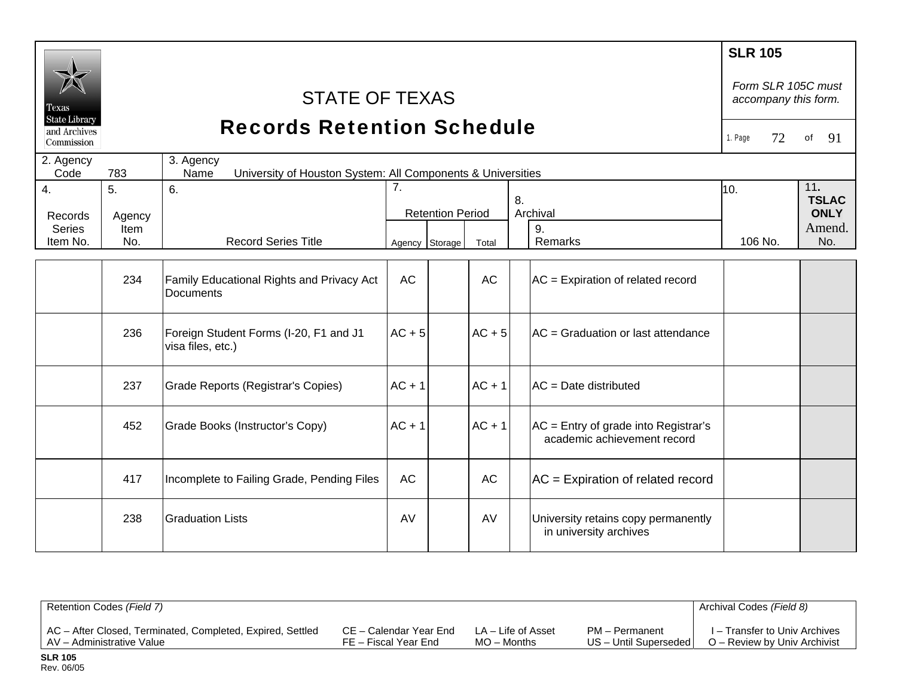| Texas<br><b>State Library</b><br>and Archives |              | <b>STATE OF TEXAS</b><br><b>Records Retention Schedule</b>                       |           |                                           |           |                                                                       | <b>SLR 105</b><br>Form SLR 105C must<br>accompany this form. |               |
|-----------------------------------------------|--------------|----------------------------------------------------------------------------------|-----------|-------------------------------------------|-----------|-----------------------------------------------------------------------|--------------------------------------------------------------|---------------|
| Commission                                    |              |                                                                                  |           |                                           |           |                                                                       | 72<br>1. Page                                                | 91<br>of      |
| 2. Agency<br>Code                             | 783          | 3. Agency<br>University of Houston System: All Components & Universities<br>Name |           |                                           |           |                                                                       |                                                              |               |
| 4.<br>Records                                 | 5.<br>Agency | 6.                                                                               | 7.        | 8.<br>Archival<br><b>Retention Period</b> |           | 10.                                                                   | 11.<br><b>TSLAC</b><br><b>ONLY</b>                           |               |
| <b>Series</b><br>Item No.                     | Item<br>No.  | <b>Record Series Title</b>                                                       |           | Agency Storage                            | Total     | 9.<br>Remarks                                                         | 106 No.                                                      | Amend.<br>No. |
|                                               | 234          | Family Educational Rights and Privacy Act<br>Documents                           | <b>AC</b> |                                           | <b>AC</b> | $AC =$ Expiration of related record                                   |                                                              |               |
|                                               | 236          | Foreign Student Forms (I-20, F1 and J1<br>visa files, etc.)                      | $AC + 5$  |                                           | $AC + 5$  | AC = Graduation or last attendance                                    |                                                              |               |
|                                               | 237          | Grade Reports (Registrar's Copies)                                               | $AC + 1$  |                                           | $AC + 1$  | $AC = Date$ distributed                                               |                                                              |               |
|                                               | 452          | Grade Books (Instructor's Copy)                                                  | $AC + 1$  |                                           | $AC + 1$  | $AC =$ Entry of grade into Registrar's<br>academic achievement record |                                                              |               |
|                                               | 417          | Incomplete to Failing Grade, Pending Files                                       | <b>AC</b> |                                           | <b>AC</b> | $AC =$ Expiration of related record                                   |                                                              |               |
|                                               | 238          | <b>Graduation Lists</b>                                                          | AV        |                                           | AV        | University retains copy permanently<br>in university archives         |                                                              |               |

| Retention Codes (Field 7)                                  |                        |                    |                         | Archival Codes (Field 8)      |
|------------------------------------------------------------|------------------------|--------------------|-------------------------|-------------------------------|
| AC – After Closed, Terminated, Completed, Expired, Settled | CE – Calendar Year End | LA – Life of Asset | PM - Permanent          | I – Transfer to Univ Archives |
| AV – Administrative Value                                  | FE – Fiscal Year End   | $MO -$ Months      | US - Until Superseded I | O – Review by Univ Archivist  |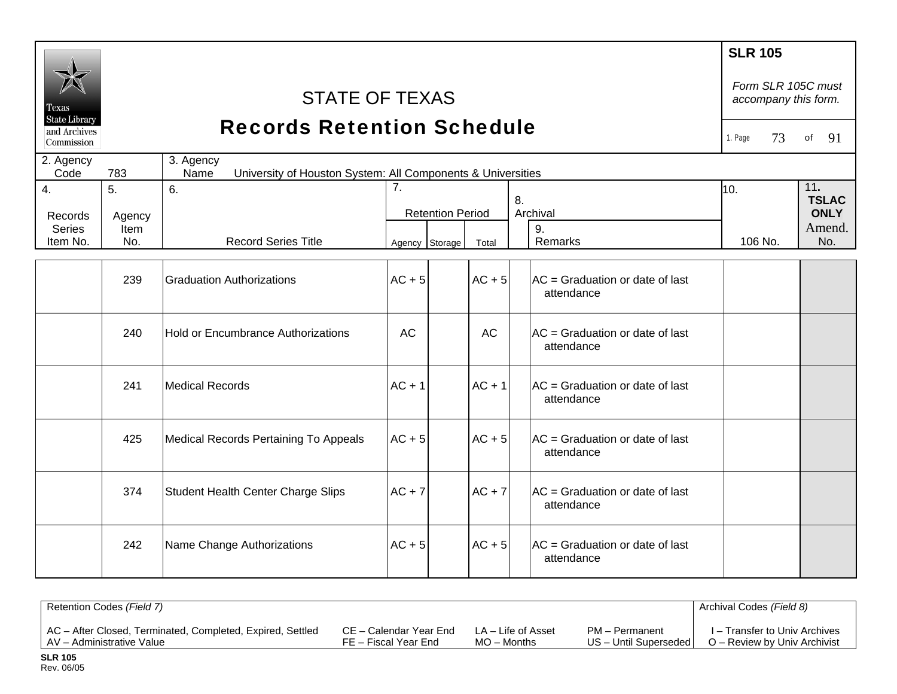|                                                    |                |                                                                                  |                |                         |          |     |                                                          | <b>SLR 105</b>                             |                             |
|----------------------------------------------------|----------------|----------------------------------------------------------------------------------|----------------|-------------------------|----------|-----|----------------------------------------------------------|--------------------------------------------|-----------------------------|
| l'exas                                             |                | <b>STATE OF TEXAS</b>                                                            |                |                         |          |     |                                                          | Form SLR 105C must<br>accompany this form. |                             |
| <b>State Library</b><br>and Archives<br>Commission |                | <b>Records Retention Schedule</b>                                                |                |                         |          |     |                                                          | 73<br>1. Page                              | 91<br>of                    |
| 2. Agency<br>Code                                  | 783            | 3. Agency<br>Name<br>University of Houston System: All Components & Universities |                |                         |          |     |                                                          |                                            |                             |
| $\overline{4}$ .                                   | 5 <sub>1</sub> | 6.                                                                               | 7.             |                         | 10.      | 11. |                                                          |                                            |                             |
| Records                                            | Agency         |                                                                                  |                | <b>Retention Period</b> |          | 8.  | Archival                                                 |                                            | <b>TSLAC</b><br><b>ONLY</b> |
| <b>Series</b><br>Item No.                          | Item<br>No.    | <b>Record Series Title</b>                                                       |                |                         |          |     | 9.<br>Remarks                                            | 106 No.                                    | Amend.<br>No.               |
|                                                    |                |                                                                                  | Agency Storage |                         | Total    |     |                                                          |                                            |                             |
|                                                    | 239            | <b>Graduation Authorizations</b>                                                 | $AC + 5$       |                         | $AC + 5$ |     | $AC = Gradient$ Graduation or date of last<br>attendance |                                            |                             |
|                                                    | 240            | Hold or Encumbrance Authorizations                                               | <b>AC</b>      |                         | AC       |     | AC = Graduation or date of last<br>attendance            |                                            |                             |
|                                                    | 241            | <b>Medical Records</b>                                                           | $AC + 1$       |                         | $AC + 1$ |     | AC = Graduation or date of last<br>attendance            |                                            |                             |
|                                                    | 425            | <b>Medical Records Pertaining To Appeals</b>                                     | $AC + 5$       |                         | $AC + 5$ |     | AC = Graduation or date of last<br>attendance            |                                            |                             |
|                                                    | 374            | Student Health Center Charge Slips                                               | $AC + 7$       |                         | $AC + 7$ |     | $AC = Gradient$ Graduation or date of last<br>attendance |                                            |                             |
|                                                    | 242            | Name Change Authorizations                                                       | $AC + 5$       |                         | $AC + 5$ |     | $AC = Gradient$ Graduation or date of last<br>attendance |                                            |                             |
|                                                    |                |                                                                                  |                |                         |          |     |                                                          |                                            |                             |

| Retention Codes (Field 7)                                  |                        |                    |                       | Archival Codes (Field 8)      |
|------------------------------------------------------------|------------------------|--------------------|-----------------------|-------------------------------|
| AC – After Closed, Terminated, Completed, Expired, Settled | CE – Calendar Year End | LA – Life of Asset | PM - Permanent        | I – Transfer to Univ Archives |
| AV – Administrative Value                                  | FE – Fiscal Year End   | $MO -$ Months      | US - Until Superseded | O – Review by Univ Archivist  |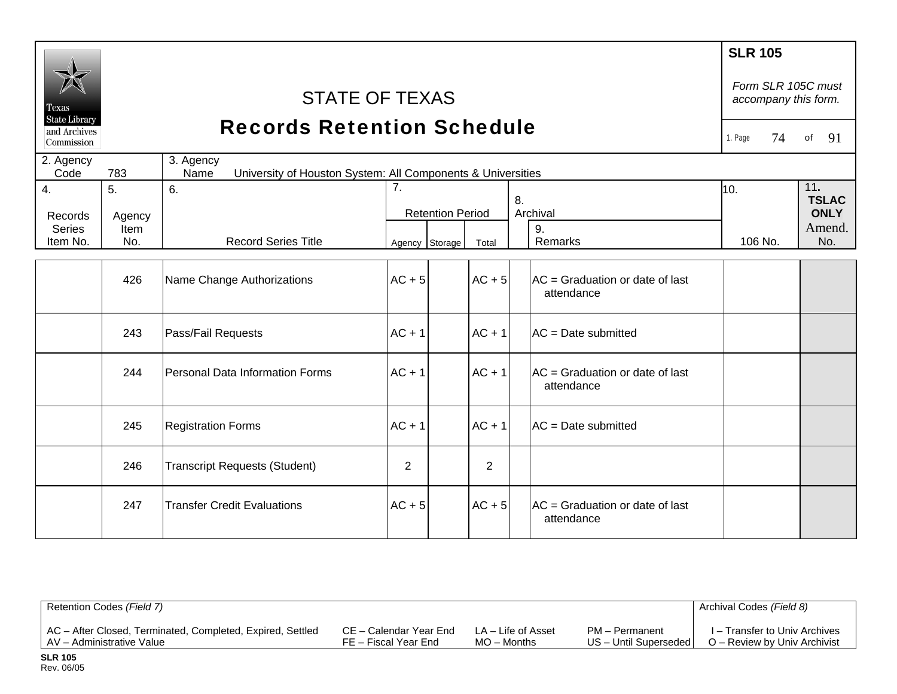| Texas                      | <b>STATE OF TEXAS</b><br><b>State Library</b><br><b>Records Retention Schedule</b> |                                                                                  |                |                         |                |    |                                                          |         |         | Form SLR 105C must<br>accompany this form. |
|----------------------------|------------------------------------------------------------------------------------|----------------------------------------------------------------------------------|----------------|-------------------------|----------------|----|----------------------------------------------------------|---------|---------|--------------------------------------------|
| and Archives<br>Commission |                                                                                    |                                                                                  |                |                         |                |    |                                                          | 1. Page | 74      | 91<br>of                                   |
| 2. Agency<br>Code          | 783                                                                                | 3. Agency<br>University of Houston System: All Components & Universities<br>Name |                |                         |                |    |                                                          |         |         |                                            |
| $\overline{4}$ .           | 5.                                                                                 | 6.                                                                               | 7.             |                         |                | 8. |                                                          | 10.     |         | 11.<br><b>TSLAC</b>                        |
| Records                    | Agency                                                                             |                                                                                  |                | <b>Retention Period</b> |                |    | Archival                                                 |         |         | <b>ONLY</b>                                |
| <b>Series</b><br>Item No.  | Item<br>No.                                                                        | <b>Record Series Title</b>                                                       |                | Agency Storage          | Total          |    | 9.<br>Remarks                                            |         | 106 No. | Amend.<br>No.                              |
|                            |                                                                                    |                                                                                  |                |                         |                |    |                                                          |         |         |                                            |
|                            | 426                                                                                | Name Change Authorizations                                                       | $AC + 5$       |                         | $AC + 5$       |    | AC = Graduation or date of last<br>attendance            |         |         |                                            |
|                            | 243                                                                                | Pass/Fail Requests                                                               | $AC + 1$       |                         | $AC + 1$       |    | $AC = Date$ submitted                                    |         |         |                                            |
|                            | 244                                                                                | <b>Personal Data Information Forms</b>                                           | $AC + 1$       |                         | $AC + 1$       |    | $AC = Gradient$ Graduation or date of last<br>attendance |         |         |                                            |
|                            | 245                                                                                | <b>Registration Forms</b>                                                        | $AC + 1$       |                         | $AC + 1$       |    | AC = Date submitted                                      |         |         |                                            |
|                            | 246                                                                                | <b>Transcript Requests (Student)</b>                                             | $\overline{2}$ |                         | $\overline{2}$ |    |                                                          |         |         |                                            |
|                            | 247                                                                                | <b>Transfer Credit Evaluations</b>                                               | $AC + 5$       |                         | $AC + 5$       |    | $AC = Gradient$ Graduation or date of last<br>attendance |         |         |                                            |

| Retention Codes (Field 7)                                  |                        |                    |                         | Archival Codes (Field 8)      |
|------------------------------------------------------------|------------------------|--------------------|-------------------------|-------------------------------|
| AC – After Closed, Terminated, Completed, Expired, Settled | CE – Calendar Year End | LA – Life of Asset | PM - Permanent          | I – Transfer to Univ Archives |
| AV - Administrative Value                                  | FE – Fiscal Year End   | MO – Months        | US - Until Superseded I | O – Review by Univ Archivist  |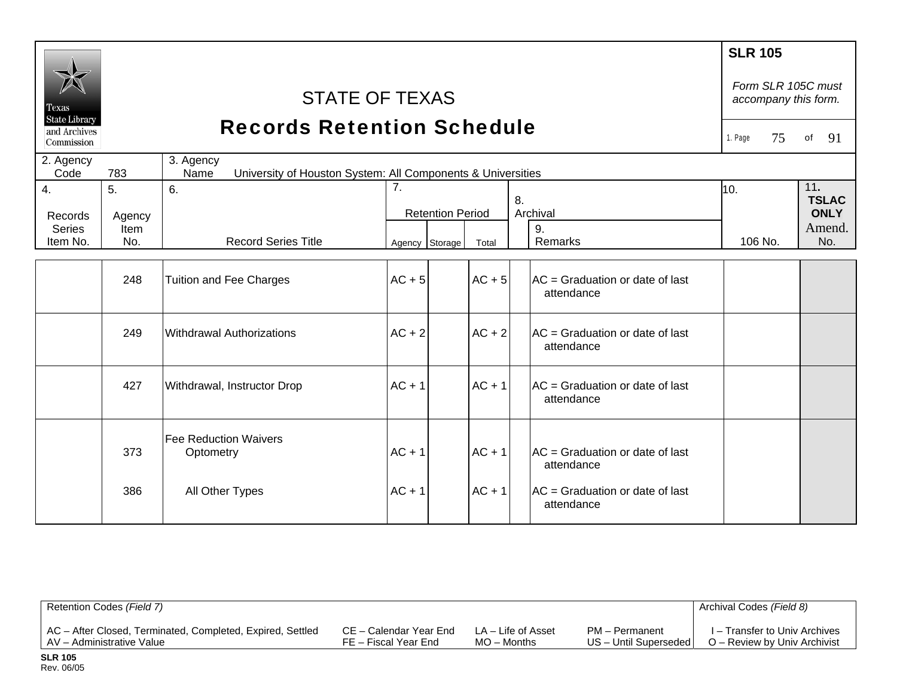|                                                    |        |                                                                                  |          |                         |          |    |                                                          | <b>SLR 105</b>                             |                     |
|----------------------------------------------------|--------|----------------------------------------------------------------------------------|----------|-------------------------|----------|----|----------------------------------------------------------|--------------------------------------------|---------------------|
| Texas                                              |        | <b>STATE OF TEXAS</b>                                                            |          |                         |          |    |                                                          | Form SLR 105C must<br>accompany this form. |                     |
| <b>State Library</b><br>and Archives<br>Commission |        | <b>Records Retention Schedule</b>                                                |          |                         |          |    |                                                          | 1. Page<br>75                              | 91<br>of            |
| 2. Agency<br>Code                                  | 783    | 3. Agency<br>Name<br>University of Houston System: All Components & Universities |          |                         |          |    |                                                          |                                            |                     |
| $\overline{4}$ .                                   | 5.     | 6.                                                                               | 7.       |                         |          | 8. |                                                          | 10.                                        | 11.<br><b>TSLAC</b> |
| Records                                            | Agency |                                                                                  |          | <b>Retention Period</b> |          |    | Archival                                                 |                                            | <b>ONLY</b>         |
| <b>Series</b>                                      | Item   |                                                                                  |          |                         |          |    | 9.                                                       |                                            | Amend.              |
| Item No.                                           | No.    | <b>Record Series Title</b>                                                       |          | Agency Storage          | Total    |    | Remarks                                                  | 106 No.                                    | No.                 |
|                                                    |        |                                                                                  |          |                         |          |    |                                                          |                                            |                     |
|                                                    | 248    | <b>Tuition and Fee Charges</b>                                                   | $AC + 5$ |                         | $AC + 5$ |    | $AC = Gradient$ Graduation or date of last<br>attendance |                                            |                     |
|                                                    | 249    | <b>Withdrawal Authorizations</b>                                                 | $AC + 2$ |                         | $AC + 2$ |    | $AC = Gradient$ Graduation or date of last<br>attendance |                                            |                     |
|                                                    | 427    | Withdrawal, Instructor Drop                                                      | $AC + 1$ |                         | $AC + 1$ |    | $AC = Gradient$ Graduation or date of last<br>attendance |                                            |                     |
|                                                    | 373    | <b>Fee Reduction Waivers</b><br>Optometry                                        | $AC + 1$ |                         | $AC + 1$ |    | $AC = Gradient$ Graduation or date of last<br>attendance |                                            |                     |
|                                                    | 386    | All Other Types                                                                  | $AC + 1$ |                         | $AC + 1$ |    | $AC = Gradient$ Graduation or date of last<br>attendance |                                            |                     |

| Retention Codes (Field 7)                                  |                        |                    |                       | Archival Codes (Field 8)      |
|------------------------------------------------------------|------------------------|--------------------|-----------------------|-------------------------------|
| AC - After Closed, Terminated, Completed, Expired, Settled | CE – Calendar Year End | LA – Life of Asset | PM - Permanent        | I – Transfer to Univ Archives |
| AV – Administrative Value                                  | FE – Fiscal Year End   | $MO -$ Months      | US - Until Superseded | O – Review by Univ Archivist  |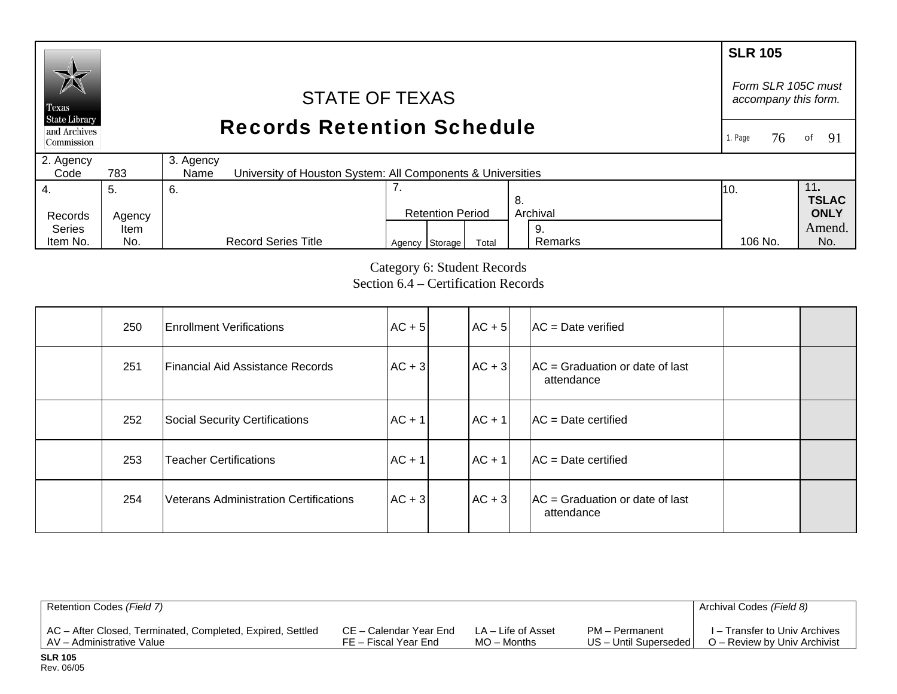### **SLR 105**  *Form SLR 105C must* STATE OF TEXAS *accompany this form.*  Texas **State Library** Records Retention Schedule and Archives 1. Page 76of 91 Commission 2. Agency 3. Agency  $Code$ 783 University of Houston System: All Components & Universities 4. 7. 11**.**  5. 6. 10. **TSLAC** 8. Records Agency Retention Period Archival **ONLY**  Series Amend. Item 9.

Category 6: Student Records Section 6.4 – Certification Records 106 No.

Agency Storage Total Remarks 106 No. No.

Remarks

| 250 | <b>Enrollment Verifications</b>               | $AC + 5$   | $AC + 5$ | $AC = Date verified$                                     |  |
|-----|-----------------------------------------------|------------|----------|----------------------------------------------------------|--|
| 251 | <b>Financial Aid Assistance Records</b>       | $AC + 3$   | $AC + 3$ | $AC = Gradient$ Graduation or date of last<br>attendance |  |
| 252 | Social Security Certifications                | $AC + 1$   | $AC + 1$ | $AC = Date certified$                                    |  |
| 253 | <b>Teacher Certifications</b>                 | $ AC + 1 $ | $AC + 1$ | $AC = Date certified$                                    |  |
| 254 | <b>Veterans Administration Certifications</b> | $AC + 3$   | $AC + 3$ | $AC = Gradient$ Graduation or date of last<br>attendance |  |

| Retention Codes (Field 7)                                  |                        |                    |                         | Archival Codes (Field 8)      |
|------------------------------------------------------------|------------------------|--------------------|-------------------------|-------------------------------|
| AC - After Closed, Terminated, Completed, Expired, Settled | CE – Calendar Year End | LA – Life of Asset | PM - Permanent          | I – Transfer to Univ Archives |
| AV – Administrative Value                                  | FE – Fiscal Year End   | $MO -$ Months      | US - Until Superseded I | O – Review by Univ Archivist  |

Item No.

No.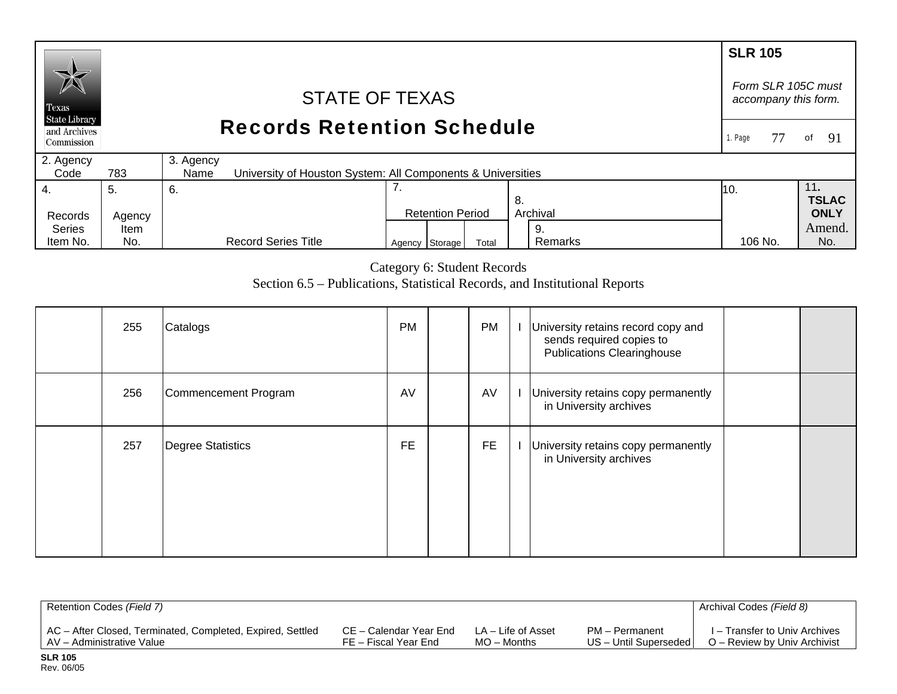#### **SLR 105** *Form SLR 105C must* STATE OF TEXAS *accompany this form.*  Texas **State Library** Records Retention Schedule and Archives 1. Page 77of 91 Commission 2. Agency 3. Agency  $Code$ 783 University of Houston System: All Components & Universities 7. 4. 11**.**  5. 6. 10. **TSLAC** 8. Records Agency Retention Period Archival **ONLY**  Series Amend.Item 9. Agency Storage Total Remarks 106 No. No. Item No. No. Record Series Title Remarks 106 No.

Category 6: Student Records

Section 6.5 – Publications, Statistical Records, and Institutional Reports

| 255 | Catalogs             | <b>PM</b> | PM        | University retains record copy and<br>sends required copies to<br><b>Publications Clearinghouse</b> |  |
|-----|----------------------|-----------|-----------|-----------------------------------------------------------------------------------------------------|--|
| 256 | Commencement Program | AV        | AV        | University retains copy permanently<br>in University archives                                       |  |
| 257 | Degree Statistics    | <b>FE</b> | <b>FE</b> | University retains copy permanently<br>in University archives                                       |  |

| Retention Codes (Field 7)                                  |                        |                    |                       | Archival Codes (Field 8)      |
|------------------------------------------------------------|------------------------|--------------------|-----------------------|-------------------------------|
| AC - After Closed, Terminated, Completed, Expired, Settled | CE – Calendar Year End | LA – Life of Asset | PM – Permanent        | I – Transfer to Univ Archives |
| AV – Administrative Value                                  | FE – Fiscal Year End   | $MO -$ Months      | US - Until Superseded | O – Review by Univ Archivist  |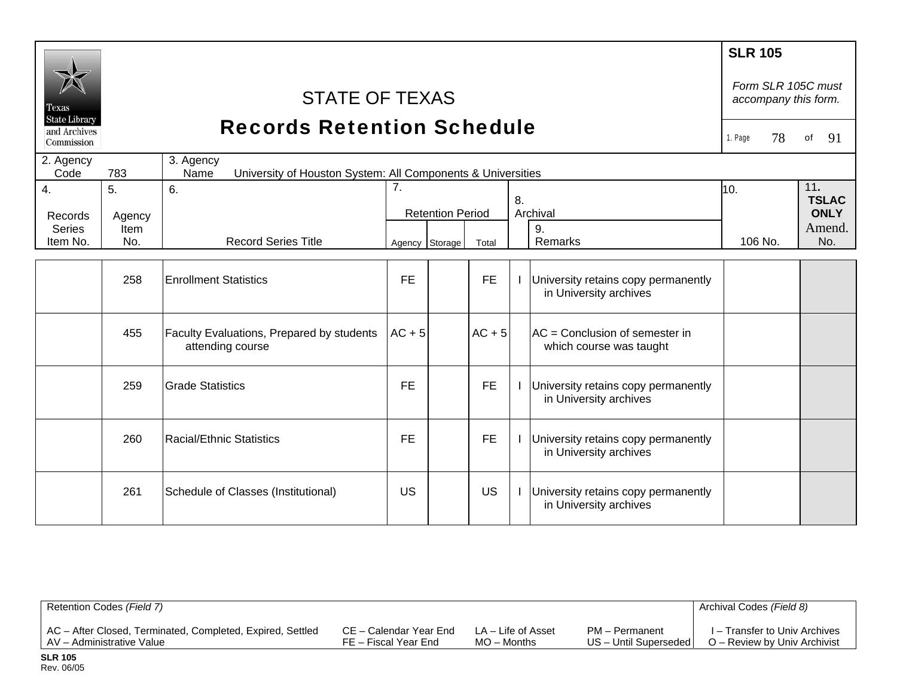| Texas<br><b>State Library</b><br>and Archives<br>Commission | <b>STATE OF TEXAS</b><br><b>Records Retention Schedule</b><br>3. Agency<br>2. Agency |                                                                      |                      |                         |           |    |                                                               |                |                                                     |
|-------------------------------------------------------------|--------------------------------------------------------------------------------------|----------------------------------------------------------------------|----------------------|-------------------------|-----------|----|---------------------------------------------------------------|----------------|-----------------------------------------------------|
| Code                                                        | 783                                                                                  | Name<br>University of Houston System: All Components & Universities  |                      |                         |           |    |                                                               |                |                                                     |
| 4.<br>Records<br><b>Series</b><br>Item No.                  | 5.<br>Agency<br>Item<br>No.                                                          | 6.<br><b>Record Series Title</b>                                     | 7.<br>Agency Storage | <b>Retention Period</b> | Total     | 8. | Archival<br>9.<br>Remarks                                     | 10.<br>106 No. | 11.<br><b>TSLAC</b><br><b>ONLY</b><br>Amend.<br>No. |
|                                                             | 258                                                                                  | <b>Enrollment Statistics</b>                                         | <b>FE</b>            |                         | <b>FE</b> |    | University retains copy permanently<br>in University archives |                |                                                     |
|                                                             | 455                                                                                  | <b>Faculty Evaluations, Prepared by students</b><br>attending course | $AC + 5$             |                         | $AC + 5$  |    | $AC =$ Conclusion of semester in<br>which course was taught   |                |                                                     |
|                                                             | 259                                                                                  | <b>Grade Statistics</b>                                              | <b>FE</b>            |                         | <b>FE</b> |    | University retains copy permanently<br>in University archives |                |                                                     |
|                                                             | 260                                                                                  | Racial/Ethnic Statistics                                             | <b>FE</b>            |                         | <b>FE</b> |    | University retains copy permanently<br>in University archives |                |                                                     |
|                                                             | 261                                                                                  | Schedule of Classes (Institutional)                                  | <b>US</b>            |                         | <b>US</b> |    | University retains copy permanently<br>in University archives |                |                                                     |

| Retention Codes (Field 7)                                  |                        |                    |                       | Archival Codes (Field 8)      |
|------------------------------------------------------------|------------------------|--------------------|-----------------------|-------------------------------|
| AC - After Closed, Terminated, Completed, Expired, Settled | CE – Calendar Year End | LA – Life of Asset | PM - Permanent        | I – Transfer to Univ Archives |
| AV – Administrative Value                                  | FE – Fiscal Year End   | $MO -$ Months      | US - Until Superseded | O – Review by Univ Archivist  |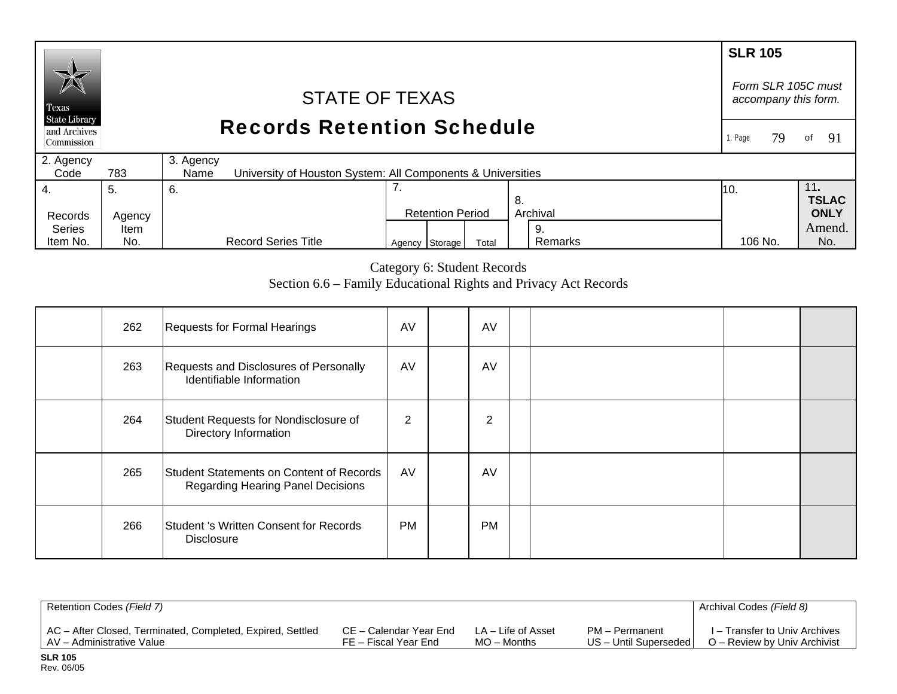## **SLR 105**  *Form SLR 105C must* STATE OF TEXAS *accompany this form.*  Texas **State Library** Records Retention Schedule and Archives 1. Page 79of 91 Commission 2. Agency 3. Agency  $Code$ 783 University of Houston System: All Components & Universities 7. 4. 11**.**  5. 6. 10. **TSLAC** 8. Records Agency Retention Period Archival **ONLY**  Series Amend. Item 9. Agency Storage Total Remarks 106 No. No.

Category 6: Student Records Section 6.6 – Family Educational Rights and Privacy Act Records

Remarks

106 No.

| 262 | Requests for Formal Hearings                                                         | AV             | AV        |  |  |
|-----|--------------------------------------------------------------------------------------|----------------|-----------|--|--|
| 263 | Requests and Disclosures of Personally<br>Identifiable Information                   | AV             | AV        |  |  |
| 264 | Student Requests for Nondisclosure of<br>Directory Information                       | $\overline{2}$ | 2         |  |  |
| 265 | Student Statements on Content of Records<br><b>Regarding Hearing Panel Decisions</b> | AV             | AV        |  |  |
| 266 | Student 's Written Consent for Records<br><b>Disclosure</b>                          | <b>PM</b>      | <b>PM</b> |  |  |

| Retention Codes (Field 7)                                  |                        |                    |                       | Archival Codes (Field 8)      |
|------------------------------------------------------------|------------------------|--------------------|-----------------------|-------------------------------|
| AC - After Closed, Terminated, Completed, Expired, Settled | CE – Calendar Year End | LA – Life of Asset | PM – Permanent        | I – Transfer to Univ Archives |
| AV - Administrative Value                                  | FE – Fiscal Year End   | $MO -$ Months      | US - Until Superseded | O – Review by Univ Archivist  |

Item No.

No.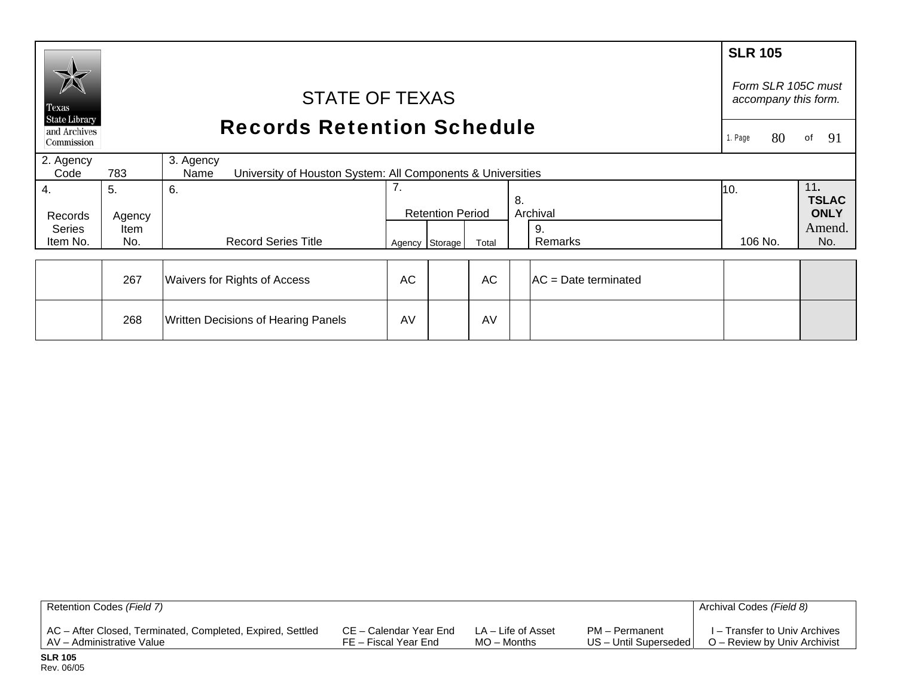|                                                    |        |                                                                                  |           |                         |       |    |                       | <b>SLR 105</b> |                     |
|----------------------------------------------------|--------|----------------------------------------------------------------------------------|-----------|-------------------------|-------|----|-----------------------|----------------|---------------------|
| Texas                                              |        | Form SLR 105C must<br>accompany this form.                                       |           |                         |       |    |                       |                |                     |
| <b>State Library</b><br>and Archives<br>Commission |        | <b>Records Retention Schedule</b>                                                |           |                         |       |    |                       |                |                     |
| 2. Agency<br>Code                                  | 783    | 3. Agency<br>University of Houston System: All Components & Universities<br>Name |           |                         |       |    |                       |                |                     |
| 4.                                                 | 5.     | 6.                                                                               | 7.        |                         |       | 8. |                       | 10.            | 11.<br><b>TSLAC</b> |
| Records                                            | Agency |                                                                                  |           | <b>Retention Period</b> |       |    | Archival              |                | <b>ONLY</b>         |
| <b>Series</b>                                      | Item   |                                                                                  |           |                         |       |    | 9.                    |                | Amend.              |
| Item No.                                           | No.    | <b>Record Series Title</b>                                                       |           | Agency Storage          | Total |    | Remarks               | 106 No.        | No.                 |
|                                                    |        |                                                                                  |           |                         |       |    |                       |                |                     |
|                                                    | 267    | Waivers for Rights of Access                                                     | <b>AC</b> |                         | AC    |    | IAC = Date terminated |                |                     |
|                                                    | 268    | Written Decisions of Hearing Panels                                              | AV        |                         | AV    |    |                       |                |                     |

| Retention Codes (Field 7)                                  |                        |                    |                         | Archival Codes (Field 8)      |
|------------------------------------------------------------|------------------------|--------------------|-------------------------|-------------------------------|
| AC - After Closed, Terminated, Completed, Expired, Settled | CE – Calendar Year End | LA – Life of Asset | PM – Permanent          | I – Transfer to Univ Archives |
| AV – Administrative Value                                  | FE – Fiscal Year End   | $MO -$ Months      | US - Until Superseded I | O – Review by Univ Archivist  |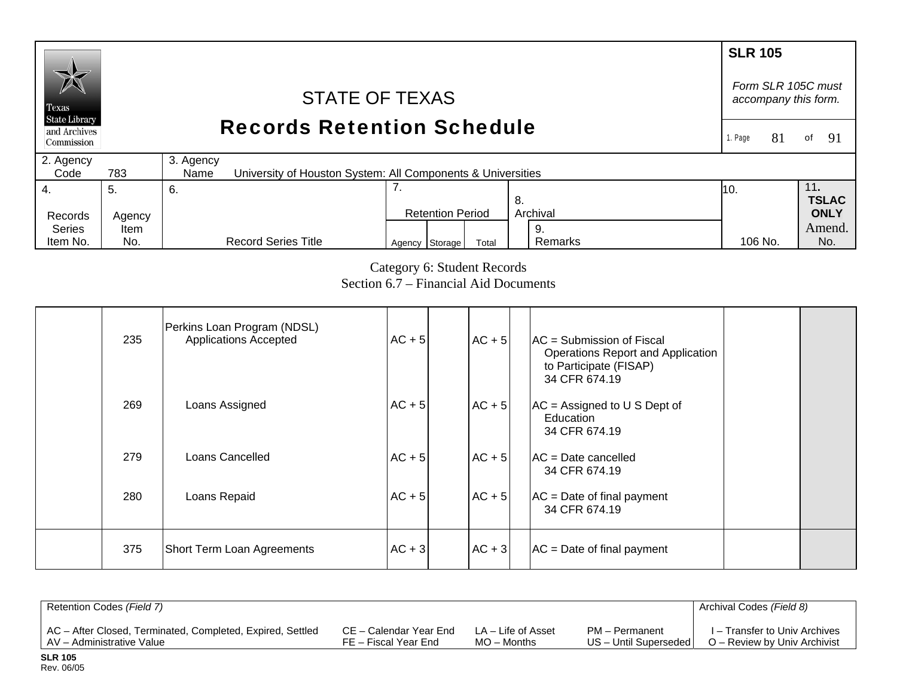#### **SLR 105** *Form SLR 105C must* STATE OF TEXAS *accompany this form.*  Texas **State Library** Records Retention Schedule and Archives 1. Page 81 of 91 Commission 2. Agency 3. Agency  $Code$ 783 University of Houston System: All Components & Universities 4. 7. 11**.**  5. 6. 10. **TSLAC** 8. Records Agency Retention Period Archival **ONLY**  Series Amend. Item 9. Agency Storage Total Remarks 106 No. No. Item No. No. Record Series Title Remarks 106 No.

# Category 6: Student Records Section 6.7 – Financial Aid Documents

| 235 | Perkins Loan Program (NDSL)<br><b>Applications Accepted</b> | $AC + 5$ | $AC + 5$ | $AC =$ Submission of Fiscal<br>Operations Report and Application<br>to Participate (FISAP)<br>34 CFR 674.19 |  |
|-----|-------------------------------------------------------------|----------|----------|-------------------------------------------------------------------------------------------------------------|--|
| 269 | Loans Assigned                                              | $AC + 5$ | $AC + 5$ | $AC =$ Assigned to U S Dept of<br>Education<br>34 CFR 674.19                                                |  |
| 279 | Loans Cancelled                                             | $AC + 5$ | $AC + 5$ | $AC = Date cancelled$<br>34 CFR 674.19                                                                      |  |
| 280 | Loans Repaid                                                | $AC + 5$ | $AC + 5$ | $AC = Date of final payment$<br>34 CFR 674.19                                                               |  |
| 375 | Short Term Loan Agreements                                  | $AC + 3$ | $AC + 3$ | $AC = Date of final payment$                                                                                |  |

| Retention Codes (Field 7)                                  |                        |                    |                       | Archival Codes (Field 8)      |
|------------------------------------------------------------|------------------------|--------------------|-----------------------|-------------------------------|
| AC - After Closed, Terminated, Completed, Expired, Settled | CE – Calendar Year End | LA – Life of Asset | PM – Permanent        | I – Transfer to Univ Archives |
| AV – Administrative Value                                  | FE – Fiscal Year End   | $MO -$ Months      | US - Until Superseded | O – Review by Univ Archivist  |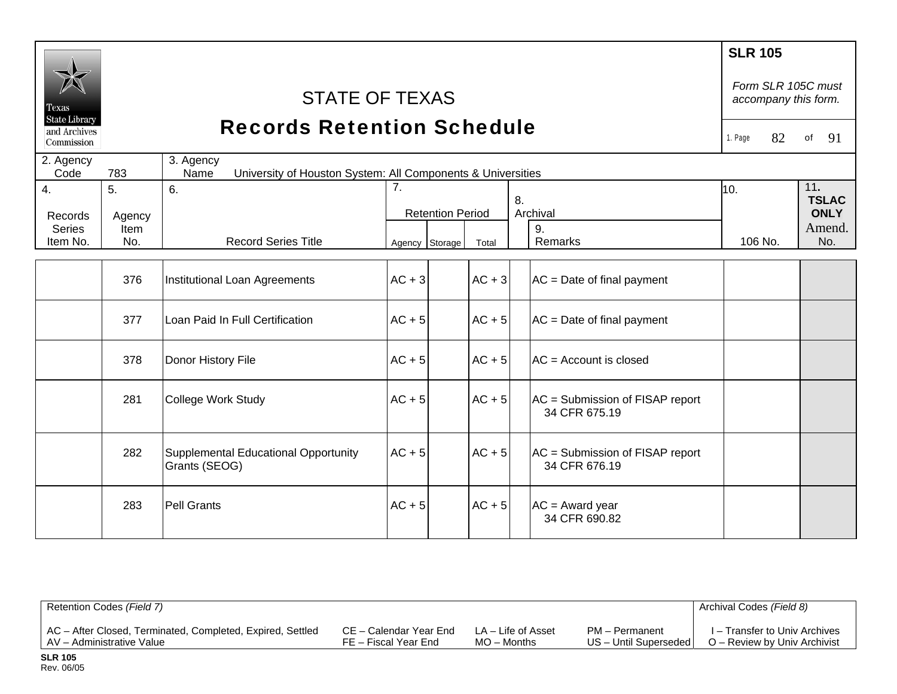| Texas<br><b>State Library</b> |                | <b>STATE OF TEXAS</b>                                                            |          |                         |          |                                                  | <b>SLR 105</b><br>Form SLR 105C must<br>accompany this form. |    |             |
|-------------------------------|----------------|----------------------------------------------------------------------------------|----------|-------------------------|----------|--------------------------------------------------|--------------------------------------------------------------|----|-------------|
| and Archives<br>Commission    |                | <b>Records Retention Schedule</b>                                                |          |                         |          |                                                  | 1. Page                                                      | 82 | 91<br>of    |
| 2. Agency<br>Code             | 783            | 3. Agency<br>University of Houston System: All Components & Universities<br>Name |          |                         |          |                                                  |                                                              |    |             |
| 4.                            | 5 <sub>1</sub> | 6.                                                                               | 7.<br>8. |                         | 10.      |                                                  | 11.<br><b>TSLAC</b>                                          |    |             |
| Records                       | Agency         |                                                                                  |          | <b>Retention Period</b> |          | Archival                                         |                                                              |    | <b>ONLY</b> |
| <b>Series</b>                 | Item           |                                                                                  |          |                         |          | 9.                                               |                                                              |    | Amend.      |
| Item No.                      | No.            | <b>Record Series Title</b>                                                       |          | Agency Storage          | Total    | Remarks                                          | 106 No.                                                      |    | No.         |
|                               | 376            | Institutional Loan Agreements                                                    | $AC + 3$ |                         | $AC + 3$ | $AC = Date of final payment$                     |                                                              |    |             |
|                               | 377            | Loan Paid In Full Certification                                                  | $AC + 5$ |                         | $AC + 5$ | $AC = Date of final payment$                     |                                                              |    |             |
|                               | 378            | Donor History File                                                               | $AC + 5$ |                         | $AC + 5$ | AC = Account is closed                           |                                                              |    |             |
|                               | 281            | College Work Study                                                               | $AC + 5$ |                         | $AC + 5$ | AC = Submission of FISAP report<br>34 CFR 675.19 |                                                              |    |             |
|                               | 282            | Supplemental Educational Opportunity<br>Grants (SEOG)                            | $AC + 5$ |                         | $AC + 5$ | AC = Submission of FISAP report<br>34 CFR 676.19 |                                                              |    |             |
|                               | 283            | <b>Pell Grants</b>                                                               | $AC + 5$ |                         | $AC + 5$ | $AC = Award year$<br>34 CFR 690.82               |                                                              |    |             |

| Retention Codes (Field 7)                                  |                        |                    |                         | Archival Codes (Field 8)      |
|------------------------------------------------------------|------------------------|--------------------|-------------------------|-------------------------------|
| AC – After Closed, Terminated, Completed, Expired, Settled | CE – Calendar Year End | LA – Life of Asset | PM - Permanent          | I – Transfer to Univ Archives |
| AV - Administrative Value                                  | FE – Fiscal Year End   | $MO -$ Months      | US - Until Superseded I | O – Review by Univ Archivist  |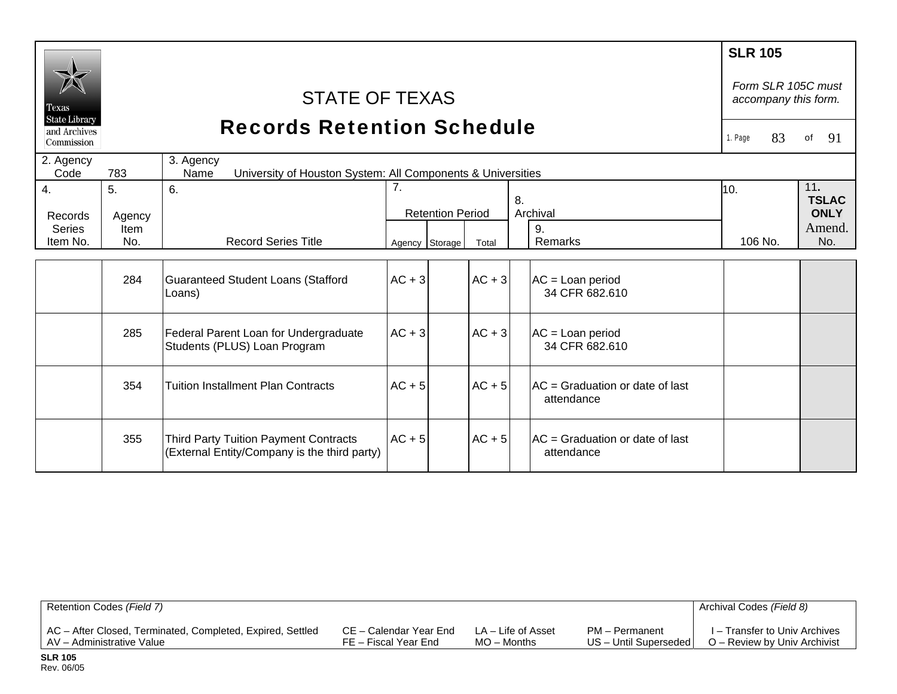|                               |        |                                                                                              |                |                         |          |    |                                                          | <b>SLR 105</b>                             |    |                     |
|-------------------------------|--------|----------------------------------------------------------------------------------------------|----------------|-------------------------|----------|----|----------------------------------------------------------|--------------------------------------------|----|---------------------|
| Texas<br><b>State Library</b> |        | <b>STATE OF TEXAS</b>                                                                        |                |                         |          |    |                                                          | Form SLR 105C must<br>accompany this form. |    |                     |
| and Archives<br>Commission    |        | <b>Records Retention Schedule</b>                                                            |                |                         |          |    |                                                          | 1. Page                                    | 83 | 91<br>of            |
| 2. Agency<br>Code             | 783    | 3. Agency<br>University of Houston System: All Components & Universities<br>Name             |                |                         |          |    |                                                          |                                            |    |                     |
| 4.                            | 5.     | 6.                                                                                           | 7.             |                         |          | 8. |                                                          | 10.                                        |    | 11.<br><b>TSLAC</b> |
| Records                       | Agency |                                                                                              |                | <b>Retention Period</b> |          |    | Archival                                                 |                                            |    | <b>ONLY</b>         |
| <b>Series</b>                 | Item   |                                                                                              |                |                         |          |    | 9.                                                       |                                            |    | Amend.              |
| Item No.                      | No.    | <b>Record Series Title</b>                                                                   | Agency Storage |                         | Total    |    | Remarks                                                  | 106 No.                                    |    | No.                 |
|                               |        |                                                                                              |                |                         |          |    |                                                          |                                            |    |                     |
|                               | 284    | <b>Guaranteed Student Loans (Stafford</b><br>Loans)                                          | $AC + 3$       |                         | $AC + 3$ |    | $AC = Loan period$<br>34 CFR 682.610                     |                                            |    |                     |
|                               | 285    | Federal Parent Loan for Undergraduate<br>Students (PLUS) Loan Program                        | $AC + 3$       |                         | $AC + 3$ |    | $AC = Loan period$<br>34 CFR 682.610                     |                                            |    |                     |
|                               | 354    | <b>Tuition Installment Plan Contracts</b>                                                    | $AC + 5$       |                         | $AC + 5$ |    | $AC = Gradient$ Graduation or date of last<br>attendance |                                            |    |                     |
|                               | 355    | <b>Third Party Tuition Payment Contracts</b><br>(External Entity/Company is the third party) | $AC + 5$       |                         | $AC + 5$ |    | IAC = Graduation or date of last<br>attendance           |                                            |    |                     |

| Retention Codes (Field 7)                                  |                        |                    |                       | Archival Codes (Field 8)      |
|------------------------------------------------------------|------------------------|--------------------|-----------------------|-------------------------------|
| AC - After Closed, Terminated, Completed, Expired, Settled | CE – Calendar Year End | LA – Life of Asset | PM – Permanent        | I – Transfer to Univ Archives |
| AV – Administrative Value                                  | FE – Fiscal Year End   | MO – Months        | US - Until Superseded | O – Review by Univ Archivist  |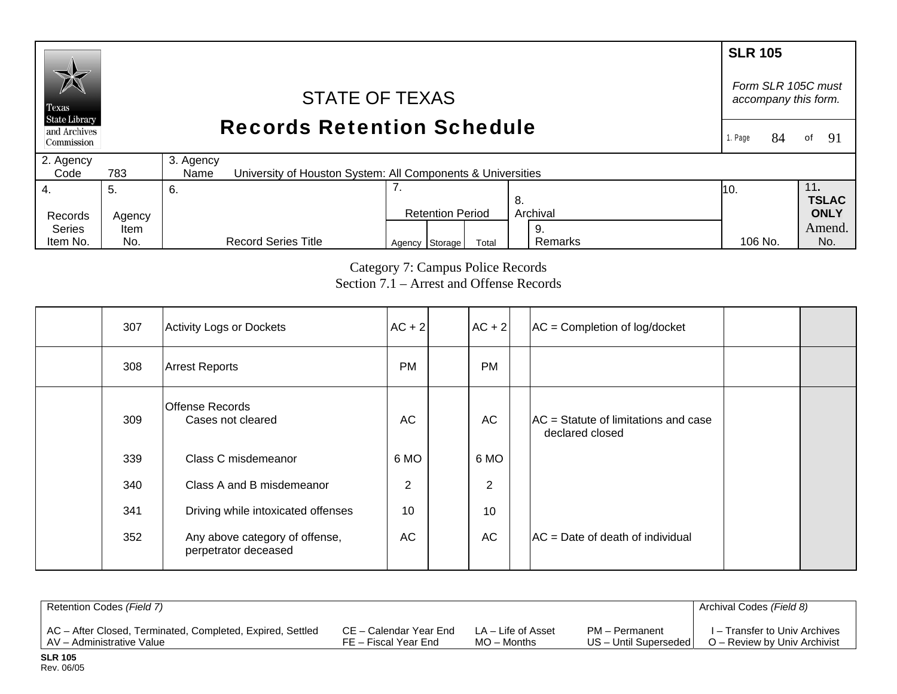### **SLR 105** *Form SLR 105C must* STATE OF TEXAS *accompany this form.*  Texas **State Library** Records Retention Schedule and Archives 1. Page 84 of 91 Commission 2. Agency 3. Agency  $Code$ 783 University of Houston System: All Components & Universities 7. 4. 11**.**  5. 6. 10. **TSLAC** 8. Records Agency Retention Period Archival **ONLY**  Series Amend. Item 9.

Category 7: Campus Police Records Section 7.1 – Arrest and Offense Records 106 No.

Agency Storage Total Remarks 106 No. No.

Remarks

| 307 | Activity Logs or Dockets                               | $AC + 2$       | $AC + 2$  | $AC =$ Completion of log/docket                           |  |
|-----|--------------------------------------------------------|----------------|-----------|-----------------------------------------------------------|--|
| 308 | <b>Arrest Reports</b>                                  | <b>PM</b>      | <b>PM</b> |                                                           |  |
| 309 | <b>Offense Records</b><br>Cases not cleared            | AC             | <b>AC</b> | $AC =$ Statute of limitations and case<br>declared closed |  |
| 339 | Class C misdemeanor                                    | 6 MO           | 6 MO      |                                                           |  |
| 340 | Class A and B misdemeanor                              | $\overline{2}$ | 2         |                                                           |  |
| 341 | Driving while intoxicated offenses                     | 10             | 10        |                                                           |  |
| 352 | Any above category of offense,<br>perpetrator deceased | AC             | <b>AC</b> | $AC = Date$ of death of individual                        |  |

| Retention Codes (Field 7)                                  |                        |                    |                       | Archival Codes (Field 8)      |
|------------------------------------------------------------|------------------------|--------------------|-----------------------|-------------------------------|
| AC - After Closed, Terminated, Completed, Expired, Settled | CE – Calendar Year End | LA – Life of Asset | PM - Permanent        | I – Transfer to Univ Archives |
| AV – Administrative Value                                  | FE – Fiscal Year End   | $MO -$ Months      | US - Until Superseded | O – Review by Univ Archivist  |

Item No.

No.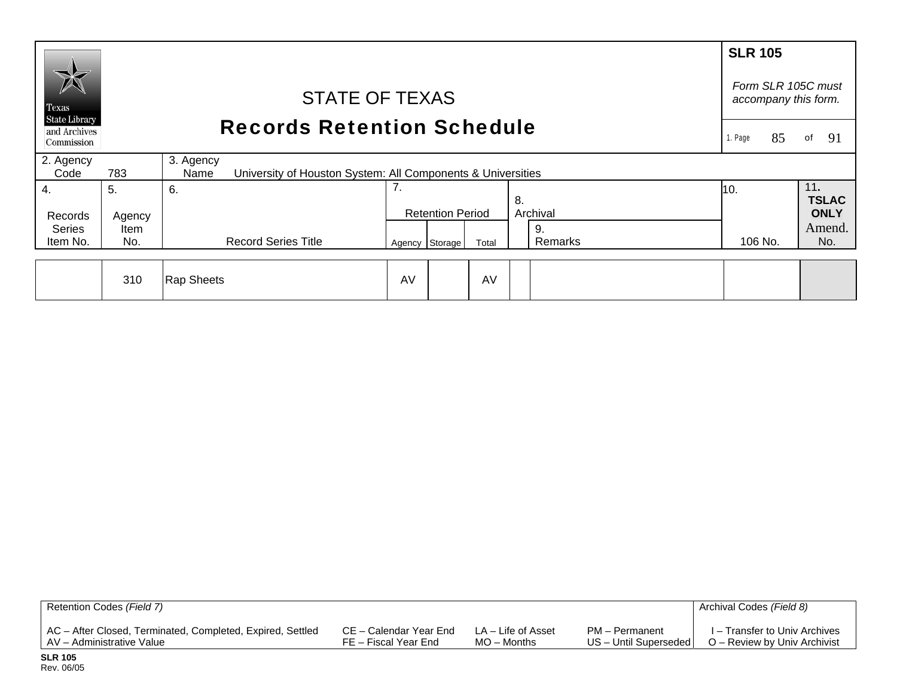| $\cancel{\triangleright}$                          |                                                                       |                                                                                  |    |                         |       |               | <b>SLR 105</b> |                                            |
|----------------------------------------------------|-----------------------------------------------------------------------|----------------------------------------------------------------------------------|----|-------------------------|-------|---------------|----------------|--------------------------------------------|
| Texas                                              | <b>STATE OF TEXAS</b><br><b>Records Retention Schedule</b><br>1. Page |                                                                                  |    |                         |       |               |                | Form SLR 105C must<br>accompany this form. |
| <b>State Library</b><br>and Archives<br>Commission |                                                                       |                                                                                  |    |                         |       |               |                | -91<br>οf                                  |
| 2. Agency                                          |                                                                       | 3. Agency                                                                        |    |                         |       |               |                |                                            |
| Code<br>4.                                         | 783<br>5.                                                             | University of Houston System: All Components & Universities<br><b>Name</b><br>6. | 7. |                         |       | 8.            | 10.            | 11.<br><b>TSLAC</b>                        |
| Records                                            | Agency                                                                |                                                                                  |    | <b>Retention Period</b> |       | Archival      |                | <b>ONLY</b>                                |
| <b>Series</b><br>Item No.                          | <b>Item</b><br>No.                                                    | <b>Record Series Title</b>                                                       |    | Agency Storage          | Total | 9.<br>Remarks | 106 No.        | Amend.<br>No.                              |
|                                                    |                                                                       |                                                                                  |    |                         |       |               |                |                                            |
|                                                    | 310                                                                   | Rap Sheets                                                                       | AV |                         | AV    |               |                |                                            |

| Retention Codes (Field 7)                                  |                        |                    |                         | Archival Codes (Field 8)      |
|------------------------------------------------------------|------------------------|--------------------|-------------------------|-------------------------------|
| AC - After Closed, Terminated, Completed, Expired, Settled | CE – Calendar Year End | LA – Life of Asset | PM – Permanent          | I – Transfer to Univ Archives |
| LAV – Administrative Value                                 | FE – Fiscal Year End   | $MO -$ Months      | US - Until Superseded I | O – Review by Univ Archivist  |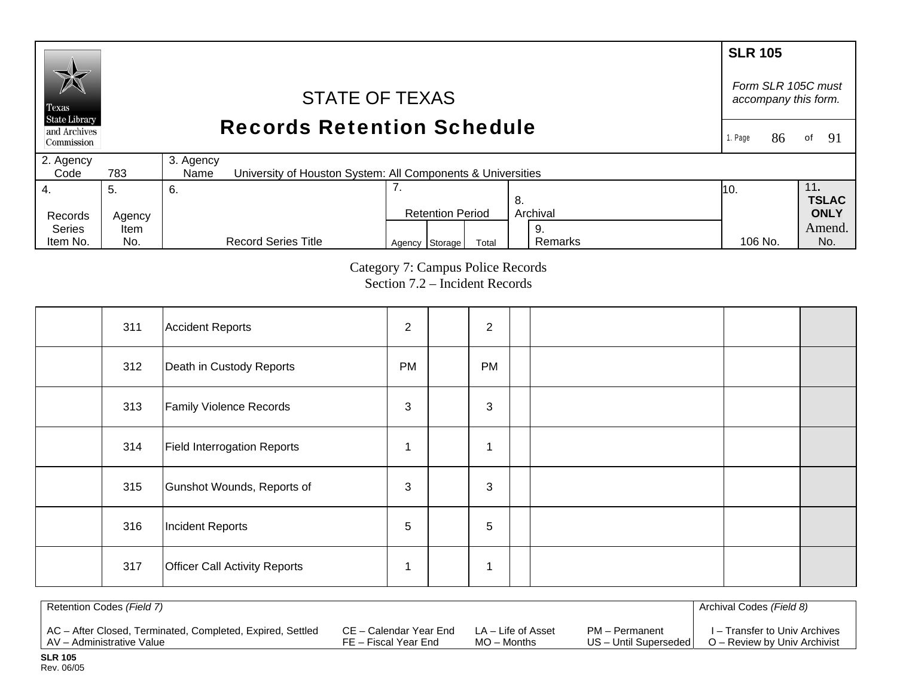#### **SLR 105**  *Form SLR 105C must* STATE OF TEXAS *accompany this form.*  Texas **State Library** Records Retention Schedule and Archives of  $91$ 1. Page 86 Commission 2. Agency 3. Agency  $Code$ 783 University of Houston System: All Components & Universities 7. 4. 11**.**  5. 6. 10. **TSLAC** 8. Records Agency Retention Period Archival **ONLY**  Series Amend. Item 9. Remarks Agency Storage Total Remarks 106 No. No. Item No. No. Record Series Title 106 No.

Category 7: Campus Police Records Section 7.2 – Incident Records

| 311 | Accident Reports                     | $\overline{2}$ | 2         |  |  |
|-----|--------------------------------------|----------------|-----------|--|--|
| 312 | Death in Custody Reports             | <b>PM</b>      | <b>PM</b> |  |  |
| 313 | <b>Family Violence Records</b>       | 3              | 3         |  |  |
| 314 | <b>Field Interrogation Reports</b>   |                | 4         |  |  |
| 315 | Gunshot Wounds, Reports of           | 3              | 3         |  |  |
| 316 | <b>Incident Reports</b>              | 5              | 5         |  |  |
| 317 | <b>Officer Call Activity Reports</b> |                | 1         |  |  |

| Retention Codes (Field 7)                                  |                        |                    |                       | Archival Codes (Field 8)      |
|------------------------------------------------------------|------------------------|--------------------|-----------------------|-------------------------------|
| AC - After Closed, Terminated, Completed, Expired, Settled | CE – Calendar Year End | LA – Life of Asset | PM - Permanent        | I – Transfer to Univ Archives |
| AV - Administrative Value                                  | FE – Fiscal Year End   | $MO$ – Months      | US - Until Superseded | O – Review by Univ Archivist  |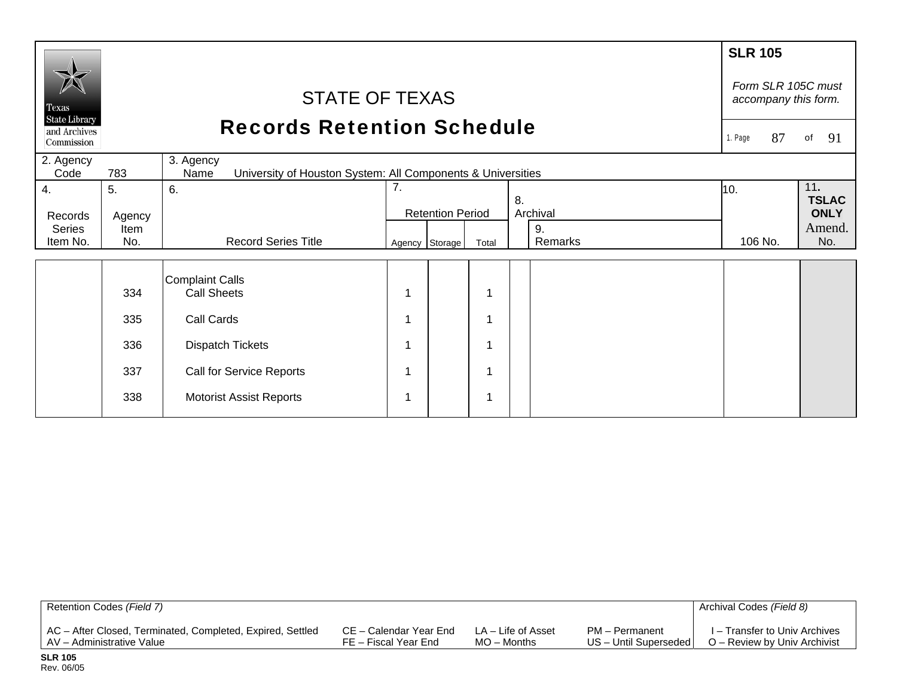|                                                    |                |                                                                                  |                                     |                |       |                | <b>SLR 105</b>                             |                       |  |
|----------------------------------------------------|----------------|----------------------------------------------------------------------------------|-------------------------------------|----------------|-------|----------------|--------------------------------------------|-----------------------|--|
| Texas                                              |                | <b>STATE OF TEXAS</b>                                                            |                                     |                |       |                | Form SLR 105C must<br>accompany this form. |                       |  |
| <b>State Library</b><br>and Archives<br>Commission |                | <b>Records Retention Schedule</b>                                                |                                     |                |       |                | 87<br>1. Page<br>of                        | 91                    |  |
| 2. Agency<br>Code                                  | 783            | 3. Agency<br>University of Houston System: All Components & Universities<br>Name |                                     |                |       |                |                                            |                       |  |
| 4.                                                 | 5.             | 6.                                                                               | 7.<br>8.<br><b>Retention Period</b> |                |       |                | 10.                                        | 11.<br><b>TSLAC</b>   |  |
| Records<br><b>Series</b>                           | Agency<br>Item |                                                                                  |                                     |                |       | Archival<br>9. |                                            | <b>ONLY</b><br>Amend. |  |
| Item No.                                           | No.            | <b>Record Series Title</b>                                                       |                                     | Agency Storage | Total | Remarks        | 106 No.                                    | No.                   |  |
|                                                    | 334            | <b>Complaint Calls</b><br><b>Call Sheets</b>                                     |                                     |                | 1     |                |                                            |                       |  |
|                                                    | 335            | Call Cards                                                                       |                                     |                | 1     |                |                                            |                       |  |
|                                                    | 336            | <b>Dispatch Tickets</b>                                                          |                                     |                | 1     |                |                                            |                       |  |
|                                                    | 337            | Call for Service Reports                                                         |                                     |                | 1     |                |                                            |                       |  |
|                                                    | 338            | <b>Motorist Assist Reports</b>                                                   |                                     |                | 1     |                |                                            |                       |  |

| Retention Codes (Field 7)                                  |                        |                    |                       | Archival Codes (Field 8)      |
|------------------------------------------------------------|------------------------|--------------------|-----------------------|-------------------------------|
| AC – After Closed, Terminated, Completed, Expired, Settled | CE – Calendar Year End | LA – Life of Asset | PM - Permanent        | I – Transfer to Univ Archives |
| AV – Administrative Value                                  | FE – Fiscal Year End   | $MO -$ Months      | US - Until Superseded | O – Review by Univ Archivist  |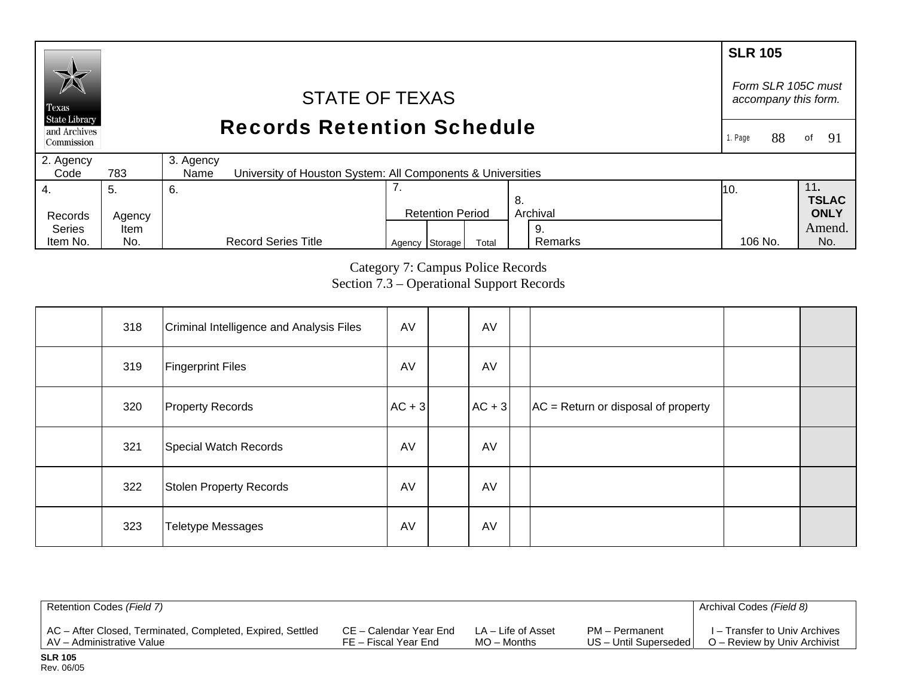## **SLR 105** *Form SLR 105C must* STATE OF TEXAS *accompany this form.*  Texas **State Library** Records Retention Schedule and Archives of  $91$ 1. Page 88 Commission 2. Agency 3. Agency  $Code$ 783 University of Houston System: All Components & Universities 7. 4. 11**.**  5. 6. 10. **TSLAC** 8. Records Agency Retention Period Archival **ONLY**  Series Amend.Item 9. Remarks Agency Storage Total Remarks 106 No. No.

Category 7: Campus Police Records Section 7.3 – Operational Support Records 106 No.

| 318 | Criminal Intelligence and Analysis Files | AV       | AV         |                                       |  |
|-----|------------------------------------------|----------|------------|---------------------------------------|--|
| 319 | <b>Fingerprint Files</b>                 | AV       | AV         |                                       |  |
| 320 | <b>Property Records</b>                  | $AC + 3$ | $ AC + 3 $ | $AC = Return$ or disposal of property |  |
| 321 | Special Watch Records                    | AV       | AV         |                                       |  |
| 322 | Stolen Property Records                  | AV       | AV         |                                       |  |
| 323 | <b>Teletype Messages</b>                 | AV       | AV         |                                       |  |

| Retention Codes (Field 7)                                  |                        |                    |                       | Archival Codes (Field 8)      |
|------------------------------------------------------------|------------------------|--------------------|-----------------------|-------------------------------|
| AC - After Closed, Terminated, Completed, Expired, Settled | CE – Calendar Year End | LA – Life of Asset | PM - Permanent        | I – Transfer to Univ Archives |
| I AV – Administrative Value                                | FE – Fiscal Year End   | $MO -$ Months      | US - Until Superseded | O – Review by Univ Archivist  |

**SLR 105** Rev. 06/05

Item No.

No.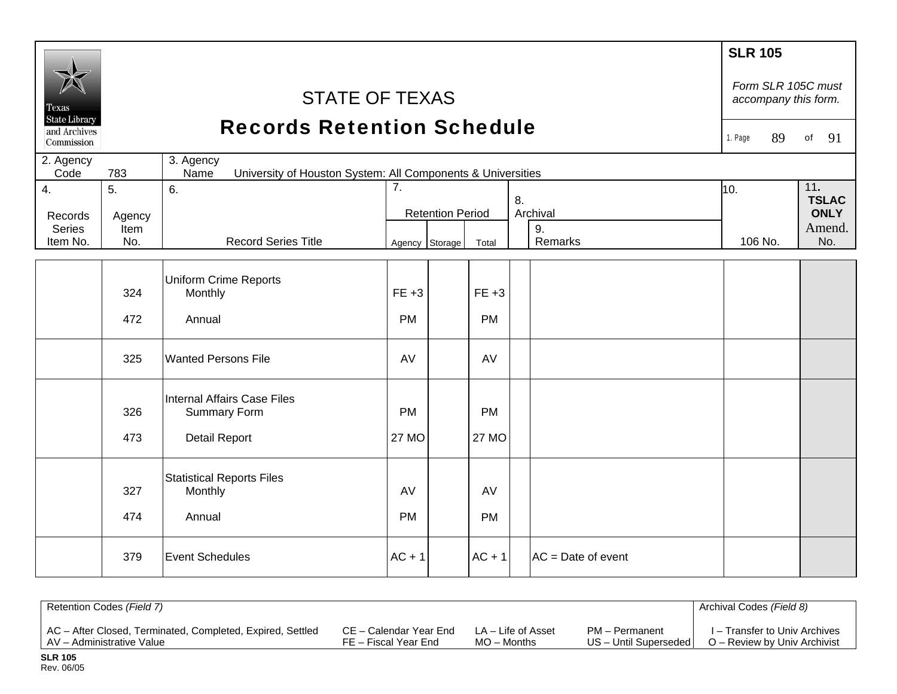|                                                    |                                                                                         |                                                    |                         |                |              |                     |                      | <b>SLR 105</b><br>Form SLR 105C must |               |    |
|----------------------------------------------------|-----------------------------------------------------------------------------------------|----------------------------------------------------|-------------------------|----------------|--------------|---------------------|----------------------|--------------------------------------|---------------|----|
| Texas                                              |                                                                                         | <b>STATE OF TEXAS</b>                              |                         |                |              |                     |                      | accompany this form.                 |               |    |
| <b>State Library</b><br>and Archives<br>Commission |                                                                                         | <b>Records Retention Schedule</b>                  |                         |                |              |                     |                      | 89<br>1. Page                        | of            | 91 |
| 2. Agency<br>Code                                  | 3. Agency<br>University of Houston System: All Components & Universities<br>783<br>Name |                                                    |                         |                |              |                     |                      |                                      |               |    |
| 4.                                                 | 5.                                                                                      | 6.                                                 | $\overline{7}$ .<br>8.  |                | 10.          | 11.<br><b>TSLAC</b> |                      |                                      |               |    |
| Records                                            | Agency                                                                                  |                                                    | <b>Retention Period</b> |                |              | Archival            |                      | <b>ONLY</b>                          |               |    |
| <b>Series</b><br>Item No.                          | Item<br>No.                                                                             | <b>Record Series Title</b>                         |                         | Agency Storage | Total        |                     | 9.<br>Remarks        | 106 No.                              | Amend.<br>No. |    |
|                                                    |                                                                                         |                                                    |                         |                |              |                     |                      |                                      |               |    |
|                                                    | 324                                                                                     | <b>Uniform Crime Reports</b><br>Monthly            | $FE +3$                 |                | $FE +3$      |                     |                      |                                      |               |    |
|                                                    | 472                                                                                     | Annual                                             | <b>PM</b>               |                | <b>PM</b>    |                     |                      |                                      |               |    |
|                                                    |                                                                                         |                                                    |                         |                |              |                     |                      |                                      |               |    |
|                                                    | 325                                                                                     | <b>Wanted Persons File</b>                         | AV                      |                | AV           |                     |                      |                                      |               |    |
|                                                    | 326                                                                                     | Internal Affairs Case Files<br><b>Summary Form</b> | <b>PM</b>               |                | <b>PM</b>    |                     |                      |                                      |               |    |
|                                                    | 473                                                                                     | Detail Report                                      | 27 MO                   |                | <b>27 MO</b> |                     |                      |                                      |               |    |
|                                                    |                                                                                         | <b>Statistical Reports Files</b>                   |                         |                |              |                     |                      |                                      |               |    |
|                                                    | 327                                                                                     | Monthly                                            | AV                      |                | AV           |                     |                      |                                      |               |    |
|                                                    | 474                                                                                     | Annual                                             | <b>PM</b>               |                | <b>PM</b>    |                     |                      |                                      |               |    |
|                                                    | 379                                                                                     | <b>Event Schedules</b>                             | $AC + 1$                |                | $AC + 1$     |                     | $AC = Date of event$ |                                      |               |    |
|                                                    |                                                                                         |                                                    |                         |                |              |                     |                      |                                      |               |    |

| Retention Codes (Field 7)                                  |                        |                    |                       | Archival Codes (Field 8)      |
|------------------------------------------------------------|------------------------|--------------------|-----------------------|-------------------------------|
| AC - After Closed, Terminated, Completed, Expired, Settled | CE – Calendar Year End | LA – Life of Asset | PM - Permanent        | I – Transfer to Univ Archives |
| AV - Administrative Value                                  | FE – Fiscal Year End   | $MO -$ Months      | US - Until Superseded | O – Review by Univ Archivist  |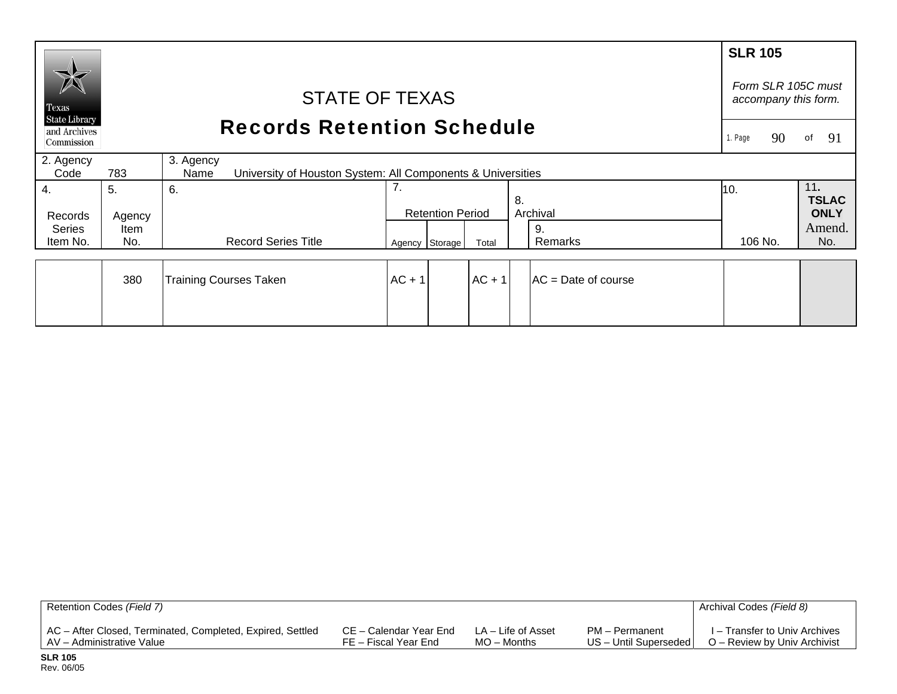|                                                    |                                   |                                                                                  |                |                         |          |    |                     | <b>SLR 105</b>                             |                     |  |
|----------------------------------------------------|-----------------------------------|----------------------------------------------------------------------------------|----------------|-------------------------|----------|----|---------------------|--------------------------------------------|---------------------|--|
| Texas                                              | <b>STATE OF TEXAS</b>             |                                                                                  |                |                         |          |    |                     | Form SLR 105C must<br>accompany this form. |                     |  |
| <b>State Library</b><br>and Archives<br>Commission | <b>Records Retention Schedule</b> |                                                                                  |                |                         |          |    | 90<br>Page          | 91<br>of                                   |                     |  |
| 2. Agency<br>Code                                  | 783                               | 3. Agency<br>University of Houston System: All Components & Universities<br>Name |                |                         |          |    |                     |                                            |                     |  |
| $\overline{4}$ .                                   | 5.                                | 6.                                                                               | 7.             |                         |          | 8. |                     | 10.                                        | 11.<br><b>TSLAC</b> |  |
| Records                                            | Agency                            |                                                                                  |                | <b>Retention Period</b> |          |    | Archival            |                                            | <b>ONLY</b>         |  |
| Series<br>Item No.                                 | Item<br>No.                       | <b>Record Series Title</b>                                                       | Agency Storage |                         | Total    |    | 9.<br>Remarks       | 106 No.                                    | Amend.<br>No.       |  |
|                                                    | 380                               | <b>Training Courses Taken</b>                                                    | $AC + 1$       |                         | $AC + 1$ |    | AC = Date of course |                                            |                     |  |
|                                                    |                                   |                                                                                  |                |                         |          |    |                     |                                            |                     |  |

| Retention Codes (Field 7)                                  |                        |                    |                       | Archival Codes (Field 8)      |
|------------------------------------------------------------|------------------------|--------------------|-----------------------|-------------------------------|
| AC - After Closed, Terminated, Completed, Expired, Settled | CE – Calendar Year End | LA – Life of Asset | PM – Permanent        | I – Transfer to Univ Archives |
| LAV – Administrative Value                                 | FE – Fiscal Year End   | $MO -$ Months      | US - Until Superseded | O – Review by Univ Archivist  |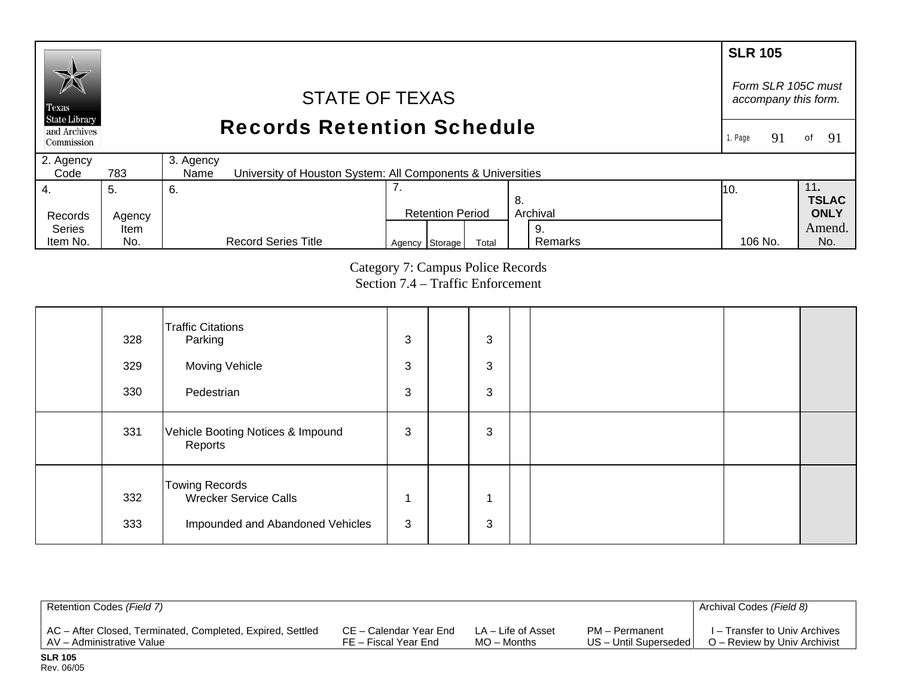#### **SLR 105**  *Form SLR 105C must* STATE OF TEXAS *accompany this form.*  Texas **State Library** Records Retention Schedule and Archives 1. Page 91 of 91 Commission 2. Agency 3. Agency  $Code$ 783 University of Houston System: All Components & Universities 4. 7. 11**.**  5. 6. 10. **TSLAC** 8. Records Agency Retention Period Archival **ONLY**  Series Amend. Item 9. Remarks Agency Storage Total Remarks 106 No. No. Item No. No. Record Series Title 106 No.

# Category 7: Campus Police Records Section 7.4 – Traffic Enforcement

| 328        | <b>Traffic Citations</b><br>Parking                                                | 3 | 3      |  |  |
|------------|------------------------------------------------------------------------------------|---|--------|--|--|
| 329        | Moving Vehicle                                                                     | 3 | 3      |  |  |
| 330        | Pedestrian                                                                         | 3 | 3      |  |  |
| 331        | Vehicle Booting Notices & Impound<br>Reports                                       | 3 | 3      |  |  |
| 332<br>333 | <b>Towing Records</b><br>Wrecker Service Calls<br>Impounded and Abandoned Vehicles | 3 | ٠<br>3 |  |  |

| Retention Codes (Field 7)                                  |                        |                    |                       | Archival Codes (Field 8)      |
|------------------------------------------------------------|------------------------|--------------------|-----------------------|-------------------------------|
| AC - After Closed, Terminated, Completed, Expired, Settled | CE – Calendar Year End | LA – Life of Asset | PM - Permanent        | I – Transfer to Univ Archives |
| AV – Administrative Value                                  | FE – Fiscal Year End   | $MO -$ Months      | US - Until Superseded | O – Review by Univ Archivist  |